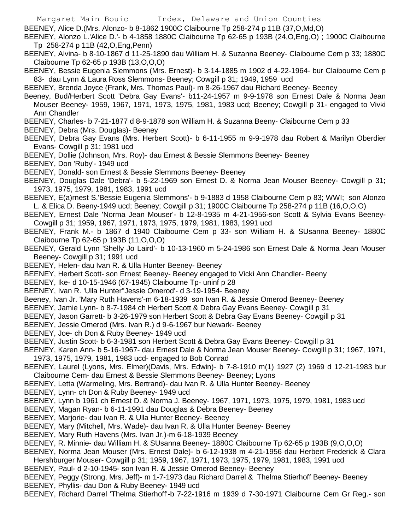BEENEY, Alice D.(Mrs. Alonzo- b 8-1862 1900C Claibourne Tp 258-274 p 11B (37,O,Md,O)

BEENEY, Alonzo L.'Alice D.'- b 4-1858 1880C Claibourne Tp 62-65 p 193B (24,O,Eng,O) ; 1900C Claibourne Tp 258-274 p 11B (42,O,Eng,Penn)

- BEENEY, Alvina- b 8-10-1867 d 11-25-1890 dau William H. & Suzanna Beeney- Claibourne Cem p 33; 1880C Claibourne Tp 62-65 p 193B (13,O,O,O)
- BEENEY, Bessie Eugenia Slemmons (Mrs. Ernest)- b 3-14-1885 m 1902 d 4-22-1964- bur Claibourne Cem p 83- dau Lynn & Laura Ross Slemmons- Beeney; Cowgill p 31; 1949, 1959 ucd
- BEENEY, Brenda Joyce (Frank, Mrs. Thomas Paul)- m 8-26-1967 dau Richard Beeney- Beeney
- Beeney, Bud/Herbert Scott 'Debra Gay Evans'- b11-24-1957 m 9-9-1978 son Ernest Dale & Norma Jean Mouser Beeney- 1959, 1967, 1971, 1973, 1975, 1981, 1983 ucd; Beeney; Cowgill p 31- engaged to Vivki Ann Chandler
- BEENEY, Charles- b 7-21-1877 d 8-9-1878 son William H. & Suzanna Beeny- Claibourne Cem p 33
- BEENEY, Debra (Mrs. Douglas)- Beeney
- BEENEY, Debra Gay Evans (Mrs. Herbert Scott)- b 6-11-1955 m 9-9-1978 dau Robert & Marilyn Oberdier Evans- Cowgill p 31; 1981 ucd
- BEENEY, Dollie (Johnson, Mrs. Roy)- dau Ernest & Bessie Slemmons Beeney- Beeney
- BEENEY, Don 'Ruby'- 1949 ucd
- BEENEY, Donald- son Ernest & Bessie Slemmons Beeney- Beeney
- BEENEY, Douglas Dale 'Debra'- b 5-22-1969 son Ernest D. & Norma Jean Mouser Beeney- Cowgill p 31; 1973, 1975, 1979, 1981, 1983, 1991 ucd
- BEENEY, E(a)rnest S.'Bessie Eugenia Slemmons'- b 9-1883 d 1958 Claibourne Cem p 83; WWI; son Alonzo L. & Elica D. Beeny-1949 ucd; Beeney; Cowgill p 31; 1900C Claibourne Tp 258-274 p 11B (16,O,O,O)
- BEENEY, Ernest Dale 'Norma Jean Mouser'- b 12-8-1935 m 4-21-1956-son Scott & Sylvia Evans Beeney-Cowgill p 31; 1959, 1967, 1971, 1973, 1975, 1979, 1981, 1983, 1991 ucd
- BEENEY, Frank M.- b 1867 d 1940 Claibourne Cem p 33- son William H. & SUsanna Beeney- 1880C Claibourne Tp 62-65 p 193B (11,O,O,O)
- BEENEY, Gerald Lynn 'Shelly Jo Laird'- b 10-13-1960 m 5-24-1986 son Ernest Dale & Norma Jean Mouser Beeney- Cowgill p 31; 1991 ucd
- BEENEY, Helen- dau Ivan R. & Ulla Hunter Beeney- Beeney
- BEENEY, Herbert Scott- son Ernest Beeney- Beeney engaged to Vicki Ann Chandler- Beeny
- BEENEY, Ike- d 10-15-1946 (67-1945) Claibourne Tp- uninf p 28
- BEENEY, Ivan R. 'Ulla Hunter''Jessie Omerod'- d 3-19-1954- Beeney
- Beeney, Ivan Jr. 'Mary Ruth Havens'-m 6-18-1939 son Ivan R. & Jessie Omerod Beeney- Beeney
- BEENEY, Jamie Lynn- b 8-7-1984 ch Herbert Scott & Debra Gay Evans Beeney- Cowgill p 31
- BEENEY, Jason Garrett- b 3-26-1979 son Herbert Scott & Debra Gay Evans Beeney- Cowgill p 31
- BEENEY, Jessie Omerod (Mrs. Ivan R.) d 9-6-1967 bur Newark- Beeney
- BEENEY, Joe- ch Don & Ruby Beeney- 1949 ucd
- BEENEY, Justin Scott- b 6-3-1981 son Herbert Scott & Debra Gay Evans Beeney- Cowgill p 31
- BEENEY, Karen Ann- b 5-16-1967- dau Ernest Dale & Norma Jean Mouser Beeney- Cowgill p 31; 1967, 1971, 1973, 1975, 1979, 1981, 1983 ucd- engaged to Bob Conrad
- BEENEY, Laurel (Lyons, Mrs. Elmer)(Davis, Mrs. Edwin)- b 7-8-1910 m(1) 1927 (2) 1969 d 12-21-1983 bur Claibourne Cem- dau Ernest & Bessie Slemmons Beeney- Beeney; Lyons
- BEENEY, Letta (Warmeling, Mrs. Bertrand)- dau Ivan R. & Ulla Hunter Beeney- Beeney
- BEENEY, Lynn- ch Don & Ruby Beeney- 1949 ucd
- BEENEY, Lynn b 1961 ch Ernest D. & Norma J. Beeney- 1967, 1971, 1973, 1975, 1979, 1981, 1983 ucd
- BEENEY, Magan Ryan- b 6-11-1991 dau Douglas & Debra Beeney- Beeney
- BEENEY, Marjorie- dau Ivan R. & Ulla Hunter Beeney- Beeney
- BEENEY, Mary (Mitchell, Mrs. Wade)- dau Ivan R. & Ulla Hunter Beeney- Beeney
- BEENEY, Mary Ruth Havens (Mrs. Ivan Jr.)-m 6-18-1939 Beeney
- BEENEY, R. Minnie- dau William H. & SUsanna Beeney- 1880C Claibourne Tp 62-65 p 193B (9,O,O,O)
- BEENEY, Norma Jean Mouser (Mrs. Ernest Dale)- b 6-12-1938 m 4-21-1956 dau Herbert Frederick & Clara Hershburger Mouser- Cowgill p 31; 1959, 1967, 1971, 1973, 1975, 1979, 1981, 1983, 1991 ucd
- BEENEY, Paul- d 2-10-1945- son Ivan R. & Jessie Omerod Beeney- Beeney
- BEENEY, Peggy (Strong, Mrs. Jeff)- m 1-7-1973 dau Richard Darrel & Thelma Stierhoff Beeney- Beeney BEENEY, Phyllis- dau Don & Ruby Beeney- 1949 ucd
- BEENEY, Richard Darrel 'Thelma Stierhoff'-b 7-22-1916 m 1939 d 7-30-1971 Claibourne Cem Gr Reg.- son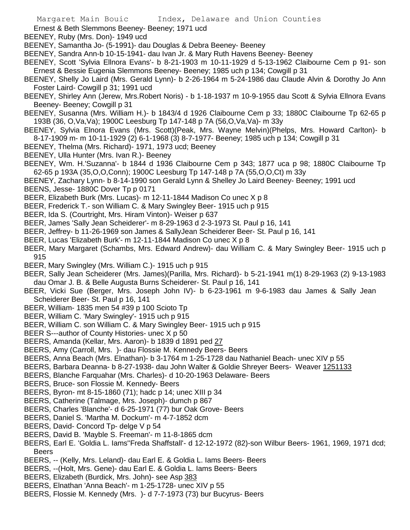Ernest & Beth Slemmons Beeney- Beeney; 1971 ucd

BEENEY, Ruby (Mrs. Don)- 1949 ucd

BEENEY, Samantha Jo- (5-1991)- dau Douglas & Debra Beeney- Beeney

- BEENEY, Sandra Ann-b 10-15-1941- dau Ivan Jr. & Mary Ruth Havens Beeney- Beeney
- BEENEY, Scott 'Sylvia Ellnora Evans'- b 8-21-1903 m 10-11-1929 d 5-13-1962 Claibourne Cem p 91- son Ernest & Bessie Eugenia Slemmons Beeney- Beeney; 1985 uch p 134; Cowgill p 31
- BEENEY, Shelly Jo Laird (Mrs. Gerald Lynn)- b 2-26-1964 m 5-24-1986 dau Claude Alvin & Dorothy Jo Ann Foster Laird- Cowgill p 31; 1991 ucd
- BEENEY, Shirley Ann (Jerew, Mrs.Robert Noris) b 1-18-1937 m 10-9-1955 dau Scott & Sylvia Ellnora Evans Beeney- Beeney; Cowgill p 31
- BEENEY, Susanna (Mrs. William H.)- b 1843/4 d 1926 Claibourne Cem p 33; 1880C Claibourne Tp 62-65 p 193B (36, O,Va,Va); 1900C Leesburg Tp 147-148 p 7A (56,O,Va,Va)- m 33y
- BEENEY, Sylvia Elnora Evans (Mrs. Scott)(Peak, Mrs. Wayne Melvin)(Phelps, Mrs. Howard Carlton)- b 8-17-1909 m- m 10-11-1929 (2) 6-1-1968 (3) 8-7-1977- Beeney; 1985 uch p 134; Cowgill p 31
- BEENEY, Thelma (Mrs. Richard)- 1971, 1973 ucd; Beeney
- BEENEY, Ulla Hunter (Mrs. Ivan R.)- Beeney
- BEENEY, Wm. H.'Suzanna'- b 1844 d 1936 Claibourne Cem p 343; 1877 uca p 98; 1880C Claibourne Tp 62-65 p 193A (35,O,O,Conn); 1900C Leesburg Tp 147-148 p 7A (55,O,O,Ct) m 33y
- BEENEY, Zachary Lynn- b 8-14-1990 son Gerald Lynn & Shelley Jo Laird Beeney- Beeney; 1991 ucd BEENS, Jesse- 1880C Dover Tp p 0171
- BEER, Elizabeth Burk (Mrs. Lucas)- m 12-11-1844 Madison Co unec X p 8
- BEER, Frederick T.- son William C. & Mary Swingley Beer- 1915 uch p 915
- BEER, Ida S. (Courtright, Mrs. Hiram Vinton)- Weiser p 637
- BEER, James 'Sally Jean Scheiderer'- m 8-29-1963 d 2-3-1973 St. Paul p 16, 141
- BEER, Jeffrey- b 11-26-1969 son James & SallyJean Scheiderer Beer- St. Paul p 16, 141
- BEER, Lucas 'Elizabeth Burk'- m 12-11-1844 Madison Co unec X p 8
- BEER, Mary Margaret (Schambs, Mrs. Edward Andrew)- dau William C. & Mary Swingley Beer- 1915 uch p 915
- BEER, Mary Swingley (Mrs. William C.)- 1915 uch p 915
- BEER, Sally Jean Scheiderer (Mrs. James)(Parilla, Mrs. Richard)- b 5-21-1941 m(1) 8-29-1963 (2) 9-13-1983 dau Omar J. B. & Belle Augusta Burns Scheiderer- St. Paul p 16, 141
- BEER, Vicki Sue (Berger, Mrs. Joseph John IV)- b 6-23-1961 m 9-6-1983 dau James & Sally Jean Scheiderer Beer- St. Paul p 16, 141
- BEER, William- 1835 men 54 #39 p 100 Scioto Tp
- BEER, William C. 'Mary Swingley'- 1915 uch p 915
- BEER, William C. son William C. & Mary Swingley Beer- 1915 uch p 915
- BEER S---author of County Histories- unec X p 50
- BEERS, Amanda (Kellar, Mrs. Aaron)- b 1839 d 1891 ped 27
- BEERS, Amy (Carroll, Mrs. )- dau Flossie M. Kennedy Beers- Beers
- BEERS, Anna Beach (Mrs. Elnathan)- b 3-1764 m 1-25-1728 dau Nathaniel Beach- unec XIV p 55
- BEERS, Barbara Deanna- b 8-27-1938- dau John Walter & Goldie Shreyer Beers- Weaver 1251133
- BEERS, Blanche Farquahar (Mrs. Charles)- d 10-20-1963 Delaware- Beers
- BEERS, Bruce- son Flossie M. Kennedy- Beers
- BEERS, Byron- mt 8-15-1860 (71); hadc p 14; unec XIII p 34
- BEERS, Catherine (Talmage, Mrs. Joseph)- dumch p 867
- BEERS, Charles 'Blanche'- d 6-25-1971 (77) bur Oak Grove- Beers
- BEERS, Daniel S. 'Martha M. Dockum'- m 4-7-1852 dcm
- BEERS, David- Concord Tp- delge V p 54
- BEERS, David B. 'Mayble S. Freeman'- m 11-8-1865 dcm
- BEERS, Earl E. 'Goldia L. Iams''Freda Shaffstall'- d 12-12-1972 (82)-son Wilbur Beers- 1961, 1969, 1971 dcd; Beers
- BEERS, -- (Kelly, Mrs. Leland)- dau Earl E. & Goldia L. Iams Beers- Beers
- BEERS, --(Holt, Mrs. Gene)- dau Earl E. & Goldia L. Iams Beers- Beers
- BEERS, Elizabeth (Burdick, Mrs. John)- see Asp 383
- BEERS, Elnathan 'Anna Beach'- m 1-25-1728- unec XIV p 55
- BEERS, Flossie M. Kennedy (Mrs. )- d 7-7-1973 (73) bur Bucyrus- Beers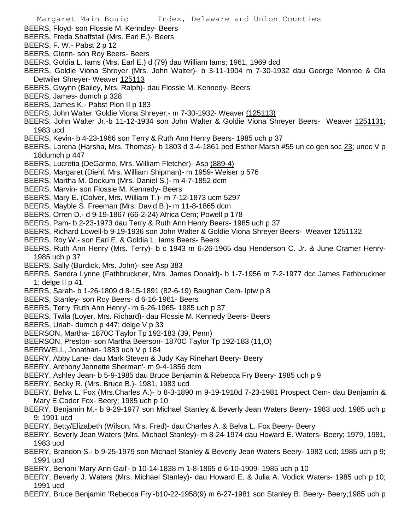- BEERS, Floyd- son Flossie M. Kenndey- Beers
- BEERS, Freda Shaffstall (Mrs. Earl E.)- Beers
- BEERS, F. W.- Pabst 2 p 12
- BEERS, Glenn- son Roy Beers- Beers
- BEERS, Goldia L. Iams (Mrs. Earl E.) d (79) dau William Iams; 1961, 1969 dcd
- BEERS, Goldie Viona Shreyer (Mrs. John Walter)- b 3-11-1904 m 7-30-1932 dau George Monroe & Ola Detwiler Shreyer- Weaver 125113
- BEERS, Gwynn (Bailey, Mrs. Ralph)- dau Flossie M. Kennedy- Beers
- BEERS, James- dumch p 328
- BEERS, James K.- Pabst Pion II p 183
- BEERS, John Walter 'Goldie Viona Shreyer;- m 7-30-1932- Weaver (125113)
- BEERS, John Walter Jr.-b 11-12-1934 son John Walter & Goldie Viona Shreyer Beers- Weaver 1251131; 1983 ucd
- BEERS, Kevin- b 4-23-1966 son Terry & Ruth Ann Henry Beers- 1985 uch p 37
- BEERS, Lorena (Harsha, Mrs. Thomas)- b 1803 d 3-4-1861 ped Esther Marsh #55 un co gen soc 23; unec V p 18dumch p 447
- BEERS, Lucretia (DeGarmo, Mrs. William Fletcher)- Asp (889-4)
- BEERS, Margaret (Diehl, Mrs. William Shipman)- m 1959- Weiser p 576
- BEERS, Martha M. Dockum (Mrs. Daniel S.)- m 4-7-1852 dcm
- BEERS, Marvin- son Flossie M. Kennedy- Beers
- BEERS, Mary E. (Colver, Mrs. William T.)- m 7-12-1873 ucm 5297
- BEERS, Mayble S. Freeman (Mrs. David B.)- m 11-8-1865 dcm
- BEERS, Orren D.- d 9-19-1867 (66-2-24) Africa Cem; Powell p 178
- BEERS, Pam- b 2-23-1973 dau Terry & Ruth Ann Henry Beers- 1985 uch p 37
- BEERS, Richard Lowell-b 9-19-1936 son John Walter & Goldie Viona Shreyer Beers- Weaver 1251132
- BEERS, Roy W.- son Earl E. & Goldia L. Iams Beers- Beers
- BEERS, Ruth Ann Henry (Mrs. Terry)- b c 1943 m 6-26-1965 dau Henderson C. Jr. & June Cramer Henry-1985 uch p 37
- BEERS, Sally (Burdick, Mrs. John)- see Asp 383
- BEERS, Sandra Lynne (Fathbruckner, Mrs. James Donald)- b 1-7-1956 m 7-2-1977 dcc James Fathbruckner 1; delge II p 41
- BEERS, Sarah- b 1-26-1809 d 8-15-1891 (82-6-19) Baughan Cem- lptw p 8
- BEERS, Stanley- son Roy Beers- d 6-16-1961- Beers
- BEERS, Terry 'Ruth Ann Henry'- m 6-26-1965- 1985 uch p 37
- BEERS, Twila (Loyer, Mrs. Richard)- dau Flossie M. Kennedy Beers- Beers
- BEERS, Uriah- dumch p 447; delge V p 33
- BEERSON, Martha- 1870C Taylor Tp 192-183 (39, Penn)
- BEERSON, Preston- son Martha Beerson- 1870C Taylor Tp 192-183 (11,O)
- BEERWELL, Jonathan- 1883 uch V p 184
- BEERY, Abby Lane- dau Mark Steven & Judy Kay Rinehart Beery- Beery
- BEERY, Anthony'Jennette Sherman'- m 9-4-1856 dcm
- BEERY, Ashley Jean- b 5-9-1985 dau Bruce Benjamin & Rebecca Fry Beery- 1985 uch p 9
- BEERY, Becky R. (Mrs. Bruce B.)- 1981, 1983 ucd
- BEERY, Belva L. Fox (Mrs.Charles A.)- b 8-3-1890 m 9-19-1910d 7-23-1981 Prospect Cem- dau Benjamin & Mary E.Coder Fox- Beery; 1985 uch p 10
- BEERY, Benjamin M.- b 9-29-1977 son Michael Stanley & Beverly Jean Waters Beery- 1983 ucd; 1985 uch p 9; 1991 ucd
- BEERY, Betty/Elizabeth (Wilson, Mrs. Fred)- dau Charles A. & Belva L. Fox Beery- Beery
- BEERY, Beverly Jean Waters (Mrs. Michael Stanley)- m 8-24-1974 dau Howard E. Waters- Beery; 1979, 1981, 1983 ucd
- BEERY, Brandon S.- b 9-25-1979 son Michael Stanley & Beverly Jean Waters Beery- 1983 ucd; 1985 uch p 9; 1991 ucd
- BEERY, Benoni 'Mary Ann Gail'- b 10-14-1838 m 1-8-1865 d 6-10-1909- 1985 uch p 10
- BEERY, Beverly J. Waters (Mrs. Michael Stanley)- dau Howard E. & Julia A. Vodick Waters- 1985 uch p 10; 1991 ucd
- BEERY, Bruce Benjamin 'Rebecca Fry'-b10-22-1958(9) m 6-27-1981 son Stanley B. Beery- Beery;1985 uch p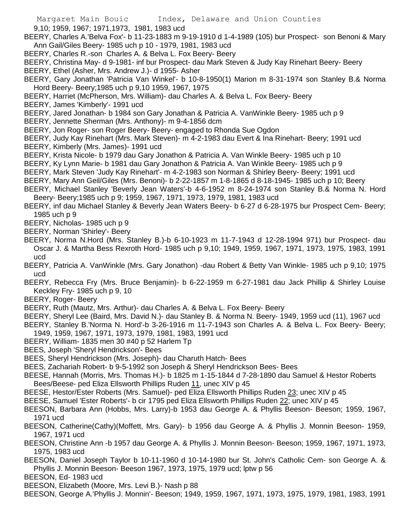9,10; 1959, 1967; 1971,1973, 1981, 1983 ucd

BEERY, Charles A.'Belva Fox'- b 11-23-1883 m 9-19-1910 d 1-4-1989 (105) bur Prospect- son Benoni & Mary Ann Gail/Giles Beery- 1985 uch p 10 - 1979, 1981, 1983 ucd

- BEERY, Charles R.-son Charles A. & Belva L. Fox Beery- Beery
- BEERY, Christina May- d 9-1981- inf bur Prospect- dau Mark Steven & Judy Kay Rinehart Beery- Beery
- BEERY, Ethel (Asher, Mrs. Andrew J.)- d 1955- Asher
- BEERY, Gary Jonathan 'Patricia Van Winkel'- b 10-8-1950(1) Marion m 8-31-1974 son Stanley B.& Norma Hord Beery- Beery;1985 uch p 9,10 1959, 1967, 1975
- BEERY, Harriet (McPherson, Mrs. William)- dau Charles A. & Belva L. Fox Beery- Beery
- BEERY, James 'Kimberly'- 1991 ucd
- BEERY, Jared Jonathan- b 1984 son Gary Jonathan & Patricia A. VanWinkle Beery- 1985 uch p 9
- BEERY, Jennette Sherman (Mrs. Anthony)- m 9-4-1856 dcm
- BEERY, Jon Roger- son Roger Beery- Beery- engaged to Rhonda Sue Ogdon

BEERY, Judy Kay Rinehart (Mrs. Mark Steven)- m 4-2-1983 dau Evert & Ina Rinehart- Beery; 1991 ucd BEERY, Kimberly (Mrs. James)- 1991 ucd

- BEERY, Krista Nicole- b 1979 dau Gary Jonathon & Patricia A. Van Winkle Beery- 1985 uch p 10
- BEERY, Ky Lynn Marie- b 1981 dau Gary Jonathon & Patricia A. Van Winkle Beery- 1985 uch p 9
- BEERY, Mark Steven 'Judy Kay Rinehart'- m 4-2-1983 son Norman & Shirley Beery- Beery; 1991 ucd
- BEERY, Mary Ann Geil/Giles (Mrs. Benoni)- b 2-22-1857 m 1-8-1865 d 8-18-1945- 1985 uch p 10; Beery
- BEERY, Michael Stanley 'Beverly Jean Waters'-b 4-6-1952 m 8-24-1974 son Stanley B.& Norma N. Hord Beery- Beery;1985 uch p 9; 1959, 1967, 1971, 1973, 1979, 1981, 1983 ucd
- BEERY, inf dau Michael Stanley & Beverly Jean Waters Beery- b 6-27 d 6-28-1975 bur Prospect Cem- Beery; 1985 uch p 9
- BEERY, Nicholas- 1985 uch p 9
- BEERY, Norman 'Shirley'- Beery
- BEERY, Norma N.Hord (Mrs. Stanley B.)-b 6-10-1923 m 11-7-1943 d 12-28-1994 971) bur Prospect- dau Oscar J. & Martha Bess Rexroth Hord- 1985 uch p 9,10; 1949, 1959, 1967, 1971, 1973, 1975, 1983, 1991 ucd
- BEERY, Patricia A. VanWinkle (Mrs. Gary Jonathon) -dau Robert & Betty Van Winkle- 1985 uch p 9,10; 1975 ucd
- BEERY, Rebecca Fry (Mrs. Bruce Benjamin)- b 6-22-1959 m 6-27-1981 dau Jack Phillip & Shirley Louise Keckley Fry- 1985 uch p 9, 10
- BEERY, Roger- Beery
- BEERY, Ruth (Mautz, Mrs. Arthur)- dau Charles A. & Belva L. Fox Beery- Beery
- BEERY, Sheryl Lee (Baird, Mrs. David N.)- dau Stanley B. & Norma N. Beery- 1949, 1959 ucd (11), 1967 ucd BEERY, Stanley B.'Norma N. Hord'-b 3-26-1916 m 11-7-1943 son Charles A. & Belva L. Fox Beery- Beery;
- 1949, 1959, 1967, 1971, 1973, 1979, 1981, 1983, 1991 ucd
- BEERY, William- 1835 men 30 #40 p 52 Harlem Tp
- BEES, Joseph 'Sheryl Hendrickson'- Bees
- BEES, Sheryl Hendrickson (Mrs. Joseph)- dau Charuth Hatch- Bees
- BEES, Zachariah Robert- b 9-5-1992 son Joseph & Sheryl Hendrickson Bees- Bees
- BEESE, Hannah (Morris, Mrs. Thomas H.)- b 1825 m 1-15-1844 d 7-28-1890 dau Samuel & Hestor Roberts Bees/Beese- ped Eliza Ellsworth Phillips Ruden 11, unec XIV p 45
- BEESE, Hestor/Ester Roberts (Mrs. Samuel)- ped Eliza Ellsworth Phillips Ruden 23; unec XIV p 45
- BEESE, Samuel 'Ester Roberts'- b cir 1795 ped Eliza Ellsworth Phillips Ruden 22; unec XIV p 45
- BEESON, Barbara Ann (Hobbs, Mrs. Larry)-b 1953 dau George A. & Phyllis Beeson- Beeson; 1959, 1967, 1971 ucd
- BEESON, Catherine(Cathy)(Moffett, Mrs. Gary)- b 1956 dau George A. & Phyllis J. Monnin Beeson- 1959, 1967, 1971 ucd
- BEESON, Christine Ann -b 1957 dau George A. & Phyllis J. Monnin Beeson- Beeson; 1959, 1967, 1971, 1973, 1975, 1983 ucd
- BEESON, Daniel Joseph Taylor b 10-11-1960 d 10-14-1980 bur St. John's Catholic Cem- son George A. & Phyllis J. Monnin Beeson- Beeson 1967, 1973, 1975, 1979 ucd; lptw p 56
- BEESON, Ed- 1983 ucd
- BEESON, Elizabeth (Moore, Mrs. Levi B.)- Nash p 88
- BEESON, George A.'Phyllis J. Monnin'- Beeson; 1949, 1959, 1967, 1971, 1973, 1975, 1979, 1981, 1983, 1991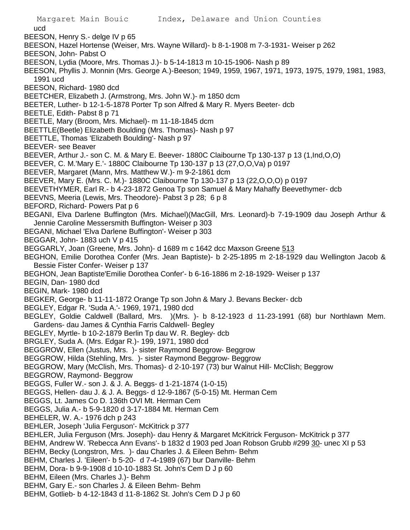ucd BEESON, Henry S.- delge IV p 65 BEESON, Hazel Hortense (Weiser, Mrs. Wayne Willard)- b 8-1-1908 m 7-3-1931- Weiser p 262 BEESON, John- Pabst O BEESON, Lydia (Moore, Mrs. Thomas J.)- b 5-14-1813 m 10-15-1906- Nash p 89 BEESON, Phyllis J. Monnin (Mrs. George A.)-Beeson; 1949, 1959, 1967, 1971, 1973, 1975, 1979, 1981, 1983, 1991 ucd BEESON, Richard- 1980 dcd BEETCHER, Elizabeth J. (Armstrong, Mrs. John W.)- m 1850 dcm BEETER, Luther- b 12-1-5-1878 Porter Tp son Alfred & Mary R. Myers Beeter- dcb BEETLE, Edith- Pabst 8 p 71 BEETLE, Mary (Broom, Mrs. Michael)- m 11-18-1845 dcm BEETTLE(Beetle) Elizabeth Boulding (Mrs. Thomas)- Nash p 97 BEETTLE, Thomas 'Elizabeth Boulding'- Nash p 97 BEEVER- see Beaver BEEVER, Arthur J.- son C. M. & Mary E. Beever- 1880C Claibourne Tp 130-137 p 13 (1,Ind,O,O) BEEVER, C. M.'Mary E.'- 1880C Claibourne Tp 130-137 p 13 (27,O,O,Va) p 0197 BEEVER, Margaret (Mann, Mrs. Matthew W.)- m 9-2-1861 dcm BEEVER, Mary E. (Mrs. C. M.)- 1880C Claibourne Tp 130-137 p 13 (22,O,O,O) p 0197 BEEVETHYMER, Earl R.- b 4-23-1872 Genoa Tp son Samuel & Mary Mahaffy Beevethymer- dcb BEEVNS, Meeria (Lewis, Mrs. Theodore)- Pabst 3 p 28; 6 p 8 BEFORD, Richard- Powers Pat p 6 BEGANI, Elva Darlene Buffington (Mrs. Michael)(MacGill, Mrs. Leonard)-b 7-19-1909 dau Joseph Arthur & Jennie Caroline Messersmith Buffington- Weiser p 303 BEGANI, Michael 'Elva Darlene Buffington'- Weiser p 303 BEGGAR, John- 1883 uch V p 415 BEGGARLY, Joan (Greene, Mrs. John)- d 1689 m c 1642 dcc Maxson Greene 513 BEGHON, Emilie Dorothea Confer (Mrs. Jean Baptiste)- b 2-25-1895 m 2-18-1929 dau Wellington Jacob & Bessie Fister Confer- Weiser p 137 BEGHON, Jean Baptiste'Emilie Dorothea Confer'- b 6-16-1886 m 2-18-1929- Weiser p 137 BEGIN, Dan- 1980 dcd BEGIN, Mark- 1980 dcd BEGKER, George- b 11-11-1872 Orange Tp son John & Mary J. Bevans Becker- dcb BEGLEY, Edgar R. 'Suda A.'- 1969, 1971, 1980 dcd BEGLEY, Goldie Caldwell (Ballard, Mrs. )(Mrs. )- b 8-12-1923 d 11-23-1991 (68) bur Northlawn Mem. Gardens- dau James & Cynthia Farris Caldwell- Begley BEGLEY, Myrtle- b 10-2-1879 Berlin Tp dau W. R. Begley- dcb BRGLEY, Suda A. (Mrs. Edgar R.)- 199, 1971, 1980 dcd BEGGROW, Ellen (Justus, Mrs. )- sister Raymond Beggrow- Beggrow BEGGROW, Hilda (Stehling, Mrs. )- sister Raymond Beggrow- Beggrow BEGGROW, Mary (McClish, Mrs. Thomas)- d 2-10-197 (73) bur Walnut Hill- McClish; Beggrow BEGGROW, Raymond- Beggrow BEGGS, Fuller W.- son J. & J. A. Beggs- d 1-21-1874 (1-0-15) BEGGS, Hellen- dau J. & J. A. Beggs- d 12-9-1867 (5-0-15) Mt. Herman Cem BEGGS, Lt. James Co D. 136th OVI Mt. Herman Cem BEGGS, Julia A.- b 5-9-1820 d 3-17-1884 Mt. Herman Cem BEHELER, W. A.- 1976 dch p 243 BEHLER, Joseph 'Julia Ferguson'- McKitrick p 377 BEHLER, Julia Ferguson (Mrs. Joseph)- dau Henry & Margaret McKitrick Ferguson- McKitrick p 377 BEHM, Andrew W. 'Rebecca Ann Evans'- b 1832 d 1903 ped Joan Robson Grubb #299 30- unec XI p 53 BEHM, Becky (Longstron, Mrs. )- dau Charles J. & Eileen Behm- Behm BEHM, Charles J. 'Eileen'- b 5-20- d 7-4-1989 (67) bur Danville- Behm BEHM, Dora- b 9-9-1908 d 10-10-1883 St. John's Cem D J p 60 BEHM, Eileen (Mrs. Charles J.)- Behm BEHM, Gary E.- son Charles J. & Eileen Behm- Behm BEHM, Gotlieb- b 4-12-1843 d 11-8-1862 St. John's Cem D J p 60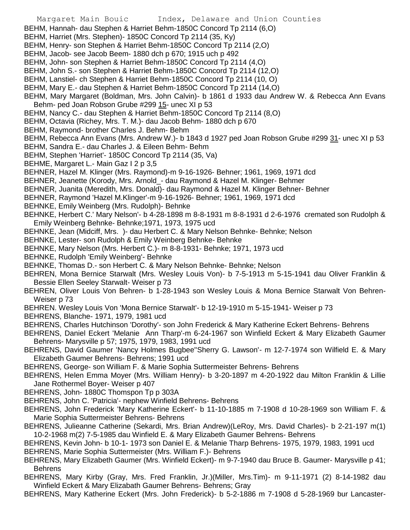- Margaret Main Bouic Index, Delaware and Union Counties
- BEHM, Hannah- dau Stephen & Harriet Behm-1850C Concord Tp 2114 (6,O)
- BEHM, Harriet (Mrs. Stephen)- 1850C Concord Tp 2114 (35, Ky)
- BEHM, Henry- son Stephen & Harriet Behm-1850C Concord Tp 2114 (2,O)
- BEHM, Jacob- see Jacob Beem- 1880 dch p 670; 1915 uch p 492
- BEHM, John- son Stephen & Harriet Behm-1850C Concord Tp 2114 (4,O)
- BEHM, John S.- son Stephen & Harriet Behm-1850C Concord Tp 2114 (12,O)
- BEHM, Lanstiel- ch Stephen & Harriet Behm-1850C Concord Tp 2114 (10, O)
- BEHM, Mary E.- dau Stephen & Harriet Behm-1850C Concord Tp 2114 (14,O)
- BEHM, Mary Margaret (Boldman, Mrs. John Calvin)- b 1861 d 1933 dau Andrew W. & Rebecca Ann Evans Behm- ped Joan Robson Grube #299 15- unec XI p 53
- BEHM, Nancy C.- dau Stephen & Harriet Behm-1850C Concord Tp 2114 (8,O)
- BEHM, Octavia (Richey, Mrs. T. M.)- dau Jacob Behm- 1880 dch p 670
- BEHM, Raymond- brother Charles J. Behm- Behm
- BEHM, Rebecca Ann Evans (Mrs. Andrew W.)- b 1843 d 1927 ped Joan Robson Grube #299 31- unec XI p 53
- BEHM, Sandra E.- dau Charles J. & Eileen Behm- Behm
- BEHM, Stephen 'Harriet'- 1850C Concord Tp 2114 (35, Va)
- BEHME, Margaret L.- Main Gaz I 2 p 3,5
- BEHNER, Hazel M. Klinger (Mrs. Raymond)-m 9-16-1926- Behner; 1961, 1969, 1971 dcd
- BEHNER, Jeanette (Korody, Mrs. Arnold\_- dau Raymond & Hazel M. Klinger- Behmer
- BEHNER, Juanita (Meredith, Mrs. Donald)- dau Raymond & Hazel M. Klinger Behner- Behner
- BEHNER, Raymond 'Hazel M.Klinger'-m 9-16-1926- Behner; 1961, 1969, 1971 dcd
- BEHNKE, Emily Weinberg (Mrs. Rudolph)- Behnke
- BEHNKE, Herbert C.' Mary Nelson'- b 4-28-1898 m 8-8-1931 m 8-8-1931 d 2-6-1976 cremated son Rudolph & Emily Weinberg Behnke- Behnke;1971, 1973, 1975 ucd
- BEHNKE, Jean (Midciff, Mrs. )- dau Herbert C. & Mary Nelson Behnke- Behnke; Nelson
- BEHNKE, Lester- son Rudolph & Emily Weinberg Behnke- Behnke
- BEHNKE, Mary Nelson (Mrs. Herbert C.)- m 8-8-1931- Behnke; 1971, 1973 ucd
- BEHNKE, Rudolph 'Emily Weinberg'- Behnke
- BEHNKE, Thomas D.- son Herbert C. & Mary Nelson Behnke- Behnke; Nelson
- BEHREN, Mona Bernice Starwalt (Mrs. Wesley Louis Von)- b 7-5-1913 m 5-15-1941 dau Oliver Franklin & Bessie Ellen Seeley Starwalt- Weiser p 73
- BEHREN, Oliver Louis Von Behren- b 1-28-1943 son Wesley Louis & Mona Bernice Starwalt Von Behren-Weiser p 73
- BEHREN. Wesley Louis Von 'Mona Bernice Starwalt'- b 12-19-1910 m 5-15-1941- Weiser p 73
- BEHRENS, Blanche- 1971, 1979, 1981 ucd
- BEHRENS, Charles Hutchinson 'Dorothy'- son John Frederick & Mary Katherine Eckert Behrens- Behrens
- BEHRENS, Daniel Eckert 'Melanie Ann Tharp'-m 6-24-1967 son Winfield Eckert & Mary Elizabeth Gaumer Behrens- Marysville p 57; 1975, 1979, 1983, 1991 ucd
- BEHRENS, David Gaumer 'Nancy Holmes Bugbee''Sherry G. Lawson'- m 12-7-1974 son Wilfield E. & Mary Elizabeth Gaumer Behrens- Behrens; 1991 ucd
- BEHRENS, George- son William F. & Marie Sophia Suttermeister Behrens- Behrens
- BEHRENS, Helen Emma Moyer (Mrs. William Henry)- b 3-20-1897 m 4-20-1922 dau Milton Franklin & Lillie Jane Rothermel Boyer- Weiser p 407
- BEHRENS, John- 1880C Thomspon Tp p 303A
- BEHRENS, John C. 'Patricia'- nephew Winfield Behrens- Behrens
- BEHRENS, John Frederick 'Mary Katherine Eckert'- b 11-10-1885 m 7-1908 d 10-28-1969 son William F. & Marie Sophia Suttermeister Behrens- Behrens
- BEHRENS, Julieanne Catherine (Sekardi, Mrs. Brian Andrew)(LeRoy, Mrs. David Charles)- b 2-21-197 m(1) 10-2-1968 m(2) 7-5-1985 dau Winfield E. & Mary Elizabeth Gaumer Behrens- Behrens
- BEHRENS, Kevin John- b 10-1- 1973 son Daniel E. & Melanie Tharp Behrens- 1975, 1979, 1983, 1991 ucd BEHRENS, Marie Sophia Suttermeister (Mrs. William F.)- Behrens
- BEHRENS, Mary Elizabeth Gaumer (Mrs. Winfield Eckert)- m 9-7-1940 dau Bruce B. Gaumer- Marysville p 41; Behrens
- BEHRENS, Mary Kirby (Gray, Mrs. Fred Franklin, Jr.)(Miller, Mrs.Tim)- m 9-11-1971 (2) 8-14-1982 dau Winfield Eckert & Mary Elizabath Gaumer Behrens- Behrens; Gray
- BEHRENS, Mary Katherine Eckert (Mrs. John Frederick)- b 5-2-1886 m 7-1908 d 5-28-1969 bur Lancaster-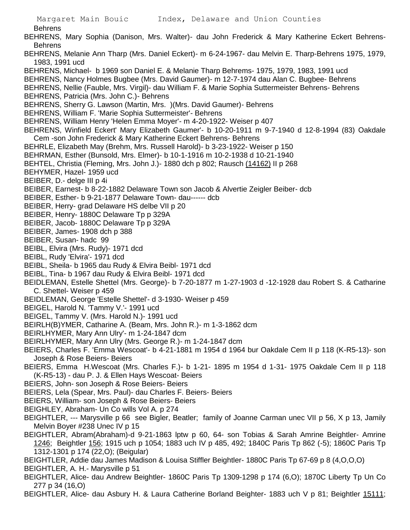- Behrens BEHRENS, Mary Sophia (Danison, Mrs. Walter)- dau John Frederick & Mary Katherine Eckert Behrens-Behrens BEHRENS, Melanie Ann Tharp (Mrs. Daniel Eckert)- m 6-24-1967- dau Melvin E. Tharp-Behrens 1975, 1979, 1983, 1991 ucd BEHRENS, Michael- b 1969 son Daniel E. & Melanie Tharp Behrems- 1975, 1979, 1983, 1991 ucd BEHRENS, Nancy Holmes Bugbee (Mrs. David Gaumer)- m 12-7-1974 dau Alan C. Bugbee- Behrens BEHRENS, Nellie (Fauble, Mrs. Virgil)- dau William F. & Marie Sophia Suttermeister Behrens- Behrens BEHRENS, Patricia (Mrs. John C.)- Behrens BEHRENS, Sherry G. Lawson (Martin, Mrs. )(Mrs. David Gaumer)- Behrens BEHRENS, William F. 'Marie Sophia Suttermeister'- Behrens BEHRENS, William Henry 'Helen Emma Moyer'- m 4-20-1922- Weiser p 407 BEHRENS, Winfield Eckert' Mary Elizabeth Gaumer'- b 10-20-1911 m 9-7-1940 d 12-8-1994 (83) Oakdale Cem -son John Frederick & Mary Katherine Eckert Behrens- Behrens BEHRLE, Elizabeth May (Brehm, Mrs. Russell Harold)- b 3-23-1922- Weiser p 150 BEHRMAN, Esther (Bunsold, Mrs. Elmer)- b 10-1-1916 m 10-2-1938 d 10-21-1940 BEHTEL, Christia (Fleming, Mrs. John J.)- 1880 dch p 802; Rausch (14162) II p 268 BEHYMER, Hazel- 1959 ucd BEIBER, D.- delge III p 4i BEIBER, Earnest- b 8-22-1882 Delaware Town son Jacob & Alvertie Zeigler Beiber- dcb BEIBER, Esther- b 9-21-1877 Delaware Town- dau------ dcb BEIBER, Herry- grad Delaware HS delbe VII p 20 BEIBER, Henry- 1880C Delaware Tp p 329A BEIBER, Jacob- 1880C Delaware Tp p 329A BEIBER, James- 1908 dch p 388 BEIBER, Susan- hadc 99 BEIBL, Elvira (Mrs. Rudy)- 1971 dcd BEIBL, Rudy 'Elvira'- 1971 dcd BEIBL, Sheila- b 1965 dau Rudy & Elvira Beibl- 1971 dcd BEIBL, Tina- b 1967 dau Rudy & Elvira Beibl- 1971 dcd BEIDLEMAN, Estelle Shettel (Mrs. George)- b 7-20-1877 m 1-27-1903 d -12-1928 dau Robert S. & Catharine C. Shettel- Weiser p 459 BEIDLEMAN, George 'Estelle Shettel'- d 3-1930- Weiser p 459 BEIGEL, Harold N. 'Tammy V.'- 1991 ucd BEIGEL, Tammy V. (Mrs. Harold N.)- 1991 ucd BEIRLH(B)YMER, Catharine A. (Beam, Mrs. John R.)- m 1-3-1862 dcm BEIRLHYMER, Mary Ann Ulry'- m 1-24-1847 dcm BEIRLHYMER, Mary Ann Ulry (Mrs. George R.)- m 1-24-1847 dcm BEIERS, Charles F. 'Emma Wescoat'- b 4-21-1881 m 1954 d 1964 bur Oakdale Cem II p 118 (K-R5-13)- son Joseph & Rose Beiers- Beiers BEIERS, Emma H.Wescoat (Mrs. Charles F.)- b 1-21- 1895 m 1954 d 1-31- 1975 Oakdale Cem II p 118 (K-R5-13) - dau P. J. & Ellen Hays Wescoat- Beiers BEIERS, John- son Joseph & Rose Beiers- Beiers BEIERS, Lela (Spear, Mrs. Paul)- dau Charles F. Beiers- Beiers BEIERS, William- son Joseph & Rose Beiers- Beiers BEIGHLEY, Abraham- Un Co wills Vol A. p 274 BEIGHTLER, --- Marysville p 66 see Bigler, Beatler; family of Joanne Carman unec VII p 56, X p 13, Jamily Melvin Boyer #238 Unec IV p 15 BEIGHTLER, Abram(Abraham)-d 9-21-1863 lptw p 60, 64- son Tobias & Sarah Amrine Beightler- Amrine 1246; Beightler 156; 1915 uch p 1054; 1883 uch IV p 485, 492; 1840C Paris Tp 862 (-5); 1860C Paris Tp 1312-1301 p 174 (22,O); (Beigular) BEIGHTLER, Addie dau James Madison & Louisa Stiffler Beightler- 1880C Paris Tp 67-69 p 8 (4,O,O,O)
- BEIGHTLER, A. H.- Marysville p 51
- BEIGHTLER, Alice- dau Andrew Beightler- 1860C Paris Tp 1309-1298 p 174 (6,O); 1870C Liberty Tp Un Co 277 p 34 (16,O)

BEIGHTLER, Alice- dau Asbury H. & Laura Catherine Borland Beighter- 1883 uch V p 81; Beightler 15111;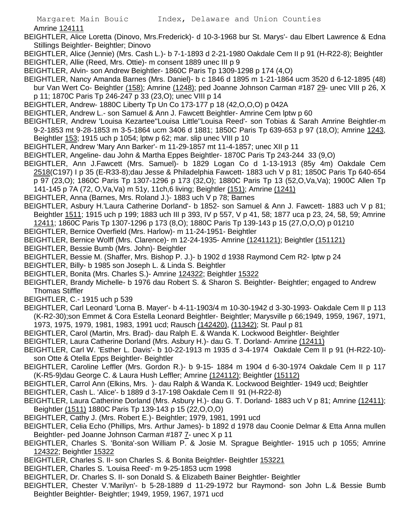Amrine 124111

BEIGHTLER, Alice Loretta (Dinovo, Mrs.Frederick)- d 10-3-1968 bur St. Marys'- dau Elbert Lawrence & Edna Stillings Beightler- Beightler; Dinovo

- BEIGHTLER, Alice (Jennie) (Mrs. Cash L.)- b 7-1-1893 d 2-21-1980 Oakdale Cem II p 91 (H-R22-8); Beightler BEIGHTLER, Allie (Reed, Mrs. Ottie)- m consent 1889 unec III p 9
- BEIGHTLER, Alvin- son Andrew Beightler- 1860C Paris Tp 1309-1298 p 174 (4,O)
- BEIGHTLER, Nancy Amanda Barnes (Mrs. Daniel)- b c 1846 d 1895 m 1-21-1864 ucm 3520 d 6-12-1895 (48) bur Van Wert Co- Beightler (158); Amrine (1248); ped Joanne Johnson Carman #187 29- unec VIII p 26, X p 11; 1870C Paris Tp 246-247 p 33 (23,O); unec VIII p 14
- BEIGHTLER, Andrew- 1880C Liberty Tp Un Co 173-177 p 18 (42,O,O,O) p 042A
- BEIGHTLER, Andrew L.- son Samuel & Ann J. Fawcett Beightler- Amrine Cem lptw p 60
- BEIGHTLER, Andrew 'Louisa Kezartee''Louisa Little''Louisa Reed'- son Tobias & Sarah Amrine Beightler-m 9-2-1853 mt 9-28-1853 m 3-5-1864 ucm 3406 d 1881; 1850C Paris Tp 639-653 p 97 (18,O); Amrine 1243, Beightler 153; 1915 uch p 1054; lptw p 62; mar. slip unec VIII p 10
- BEIGHTLER, Andrew 'Mary Ann Barker'- m 11-29-1857 mt 11-4-1857; unec XII p 11
- BEIGHTLER, Angeline- dau John & Martha Eppes Beightler- 1870C Paris Tp 243-244 33 (9,O)
- BEIGHTLER, Ann J.Fawcett (Mrs. Samuel)- b 1829 Logan Co d 1-13-1913 (85y 4m) Oakdale Cem 2518(C197) I p 35 (E-R33-8);dau Jesse & Philadelphia Fawcett- 1883 uch V p 81; 1850C Paris Tp 640-654
	- p 97 (23,O); 1860C Paris Tp 1307-1296 p 173 (32,O); 1880C Paris Tp 13 (52,O,Va,Va); 1900C Allen Tp 141-145 p 7A (72, O,Va,Va) m 51y, 11ch,6 living; Beightler (151); Amrine (1241)
- BEIGHTLER, Anna (Barnes, Mrs. Roland J.)- 1883 uch V p 78; Barnes
- BEIGHTLER, Asbury H.'Laura Catherine Dorland'- b 1852- son Samuel & Ann J. Fawcett- 1883 uch V p 81; Beightler 1511; 1915 uch p 199; 1883 uch III p 393, IV p 557, V p 41, 58; 1877 uca p 23, 24, 58, 59; Amrine
- 12411; 1860C Paris Tp 1307-1296 p 173 (8,O); 1880C Paris Tp 139-143 p 15 (27,O,O,O) p 01210
- BEIGHTLER, Bernice Overfield (Mrs. Harlow)- m 11-24-1951- Beightler
- BEIGHTLER, Bernice Wolff (Mrs. Clarence)- m 12-24-1935- Amrine (1241121); Beightler (151121)
- BEIGHTLER, Bessie Bumb (Mrs. John)- Beightler
- BEIGHTLER, Bessie M. (Shaffer, Mrs. Bishop P. J.)- b 1902 d 1938 Raymond Cem R2- lptw p 24
- BEIGHTLER, Billy- b 1985 son Joseph L. & Linda S. Beightler
- BEIGHTLER, Bonita (Mrs. Charles S.)- Amrine 124322; Beightler 15322
- BEIGHTLER, Brandy Michelle- b 1976 dau Robert S. & Sharon S. Beightler- Beightler; engaged to Andrew Thomas Stiffler
- BEIGHTLER, C.- 1915 uch p 539
- BEIGHTLER, Carl Leonard 'Lorna B. Mayer'- b 4-11-1903/4 m 10-30-1942 d 3-30-1993- Oakdale Cem II p 113 (K-R2-30);son Emmet & Cora Estella Leonard Beightler- Beightler; Marysville p 66;1949, 1959, 1967, 1971, 1973, 1975, 1979, 1981, 1983, 1991 ucd; Rausch (142420), (11342); St. Paul p 81
- BEIGHTLER, Carol (Martin, Mrs. Brad)- dau Ralph E. & Wanda K. Lockwood Beightler- Beightler
- BEIGHTLER, Laura Catherine Dorland (Mrs. Asbury H.)- dau G. T. Dorland- Amrine (12411)
- BEIGHTLER, Carl W. 'Esther L. Davis'- b 10-22-1913 m 1935 d 3-4-1974 Oakdale Cem II p 91 (H-R22-10) son Otte & Otella Epps Beightler- Beightler
- BEIGHTLER, Caroline Leffler (Mrs. Gordon R.)- b 9-15- 1884 m 1904 d 6-30-1974 Oakdale Cem II p 117 (K-R5-9)dau George C. & Laura Hush Leffler; Amrine (124112); Beightler (15112)
- BEIGHTLER, Carrol Ann (Elkins, Mrs. )- dau Ralph & Wanda K. Lockwood Beightler- 1949 ucd; Beightler
- BEIGHTLER, Cash L. 'Alice'- b 1889 d 3-17-198 Oakdale Cem II 91 (H-R22-8)
- BEIGHTLER, Laura Catherine Dorland (Mrs. Asbury H.)- dau G. T. Dorland- 1883 uch V p 81; Amrine (12411); Beightler (1511) 1880C Paris Tp 139-143 p 15 (22,O,O,O)
- BEIGHTLER, Cathy J. (Mrs. Robert E.)- Beightler; 1979, 1981, 1991 ucd
- BEIGHTLER, Celia Echo (Phillips, Mrs. Arthur James)- b 1892 d 1978 dau Coonie Delmar & Etta Anna mullen Beightler- ped Joanne Johnson Carman #187 7- unec X p 11
- BEIGHTLER, Charles S. 'Bonita'-son William P. & Josie M. Sprague Beightler- 1915 uch p 1055; Amrine 124322; Beightler 15322
- BEIGHTLER, Charles S. II- son Charles S. & Bonita Beightler- Beightler 153221
- BEIGHTLER, Charles S. 'Louisa Reed'- m 9-25-1853 ucm 1998
- BEIGHTLER, Dr. Charles S. II- son Donald S. & Elizabeth Bainer Beightler- Beightler
- BEIGHTLER, Chester V.'Marilyn'- b 5-28-1889 d 11-29-1972 bur Raymond- son John L.& Bessie Bumb Beightler Beightler- Beightler; 1949, 1959, 1967, 1971 ucd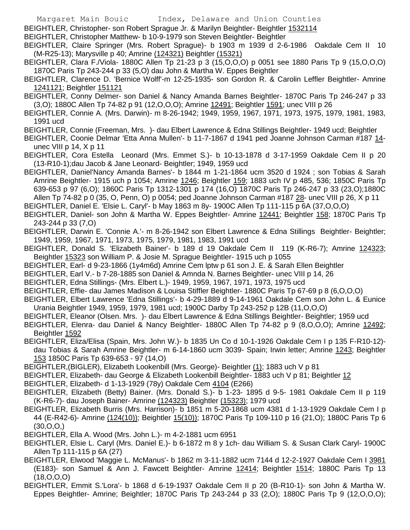BEIGHTLER, Christopher- son Robert Sprague Jr. & Marilyn Beightler- Beightler 1532114

- BEIGHTLER, Christopher Matthew- b 10-9-1979 son Steven Beightler- Beightler
- BEIGHTLER, Claire Springer (Mrs. Robert Sprague)- b 1903 m 1939 d 2-6-1986 Oakdale Cem II 10 (M-R25-13); Marysville p 40; Amrine (124321) Beightler (15321)
- BEIGHTLER, Clara F./Viola- 1880C Allen Tp 21-23 p 3 (15,O,O,O) p 0051 see 1880 Paris Tp 9 (15,O,O,O) 1870C Paris Tp 243-244 p 33 (5,O) dau John & Martha W. Eppes Beightler
- BEIGHTLER, Clarence D. 'Bernice Wolff'-m 12-25-1935- son Gordon R. & Carolin Leffler Beightler- Amrine 1241121; Beightler 151121
- BEIGHTLER, Conny Delmer- son Daniel & Nancy Amanda Barnes Beightler- 1870C Paris Tp 246-247 p 33 (3,O); 1880C Allen Tp 74-82 p 91 (12,O,O,O); Amrine 12491; Beightler 1591; unec VIII p 26
- BEIGHTLER, Connie A. (Mrs. Darwin)- m 8-26-1942; 1949, 1959, 1967, 1971, 1973, 1975, 1979, 1981, 1983, 1991 ucd
- BEIGHTLER, Connie (Freeman, Mrs. )- dau Elbert Lawrence & Edna Stillings Beightler- 1949 ucd; Beightler
- BEIGHTLER, Coonie Delmar 'Etta Anna Mullen'- b 11-7-1867 d 1941 ped Joanne Johnson Carman #187 14unec VIII p 14, X p 11
- BEIGHTLER, Cora Estella Leonard (Mrs. Emmet S.)- b 10-13-1878 d 3-17-1959 Oakdale Cem II p 20 (13-R10-1);dau Jacob & Jane Leonard- Beightler; 1949, 1959 ucd
- BEIGHTLER, Daniel'Nancy Amanda Barnes'- b 1844 m 1-21-1864 ucm 3520 d 1924 ; son Tobias & Sarah Amrine Beightler- 1915 uch p 1054; Amrine 1246; Beightler 159; 1883 uch IV p 485, 536; 1850C Paris Tp 639-653 p 97 (6,O); 1860C Paris Tp 1312-1301 p 174 (16,O) 1870C Paris Tp 246-247 p 33 (23,O);1880C Allen Tp 74-82 p 0 (35, O, Penn, O) p 0054; ped Joanne Johnson Carman #187 28- unec VIII p 26, X p 11
- BEIGHTLER, Daniel E. 'Elsie L. Caryl'- b May 1863 m 8y- 1900C Allen Tp 111-115 p 6A (37,O,O,O)
- BEIGHTLER, Daniel- son John & Martha W. Eppes Beightler- Amrine 12441; Beightler 158; 1870C Paris Tp 243-244 p 33 (7,O)
- BEIGHTLER, Darwin E. 'Connie A.'- m 8-26-1942 son Elbert Lawrence & Edna Stillings Beightler- Beightler; 1949, 1959, 1967, 1971, 1973, 1975, 1979, 1981, 1983, 1991 ucd
- BEIGHTLER, Donald S. 'Elizabeth Bainer'- b 189 d 19 Oakdale Cem II 119 (K-R6-7); Amrine 124323; Beightler 15323 son William P. & Josie M. Sprague Beightler- 1915 uch p 1055
- BEIGHTLER, Earl- d 9-23-1866 (1y4m6d) Amrine Cem lptw p 61 son J. E. & Sarah Ellen Beightler
- BEIGHTLER, Earl V.- b 7-28-1885 son Daniel & Amnda N. Barnes Beightler- unec VIII p 14, 26
- BEIGHTLER, Edna Stillings- (Mrs. Elbert L.)- 1949, 1959, 1967, 1971, 1973, 1975 ucd
- BEIGHTLER, Effie- dau James Madison & Louisa Stiffler Beightler- 1880C Paris Tp 67-69 p 8 (6,O,O,O)
- BEIGHTLER, Elbert Lawrence 'Edna Stillings'- b 4-29-1889 d 9-14-1961 Oakdale Cem son John L. & Eunice Urania Beightler 1949, 1959, 1979, 1981 ucd; 1900C Darby Tp 243-252 p 12B (11,O,O,O)
- BEIGHTLER, Eleanor (Olsen. Mrs. )- dau Elbert Lawrence & Edna Stillings Beightler- Beightler; 1959 ucd
- BEIGHTLER, Elenra- dau Daniel & Nancy Beightler- 1880C Allen Tp 74-82 p 9 (8,O,O,O); Amrine 12492; Beightler 1592
- BEIGHTLER, Eliza/Elisa (Spain, Mrs. John W.)- b 1835 Un Co d 10-1-1926 Oakdale Cem I p 135 F-R10-12) dau Tobias & Sarah Amrine Beightler- m 6-14-1860 ucm 3039- Spain; Irwin letter; Amrine 1243; Beightler 153 1850C Paris Tp 639-653 - 97 (14,O)
- BEIGHTLER,(BIGLER), Elizabeth Lookenbill (Mrs. George)- Beightler (1); 1883 uch V p 81
- BEIGHTLER, Elizabeth- dau George & Elizabeth Lookenbill Beightler- 1883 uch V p 81; Beightler 12
- BEIGHTLER, Elizabeth- d 1-13-1929 (78y) Oakdale Cem 4104 (E266)
- BEIGHTLER, Elizabeth (Betty) Bainer. (Mrs. Donald S.)- b 1-23- 1895 d 9-5- 1981 Oakdale Cem II p 119 (K-R6-7)- dau Joseph Bainer- Amrine (124323) Beightler (15323); 1979 ucd
- BEIGHTLER, Elizabeth Burris (Mrs. Harrison)- b 1851 m 5-20-1868 ucm 4381 d 1-13-1929 Oakdale Cem I p 44 (E-R42-6)- Amrine (124(10)); Beightler 15(10)); 1870C Paris Tp 109-110 p 16 (21,O); 1880C Paris Tp 6  $(30, 0, 0, 0)$
- BEIGHTLER, Ella A. Wood (Mrs. John L.)- m 4-2-1881 ucm 6951
- BEIGHTLER, Elsie L. Caryl (Mrs. Daniel E.)- b 6-1872 m 8 y 1ch- dau William S. & Susan Clark Caryl- 1900C Allen Tp 111-115 p 6A (27)
- BEIGHTLER, Elwood 'Maggie L. McManus'- b 1862 m 3-11-1882 ucm 7144 d 12-2-1927 Oakdale Cem I 3981 (E183)- son Samuel & Ann J. Fawcett Beightler- Amrine 12414; Beightler 1514; 1880C Paris Tp 13 (18,O,O,O)
- BEIGHTLER, Emmit S.'Lora'- b 1868 d 6-19-1937 Oakdale Cem II p 20 (B-R10-1)- son John & Martha W. Eppes Beightler- Amrine; Beightler; 1870C Paris Tp 243-244 p 33 (2,O); 1880C Paris Tp 9 (12,O,O,O);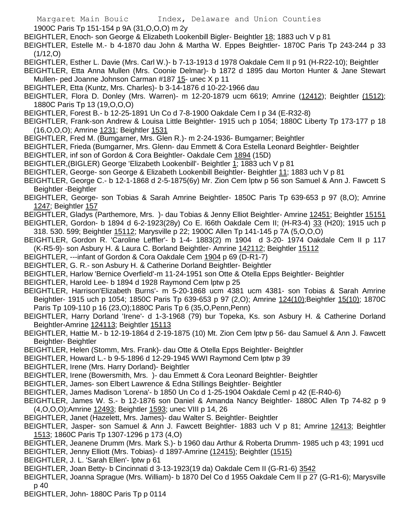Margaret Main Bouic Index, Delaware and Union Counties 1900C Paris Tp 151-154 p 9A (31,O,O,O) m 2y BEIGHTLER, Enoch- son George & Elizabeth Lookenbill Bigler- Beightler 18; 1883 uch V p 81 BEIGHTLER, Estelle M.- b 4-1870 dau John & Martha W. Eppes Beightler- 1870C Paris Tp 243-244 p 33 (1/12,O)

BEIGHTLER, Esther L. Davie (Mrs. Carl W.)- b 7-13-1913 d 1978 Oakdale Cem II p 91 (H-R22-10); Beightler

BEIGHTLER, Etta Anna Mullen (Mrs. Coonie Delmar)- b 1872 d 1895 dau Morton Hunter & Jane Stewart Mullen- ped Joanne Johnson Carman #187 15- unec X p 11

- BEIGHTLER, Etta (Kuntz, Mrs. Charles)- b 3-14-1876 d 10-22-1966 dau
- BEIGHTLER, Flora D. Donley (Mrs. Warren)- m 12-20-1879 ucm 6619; Amrine (12412); Beightler (1512); 1880C Paris Tp 13 (19,O,O,O)
- BEIGHTLER, Forest B.- b 12-25-1891 Un Co d 7-8-1900 Oakdale Cem I p 34 (E-R32-8)
- BEIGHTLER, Frank-son Andrew & Louisa Little Beightler- 1915 uch p 1054; 1880C Liberty Tp 173-177 p 18 (16,O,O,O); Amrine 1231; Beightler 1531
- BEIGHTLER, Fred M. (Bumgarner, Mrs. Glen R.)- m 2-24-1936- Bumgarner; Beightler
- BEIGHTLER, Frieda (Bumgarner, Mrs. Glenn- dau Emmett & Cora Estella Leonard Beightler- Beightler
- BEIGHTLER, inf son of Gordon & Cora Beightler- Oakdale Cem 1894 (15D)
- BEIGHTLER,(BIGLER) George 'Elizabeth Lookenbill'- Beightler 1; 1883 uch V p 81
- BEIGHTLER, George- son George & Elizabeth Lookenbill Beightler- Beightler 11; 1883 uch V p 81
- BEIGHTLER, George C.- b 12-1-1868 d 2-5-1875(6y) Mr. Zion Cem lptw p 56 son Samuel & Ann J. Fawcett S Beightler -Beightler
- BEIGHTLER, George- son Tobias & Sarah Amrine Beightler- 1850C Paris Tp 639-653 p 97 (8,O); Amrine 1247; Beightler 157
- BEIGHTLER, Gladys (Parthemore, Mrs. )- dau Tobias & Jenny Elliot Beightler- Amrine 12451; Beightler 15151
- BEIGHTLER, Gordon- b 1894 d 6-2-1923(28y) Co E. l66th Oakdale Cem II; (H-R3-4) 33 (H20); 1915 uch p 318. 530. 599; Beightler 15112; Marysville p 22; 1900C Allen Tp 141-145 p 7A (5,O,O,O)
- BEIGHTLER, Gordon R. 'Caroline Leffler'- b 1-4- 1883(2) m 1904 d 3-20- 1974 Oakdale Cem II p 117 (K-R5-9)- son Asbury H. & Laura C. Borland Beightler- Amrine 142112; Beightler 15112
- BEIGHTLER, ---infant of Gordon & Cora Oakdale Cem 1904 p 69 (D-R1-7)
- BEIGHTLER, G. R.- son Asbury H. & Catherine Dorland Beightler- Beightler
- BEIGHTLER, Harlow 'Bernice Overfield'-m 11-24-1951 son Otte & Otella Epps Beightler- Beightler
- BEIGHTLER, Harold Lee- b 1894 d 1928 Raymond Cem lptw p 25
- BEIGHTLER, Harrison'Elizabeth Burns'- m 5-20-1868 ucm 4381 ucm 4381- son Tobias & Sarah Amrine Beightler- 1915 uch p 1054; 1850C Paris Tp 639-653 p 97 (2,O); Amrine 124(10);Beightler 15(10); 1870C Paris Tp 109-110 p 16 (23,O);1880C Paris Tp 6 (35,O,Penn,Penn)
- BEIGHTLER, Harry Dorland 'Irene'- d 1-3-1968 (79) bur Topeka, Ks. son Asbury H. & Catherine Dorland Beightler-Amrine 124113; Beightler 15113
- BEIGHTLER, Hattie M.- b 12-19-1864 d 2-19-1875 (10) Mt. Zion Cem lptw p 56- dau Samuel & Ann J. Fawcett Beightler- Beightler
- BEIGHTLER, Helen (Stomm, Mrs. Frank)- dau Otte & Otella Epps Beightler- Beightler
- BEIGHTLER, Howard L.- b 9-5-1896 d 12-29-1945 WWI Raymond Cem lptw p 39
- BEIGHTLER, Irene (Mrs. Harry Dorland)- Beightler
- BEIGHTLER, Irene (Bowersmith, Mrs. )- dau Emmett & Cora Leonard Beightler- Beightler
- BEIGHTLER, James- son Elbert Lawrence & Edna Stillings Beightler- Beightler
- BEIGHTLER, James Madison 'Lorena'- b 1850 Un Co d 1-25-1904 Oakdale CemI p 42 (E-R40-6)
- BEIGHTLER, James W. S.- b 12-1876 son Daniel & Amanda Nancy Beightler- 1880C Allen Tp 74-82 p 9 (4,O,O,O);Amrine 12493; Beightler 1593; unec VIII p 14, 26
- BEIGHTLER, Janet (Hazelett, Mrs. James)- dau Walter S. Beightler- Beightler
- BEIGHTLER, Jasper- son Samuel & Ann J. Fawcett Beightler- 1883 uch V p 81; Amrine 12413; Beightler 1513; 1860C Paris Tp 1307-1296 p 173 (4,O)
- BEIGHTLER, Jeanene Drumm (Mrs. Mark S.)- b 1960 dau Arthur & Roberta Drumm- 1985 uch p 43; 1991 ucd BEIGHTLER, Jenny Elliott (Mrs. Tobias)- d 1897-Amrine (12415); Beightler (1515)
- BEIGHTLER, J. L. 'Sarah Ellen'- lptw p 61
- BEIGHTLER, Joan Betty- b Cincinnati d 3-13-1923(19 da) Oakdale Cem II (G-R1-6) 3542
- BEIGHTLER, Joanna Sprague (Mrs. William)- b 1870 Del Co d 1955 Oakdale Cem II p 27 (G-R1-6); Marysville p 40
- BEIGHTLER, John- 1880C Paris Tp p 0114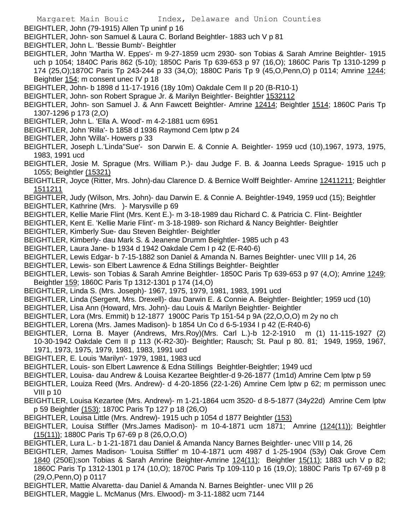BEIGHTLER, John (79-1915) Allen Tp uninf p 16

BEIGHTLER, John- son Samuel & Laura C. Borland Beightler- 1883 uch V p 81

- BEIGHTLER, John L. 'Bessie Bumb'- Beightler
- BEIGHTLER, John 'Martha W. Eppes'- m 9-27-1859 ucm 2930- son Tobias & Sarah Amrine Beightler- 1915 uch p 1054; 1840C Paris 862 (5-10); 1850C Paris Tp 639-653 p 97 (16,O); 1860C Paris Tp 1310-1299 p 174 (25,O);1870C Paris Tp 243-244 p 33 (34,O); 1880C Paris Tp 9 (45,O,Penn,O) p 0114; Amrine 1244; Beightler 154; m consent unec IV p 18
- BEIGHTLER, John- b 1898 d 11-17-1916 (18y 10m) Oakdale Cem II p 20 (B-R10-1)
- BEIGHTLER, John- son Robert Sprague Jr. & Marilyn Beightler- Beightler 1532112
- BEIGHTLER, John- son Samuel J. & Ann Fawcett Beightler- Amrine 12414; Beightler 1514; 1860C Paris Tp 1307-1296 p 173 (2,O)
- BEIGHTLER, John L. 'Ella A. Wood'- m 4-2-1881 ucm 6951
- BEIGHTLER, John 'Rilla'- b 1858 d 1936 Raymond Cem lptw p 24
- BEIGHTLER, John 'Willa'- Howers p 33
- BEIGHTLER, Joseph L.'Linda''Sue'- son Darwin E. & Connie A. Beightler- 1959 ucd (10),1967, 1973, 1975, 1983, 1991 ucd
- BEIGHTLER, Josie M. Sprague (Mrs. William P.)- dau Judge F. B. & Joanna Leeds Sprague- 1915 uch p 1055; Beightler (15321)
- BEIGHTLER, Joyce (Ritter, Mrs. John)-dau Clarence D. & Bernice Wolff Beightler- Amrine 12411211; Beightler 1511211
- BEIGHTLER, Judy (Wilson, Mrs. John)- dau Darwin E. & Connie A. Beightler-1949, 1959 ucd (15); Beightler BEIGHTLER, Kathrine (Mrs. )- Marysville p 69
- BEIGHTLER, Kellie Marie Flint (Mrs. Kent E.)- m 3-18-1989 dau Richard C. & Patricia C. Flint- Beightler
- BEIGHTLER, Kent E. 'Kellie Marie Flint'- m 3-18-1989- son Richard & Nancy Beightler- Beightler
- BEIGHTLER, Kimberly Sue- dau Steven Beightler- Beightler
- BEIGHTLER, Kimberly- dau Mark S. & Jeanene Drumm Beightler- 1985 uch p 43
- BEIGHTLER, Laura Jane- b 1934 d 1942 Oakdale Cem I p 42 (E-R40-6)
- BEIGHTLER, Lewis Edgar- b 7-15-1882 son Daniel & Amanda N. Barnes Beightler- unec VIII p 14, 26
- BEIGHTLER, Lewis- son Elbert Lawrence & Edna Stillings Beightler- Beightler
- BEIGHTLER, Lewis- son Tobias & Sarah Amrine Beightler- 1850C Paris Tp 639-653 p 97 (4,O); Amrine 1249; Beightler 159; 1860C Paris Tp 1312-1301 p 174 (14,O)
- BEIGHTLER, Linda S. (Mrs. Joseph)- 1967, 1975, 1979, 1981, 1983, 1991 ucd
- BEIGHTLER, Linda (Sergent, Mrs. Drexell)- dau Darwin E. & Connie A. Beightler- Beightler; 1959 ucd (10)
- BEIGHTLER, Lisa Ann (Howard, Mrs. John)- dau Louis & Marilyn Beightler- Beightler
- BEIGHTLER, Lora (Mrs. Emmit) b 12-1877 1900C Paris Tp 151-54 p 9A (22,O,O,O) m 2y no ch
- BEIGHTLER, Lorena (Mrs. James Madison)- b 1854 Un Co d 6-5-1934 I p 42 (E-R40-6)
- BEIGHTLER, Lorna B. Mayer (Andrews, Mrs.Roy)(Mrs. Carl L.)-b 12-2-1910 m (1) 11-115-1927 (2) 10-30-1942 Oakdale Cem II p 113 (K-R2-30)- Beightler; Rausch; St. Paul p 80. 81; 1949, 1959, 1967, 1971, 1973, 1975, 1979, 1981, 1983, 1991 ucd
- BEIGHTLER, E. Louis 'Marilyn'- 1979, 1981, 1983 ucd
- BEIGHTLER, Louis- son Elbert Lawrence & Edna Stillings Beightler-Beightler; 1949 ucd
- BEIGHTLER, Louisa- dau Andrew & Louisa Kezartee Beightler-d 9-26-1877 (1m1d) Amrine Cem lptw p 59
- BEIGHTLER, Louiza Reed (Mrs. Andrew)- d 4-20-1856 (22-1-26) Amrine Cem lptw p 62; m permisson unec VIII p 10
- BEIGHTLER, Louisa Kezartee (Mrs. Andrew)- m 1-21-1864 ucm 3520- d 8-5-1877 (34y22d) Amrine Cem lptw p 59 Beightler (153); 1870C Paris Tp 127 p 18 (26,O)
- BEIGHTLER, Louisa Little (Mrs. Andrew)- 1915 uch p 1054 d 1877 Beightler (153)
- BEIGHTLER, Louisa Stiffler (Mrs.James Madison)- m 10-4-1871 ucm 1871; Amrine (124(11)); Beightler (15(11)); 1880C Paris Tp 67-69 p 8 (26,O,O,O)
- BEIGHTLER, Lura L.- b 1-21-1871 dau Daniel & Amanda Nancy Barnes Beightler- unec VIII p 14, 26
- BEIGHTLER, James Madison- 'Louisa Stiffler' m 10-4-1871 ucm 4987 d 1-25-1904 (53y) Oak Grove Cem
	- 1840 (250E);son Tobias & Sarah Amrine Beighter-Amrine 124(11); Beightler 15(11); 1883 uch V p 82; 1860C Paris Tp 1312-1301 p 174 (10,O); 1870C Paris Tp 109-110 p 16 (19,O); 1880C Paris Tp 67-69 p 8 (29,O,Penn,O) p 0117
- BEIGHTLER, Mattie Alvaretta- dau Daniel & Amanda N. Barnes Beightler- unec VIII p 26
- BEIGHTLER, Maggie L. McManus (Mrs. Elwood)- m 3-11-1882 ucm 7144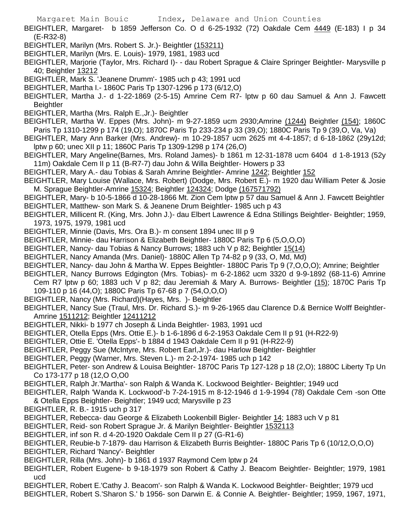- BEIGHTLER, Margaret- b 1859 Jefferson Co. O d 6-25-1932 (72) Oakdale Cem  $\frac{4449}{16}$  (E-183) I p 34 (E-R32-8)
- BEIGHTLER, Marilyn (Mrs. Robert S. Jr.)- Beightler (153211)
- BEIGHTLER, Marilyn (Mrs. E. Louis)- 1979, 1981, 1983 ucd
- BEIGHTLER, Marjorie (Taylor, Mrs. Richard I)- dau Robert Sprague & Claire Springer Beightler- Marysville p 40; Beightler 13212
- BEIGHTLER, Mark S. 'Jeanene Drumm'- 1985 uch p 43; 1991 ucd
- BEIGHTLER, Martha I.- 1860C Paris Tp 1307-1296 p 173 (6/12,O)
- BEIGHTLER, Martha J.- d 1-22-1869 (2-5-15) Amrine Cem R7- lptw p 60 dau Samuel & Ann J. Fawcett **Beightler**
- BEIGHTLER, Martha (Mrs. Ralph E.,Jr.)- Beightler
- BEIGHTLER, Martha W. Eppes (Mrs. John)- m 9-27-1859 ucm 2930;Amrine (1244) Beightler (154); 1860C Paris Tp 1310-1299 p 174 (19,O); 1870C Paris Tp 233-234 p 33 (39,O); 1880C Paris Tp 9 (39,O, Va, Va)
- BEIGHTLER, Mary Ann Barker (Mrs. Andrew)- m 10-29-1857 ucm 2625 mt 4-4-1857; d 6-18-1862 (29y12d; lptw p 60; unec XII p 11; 1860C Paris Tp 1309-1298 p 174 (26,O)
- BEIGHTLER, Mary Angeline(Barnes, Mrs. Roland James)- b 1861 m 12-31-1878 ucm 6404 d 1-8-1913 (52y 11m) Oakdale Cem II p 11 (B-R7-7) dau John & Willa Beightler- Howers p 33
- BEIGHTLER, Mary A.- dau Tobias & Sarah Amrine Beightler- Amrine 1242; Beightler 152
- BEIGHTLER, Mary Louise (Wallace, Mrs. Robert) (Dodge, Mrs. Robert E.)- m 1920 dau William Peter & Josie M. Sprague Beightler-Amrine 15324; Beightler 124324; Dodge (167571792)
- BEIGHTLER, Mary- b 10-5-1866 d 10-28-1866 Mt. Zion Cem lptw p 57 dau Samuel & Ann J. Fawcett Beightler
- BEIGHTLER, Matthew- son Mark S. & Jeanene Drum Beightler- 1985 uch p 43
- BEIGHTLER, Millicent R. (King, Mrs. John J.)- dau Elbert Lawrence & Edna Stillings Beightler- Beightler; 1959, 1973, 1975, 1979, 1981 ucd
- BEIGHTLER, Minnie (Davis, Mrs. Ora B.)- m consent 1894 unec III p 9
- BEIGHTLER, Minnie- dau Harrison & Elizabeth Beightler- 1880C Paris Tp 6 (5,O,O,O)
- BEIGHTLER, Nancy- dau Tobias & Nancy Burrows; 1883 uch V p 82; Beightler 15(14)
- BEIGHTLER, Nancy Amanda (Mrs. Daniel)- 1880C Allen Tp 74-82 p 9 (33, O, Md, Md)
- BEIGHTLER, Nancy- dau John & Martha W. Eppes Beightler- 1880C Paris Tp 9 (7,O,O,O); Amrine; Beightler
- BEIGHTLER, Nancy Burrows Edgington (Mrs. Tobias)- m 6-2-1862 ucm 3320 d 9-9-1892 (68-11-6) Amrine Cem R7 lptw p 60; 1883 uch V p 82; dau Jeremiah & Mary A. Burrows- Beightler (15); 1870C Paris Tp
- 109-110 p 16 (44,O); 1880C Paris Tp 67-68 p 7 (54,O,O,O)
- BEIGHTLER, Nancy (Mrs. Richard)(Hayes, Mrs. )- Beightler
- BEIGHTLER, Nancy Sue (Traul, Mrs. Dr. Richard S.)- m 9-26-1965 dau Clarence D.& Bernice Wolff Beightler-Amrine 1511212; Beightler 12411212
- BEIGHTLER, Nikki- b 1977 ch Joseph & Linda Beightler- 1983, 1991 ucd
- BEIGHTLER, Otella Epps (Mrs. Ottie E.)- b 1-6-1896 d 6-2-1953 Oakdale Cem II p 91 (H-R22-9)
- BEIGHTLER, Ottie E. 'Otella Epps'- b 1884 d 1943 Oakdale Cem II p 91 (H-R22-9)
- BEIGHTLER, Peggy Sue (McIntyre, Mrs. Robert Earl,Jr.)- dau Harlow Beightler- Beightler
- BEIGHTLER, Peggy (Warner, Mrs. Steven L.)- m 2-2-1974- 1985 uch p 142
- BEIGHTLER, Peter- son Andrew & Louisa Beightler- 1870C Paris Tp 127-128 p 18 (2,O); 1880C Liberty Tp Un Co 173-177 p 18 (12,O O,O0
- BEIGHTLER, Ralph Jr.'Martha'- son Ralph & Wanda K. Lockwood Beightler- Beightler; 1949 ucd
- BEIGHTLER, Ralph 'Wanda K. Lockwood'-b 7-24-1915 m 8-12-1946 d 1-9-1994 (78) Oakdale Cem -son Otte & Otella Epps Beightler- Beightler; 1949 ucd; Marysville p 23
- BEIGHTLER, R. B.- 1915 uch p 317
- BEIGHTLER, Rebecca- dau George & Elizabeth Lookenbill Bigler- Beightler 14; 1883 uch V p 81
- BEIGHTLER, Reid- son Robert Sprague Jr. & Marilyn Beightler- Beightler 1532113
- BEIGHTLER, inf son R. d 4-20-1920 Oakdale Cem II p 27 (G-R1-6)
- BEIGHTLER, Reubie-b 7-1879- dau Harrison & Elizabeth Burris Beightler- 1880C Paris Tp 6 (10/12,O,O,O)
- BEIGHTLER, Richard 'Nancy'- Beightler
- BEIGHTLER, Rilla (Mrs. John)- b 1861 d 1937 Raymond Cem lptw p 24
- BEIGHTLER, Robert Eugene- b 9-18-1979 son Robert & Cathy J. Beacom Beightler- Beightler; 1979, 1981 ucd
- BEIGHTLER, Robert E.'Cathy J. Beacom'- son Ralph & Wanda K. Lockwood Beightler- Beightler; 1979 ucd
- BEIGHTLER, Robert S.'Sharon S.' b 1956- son Darwin E. & Connie A. Beightler- Beightler; 1959, 1967, 1971,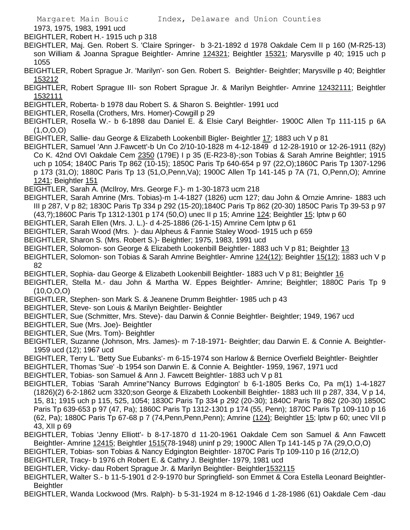1973, 1975, 1983, 1991 ucd

BEIGHTLER, Robert H.- 1915 uch p 318

- BEIGHTLER, Maj. Gen. Robert S. 'Claire Springer- b 3-21-1892 d 1978 Oakdale Cem II p 160 (M-R25-13) son William & Joanna Sprague Beightler- Amrine 124321; Beightler 15321; Marysville p 40; 1915 uch p 1055
- BEIGHTLER, Robert Sprague Jr. 'Marilyn'- son Gen. Robert S. Beightler- Beightler; Marysville p 40; Beightler 153212
- BEIGHTLER, Robert Sprague III- son Robert Sprague Jr. & Marilyn Beightler- Amrine 12432111; Beightler 1532111
- BEIGHTLER, Roberta- b 1978 dau Robert S. & Sharon S. Beightler- 1991 ucd
- BEIGHTLER, Rosella (Crothers, Mrs. Homer)-Cowgill p 29
- BEIGHTLER, Rosella W.- b 6-1898 dau Daniel E. & Elsie Caryl Beightler- 1900C Allen Tp 111-115 p 6A (1,O,O,O)
- BEIGHTLER, Sallie- dau George & Elizabeth Lookenbill Bigler- Beightler 17; 1883 uch V p 81
- BEIGHTLER, Samuel 'Ann J.Fawcett'-b Un Co 2/10-10-1828 m 4-12-1849 d 12-28-1910 or 12-26-1911 (82y) Co K. 42nd OVI Oakdale Cem 2350 (179E) I p 35 (E-R23-8)-;son Tobias & Sarah Amrine Beightler; 1915 uch p 1054; 1840C Paris Tp 862 (10-15); 1850C Paris Tp 640-654 p 97 (22,O);1860C Paris Tp 1307-1296 p 173 (31,O); 1880C Paris Tp 13 (51,O,Penn,Va); 1900C Allen Tp 141-145 p 7A (71, O,Penn,O); Amrine 1241; Beightler 151
- BEIGHTLER, Sarah A. (McIlroy, Mrs. George F.)- m 1-30-1873 ucm 218
- BEIGHTLER, Sarah Amrine (Mrs. Tobias)-m 1-4-1827 (1826) ucm 127; dau John & Ornzie Amrine- 1883 uch III p 287, V p 82; 1830C Paris Tp 334 p 292 (15-20);1840C Paris Tp 862 (20-30) 1850C Paris Tp 39-53 p 97
- (43,?);1860C Paris Tp 1312-1301 p 174 (50,O) unec II p 15; Amrine 124; Beightler 15; lptw p 60
- BEIGHTLER, Sarah Ellen (Mrs. J. L.)- d 4-25-1886 (26-1-15) Amrine Cem lptw p 61
- BEIGHTLER, Sarah Wood (Mrs. )- dau Alpheus & Fannie Staley Wood- 1915 uch p 659
- BEIGHTLER, Sharon S. (Mrs. Robert S.)- Beightler; 1975, 1983, 1991 ucd
- BEIGHTLER, Solomon- son George & Elizabeth Lookenbill Beightler- 1883 uch V p 81; Beightler 13
- BEIGHTLER, Solomon- son Tobias & Sarah Amrine Beightler- Amrine 124(12); Beightler 15(12); 1883 uch V p 82
- BEIGHTLER, Sophia- dau George & Elizabeth Lookenbill Beightler- 1883 uch V p 81; Beightler 16
- BEIGHTLER, Stella M.- dau John & Martha W. Eppes Beightler- Amrine; Beightler; 1880C Paris Tp 9 (10,O,O,O)
- BEIGHTLER, Stephen- son Mark S. & Jeanene Drumm Beightler- 1985 uch p 43
- BEIGHTLER, Steve- son Louis & Marilyn Beightler- Beightler
- BEIGHTLER, Sue (Schmitter, Mrs. Steve)- dau Darwin & Connie Beightler- Beightler; 1949, 1967 ucd
- BEIGHTLER, Sue (Mrs. Joe)- Beightler
- BEIGHTLER, Sue (Mrs. Tom)- Beightler
- BEIGHTLER, Suzanne (Johnson, Mrs. James)- m 7-18-1971- Beightler; dau Darwin E. & Connie A. Beightler-1959 ucd (12); 1967 ucd
- BEIGHTLER, Terry L. 'Betty Sue Eubanks'- m 6-15-1974 son Harlow & Bernice Overfield Beightler- Beightler
- BEIGHTLER, Thomas 'Sue' -b 1954 son Darwin E. & Connie A. Beightler- 1959, 1967, 1971 ucd
- BEIGHTLER, Tobias- son Samuel & Ann J. Fawcett Beightler- 1883 uch V p 81
- BEIGHTLER, Tobias 'Sarah Amrine''Nancy Burrows Edgington' b 6-1-1805 Berks Co, Pa m(1) 1-4-1827 (1826)(2) 6-2-1862 ucm 3320;son George & Elizabeth Lookenbill Beightler- 1883 uch III p 287, 334, V p 14, 15, 81; 1915 uch p 115, 525, 1054; 1830C Paris Tp 334 p 292 (20-30); 1840C Paris Tp 862 (20-30) 1850C Paris Tp 639-653 p 97 (47, Pa); 1860C Paris Tp 1312-1301 p 174 (55, Penn); 1870C Paris Tp 109-110 p 16 (62, Pa); 1880C Paris Tp 67-68 p 7 (74,Penn,Penn,Penn); Amrine (124); Beightler 15; lptw p 60; unec VII p 43, XII p 69
- BEIGHTLER, Tobias 'Jenny Elliott'- b 8-17-1870 d 11-20-1961 Oakdale Cem son Samuel & Ann Fawcett Beightler- Amrine 12415; Beightler 1515(78-1948) uninf p 29; 1900C Allen Tp 141-145 p 7A (29,O,O,O)
- BEIGHTLER, Tobias- son Tobias & Nancy Edgington Beightler- 1870C Paris Tp 109-110 p 16 (2/12,O)
- BEIGHTLER, Tracy- b 1976 ch Robert E. & Cathry J. Beightler- 1979, 1981 ucd
- BEIGHTLER, Vicky- dau Robert Sprague Jr. & Marilyn Beightler- Beightler1532115
- BEIGHTLER, Walter S.- b 11-5-1901 d 2-9-1970 bur Springfield- son Emmet & Cora Estella Leonard Beightler-**Beightler**
- BEIGHTLER, Wanda Lockwood (Mrs. Ralph)- b 5-31-1924 m 8-12-1946 d 1-28-1986 (61) Oakdale Cem -dau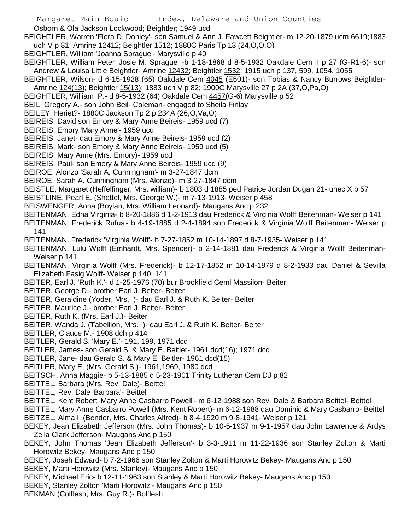Osborn & Ola Jackson Lockwood; Beightler; 1949 ucd

BEIGHTLER, Warren 'Flora D. Donley'- son Samuel & Ann J. Fawcett Beightler- m 12-20-1879 ucm 6619;1883 uch V p 81; Amrine 12412; Beightler 1512; 1880C Paris Tp 13 (24,O,O,O)

BEIGHTLER, William 'Joanna Sprague'- Marysville p 40

- BEIGHTLER, William Peter 'Josie M. Sprague' -b 1-18-1868 d 8-5-1932 Oakdale Cem II p 27 (G-R1-6)- son Andrew & Louisa Little Beightler- Amrine 12432; Beightler 1532; 1915 uch p 137, 599, 1054, 1055
- BEIGHTLER, Wilson- d 6-15-1928 (65) Oakdale Cem 4045 (E501)- son Tobias & Nancy Burrows Beightler-Amrine 124(13); Beightler 15(13); 1883 uch V p 82; 1900C Marysville 27 p 2A (37,O,Pa,O)
- BEIGHTLER, William P.- d 8-5-1932 (64) Oakdale Cem 4457(G-6) Marysville p 52
- BEIL, Gregory A.- son John Beil- Coleman- engaged to Sheila Finlay
- BEILEY, Heriet?- 1880C Jackson Tp 2 p 234A (26,O,Va,O)
- BEIREIS, David son Emory & Mary Anne Beireis- 1959 ucd (7)
- BEIREIS, Emory 'Mary Anne'- 1959 ucd
- BEIREIS, Janet- dau Emory & Mary Anne Beireis- 1959 ucd (2)
- BEIREIS, Mark- son Emory & Mary Anne Beireis- 1959 ucd (5)
- BEIREIS, Mary Anne (Mrs. Emory)- 1959 ucd
- BEIREIS, Paul- son Emory & Mary Anne Beireis- 1959 ucd (9)
- BEIROE, Alonzo 'Sarah A. Cunningham'- m 3-27-1847 dcm
- BEIROE, Sarah A. Cunningham (Mrs. Alonzo)- m 3-27-1847 dcm
- BEISTLE, Margaret (Heffelfinger, Mrs. william)- b 1803 d 1885 ped Patrice Jordan Dugan 21- unec X p 57
- BEISTLINE, Pearl E. (Shettel, Mrs. George W.)- m 7-13-1913- Weiser p 458
- BEISWENGER, Anna (Boylan, Mrs. William Leonard)- Maugans Anc p 232
- BEITENMAN, Edna Virginia- b 8-20-1886 d 1-2-1913 dau Frederick & Virginia Wolff Beitenman- Weiser p 141
- BEITENMAN, Frederick Rufus'- b 4-19-1885 d 2-4-1894 son Frederick & Virginia Wolff Beitenman- Weiser p 141
- BEITENMAN, Frederick 'Virginia Wolff'- b 7-27-1852 m 10-14-1897 d 8-7-1935- Weiser p 141
- BEITENMAN, Lulu Wolff (Emhardt, Mrs. Spencer)- b 2-14-1881 dau Frederick & Virginia Wolff Beitenman-Weiser p 141
- BEITENMAN, Virginia Wolff (Mrs. Frederick)- b 12-17-1852 m 10-14-1879 d 8-2-1933 dau Daniel & Sevilla Elizabeth Fasig Wolff- Weiser p 140, 141
- BEITER, Earl J. 'Ruth K.'- d 1-25-1976 (70) bur Brookfield Ceml Massilon- Beiter
- BEITER, George D.- brother Earl J. Beiter- Beiter
- BEITER, Geraldine (Yoder, Mrs. )- dau Earl J. & Ruth K. Beiter- Beiter
- BEITER, Maurice J.- brother Earl J. Beiter- Beiter
- BEITER, Ruth K. (Mrs. Earl J.)- Beiter
- BEITER, Wanda J. (Tabellion, Mrs. )- dau Earl J. & Ruth K. Beiter- Beiter
- BEITLER, Clauce M.- 1908 dch p 414
- BEITLER, Gerald S. 'Mary E.'- 191, 199, 1971 dcd
- BEITLER, James- son Gerald S. & Mary E. Beitler- 1961 dcd(16); 1971 dcd
- BEITLER, Jane- dau Gerald S. & Mary E. Beitler- 1961 dcd(15)
- BEITLER, Mary E. (Mrs. Gerald S.)- 1961,1969, 1980 dcd
- BEITSCH, Anna Maggie- b 5-13-1885 d 5-23-1901 Trinity Lutheran Cem DJ p 82
- BEITTEL, Barbara (Mrs. Rev. Dale)- Beittel
- BEITTEL, Rev. Dale 'Barbara'- Beittel
- BEITTEL, Kent Robert 'Mary Anne Casbarro Powell'- m 6-12-1988 son Rev. Dale & Barbara Beittel- Beittel
- BEITTEL, Mary Anne Casbarro Powell (Mrs. Kent Robert)- m 6-12-1988 dau Dominic & Mary Casbarro- Beittel BEITZEL, Alma I. (Bender, Mrs. Charles Alfred)- b 8-4-1920 m 9-8-1941- Weiser p 121
- BEKEY, Jean Elizabeth Jefferson (Mrs. John Thomas)- b 10-5-1937 m 9-1-1957 dau John Lawrence & Ardys Zella Clark Jefferson- Maugans Anc p 150
- BEKEY, John Thomas 'Jean Elizabeth Jefferson'- b 3-3-1911 m 11-22-1936 son Stanley Zolton & Marti Horowitz Bekey- Maugans Anc p 150
- BEKEY, Joseh Edward- b 7-2-1966 son Stanley Zolton & Marti Horowitz Bekey- Maugans Anc p 150
- BEKEY, Marti Horowitz (Mrs. Stanley)- Maugans Anc p 150
- BEKEY, Michael Eric- b 12-11-1963 son Stanley & Marti Horowitz Bekey- Maugans Anc p 150
- BEKEY, Stanley Zolton 'Marti Horowitz'- Maugans Anc p 150
- BEKMAN (Colflesh, Mrs. Guy R.)- Bolflesh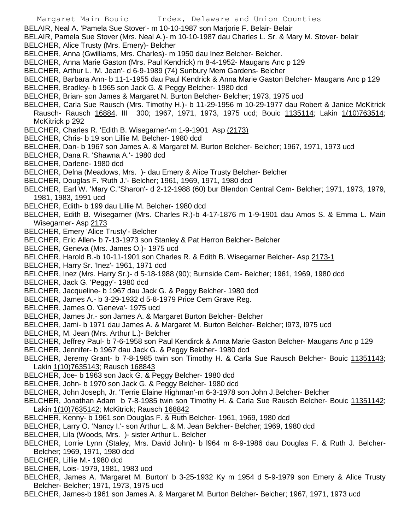- BELAIR, Neal A. 'Pamela Sue Stover'- m 10-10-1987 son Marjorie F. Belair- Belair
- BELAIR, Pamela Sue Stover (Mrs. Neal A.)- m 10-10-1987 dau Charles L. Sr. & Mary M. Stover- belair
- BELCHER, Alice Trusty (Mrs. Emery)- Belcher
- BELCHER, Anna (Gwilliams, Mrs. Charles)- m 1950 dau Inez Belcher- Belcher.
- BELCHER, Anna Marie Gaston (Mrs. Paul Kendrick) m 8-4-1952- Maugans Anc p 129
- BELCHER, Arthur L. 'M. Jean'- d 6-9-1989 (74) Sunbury Mem Gardens- Belcher
- BELCHER, Barbara Ann- b 11-1-1955 dau Paul Kendrick & Anna Marie Gaston Belcher- Maugans Anc p 129
- BELCHER, Bradley- b 1965 son Jack G. & Peggy Belcher- 1980 dcd
- BELCHER, Brian- son James & Margaret N. Burton Belcher- Belcher; 1973, 1975 ucd
- BELCHER, Carla Sue Rausch (Mrs. Timothy H.)- b 11-29-1956 m 10-29-1977 dau Robert & Janice McKitrick Rausch- Rausch 16884, III 300; 1967, 1971, 1973, 1975 ucd; Bouic 1135114; Lakin 1(10)763514;
- McKitrick p 292
- BELCHER, Charles R. 'Edith B. Wisegarner'-m 1-9-1901 Asp (2173)
- BELCHER, Chris- b 19 son Lillie M. Belcher- 1980 dcd
- BELCHER, Dan- b 1967 son James A. & Margaret M. Burton Belcher- Belcher; 1967, 1971, 1973 ucd
- BELCHER, Dana R. 'Shawna A.'- 1980 dcd
- BELCHER, Darlene- 1980 dcd
- BELCHER, Delna (Meadows, Mrs. )- dau Emery & Alice Trusty Belcher- Belcher
- BELCHER, Douglas F. 'Ruth J.'- Belcher; 1961, 1969, 1971, 1980 dcd
- BELCHER, Earl W. 'Mary C.''Sharon'- d 2-12-1988 (60) bur Blendon Central Cem- Belcher; 1971, 1973, 1979, 1981, 1983, 1991 ucd
- BELCHER, Edith- b 199 dau Lillie M. Belcher- 1980 dcd
- BELCHER, Edith B. Wisegarner (Mrs. Charles R.)-b 4-17-1876 m 1-9-1901 dau Amos S. & Emma L. Main Wisegarner- Asp 2173
- BELCHER, Emery 'Alice Trusty'- Belcher
- BELCHER, Eric Allen- b 7-13-1973 son Stanley & Pat Herron Belcher- Belcher
- BELCHER, Geneva (Mrs. James O.)- 1975 ucd
- BELCHER, Harold B.-b 10-11-1901 son Charles R. & Edith B. Wisegarner Belcher- Asp 2173-1
- BELCHER, Harry Sr. 'Inez'- 1961, 1971 dcd
- BELCHER, Inez (Mrs. Harry Sr.)- d 5-18-1988 (90); Burnside Cem- Belcher; 1961, 1969, 1980 dcd
- BELCHER, Jack G. 'Peggy'- 1980 dcd
- BELCHER, Jacqueline- b 1967 dau Jack G. & Peggy Belcher- 1980 dcd
- BELCHER, James A.- b 3-29-1932 d 5-8-1979 Price Cem Grave Reg.
- BELCHER, James O. 'Geneva'- 1975 ucd
- BELCHER, James Jr.- son James A. & Margaret Burton Belcher- Belcher
- BELCHER, Jami- b 1971 dau James A. & Margaret M. Burton Belcher- Belcher; l973, l975 ucd
- BELCHER, M. Jean (Mrs. Arthur L.)- Belcher
- BELCHER, Jeffrey Paul- b 7-6-1958 son Paul Kendirck & Anna Marie Gaston Belcher- Maugans Anc p 129
- BELCHER, Jennifer- b 1967 dau Jack G. & Peggy Belcher- 1980 dcd
- BELCHER, Jeremy Grant- b 7-8-1985 twin son Timothy H. & Carla Sue Rausch Belcher- Bouic 11351143; Lakin 1(10)7635143; Rausch 168843
- BELCHER, Joe- b 1963 son Jack G. & Peggy Belcher- 1980 dcd
- BELCHER, John- b 1970 son Jack G. & Peggy Belcher- 1980 dcd
- BELCHER, John Joseph, Jr. 'Terrie Elaine Highman'-m 6-3-1978 son John J.Belcher- Belcher
- BELCHER, Jonathan Adam b 7-8-1985 twin son Timothy H. & Carla Sue Rausch Belcher- Bouic 11351142; Lakin 1(10)7635142; McKitrick; Rausch 168842
- BELCHER, Kenny- b 1961 son Douglas F. & Ruth Belcher- 1961, 1969, 1980 dcd
- BELCHER, Larry O. 'Nancy I.'- son Arthur L. & M. Jean Belcher- Belcher; 1969, 1980 dcd
- BELCHER, Lila (Woods, Mrs. )- sister Arthur L. Belcher
- BELCHER, Lorrie Lynn (Staley, Mrs. David John)- b l964 m 8-9-1986 dau Douglas F. & Ruth J. Belcher-Belcher; 1969, 1971, 1980 dcd
- BELCHER, Lillie M.- 1980 dcd
- BELCHER, Lois- 1979, 1981, 1983 ucd
- BELCHER, James A. 'Margaret M. Burton' b 3-25-1932 Ky m 1954 d 5-9-1979 son Emery & Alice Trusty Belcher- Belcher; 1971, 1973, 1975 ucd
- BELCHER, James-b 1961 son James A. & Margaret M. Burton Belcher- Belcher; 1967, 1971, 1973 ucd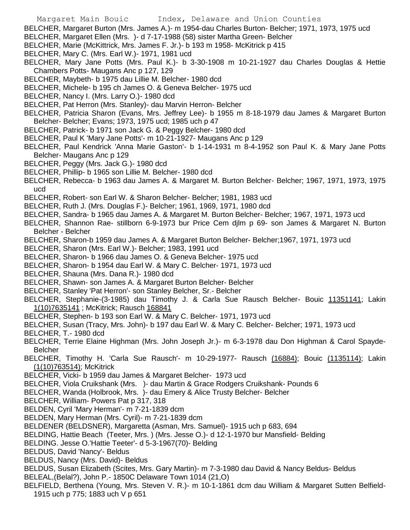- BELCHER, Margaret Burton (Mrs. James A.)- m 1954-dau Charles Burton- Belcher; 1971, 1973, 1975 ucd
- BELCHER, Margaret Ellen (Mrs. )- d 7-17-1988 (58) sister Martha Green- Belcher
- BELCHER, Marie (McKittrick, Mrs. James F. Jr.)- b 193 m 1958- McKitrick p 415
- BELCHER, Mary C. (Mrs. Earl W.)- 1971, 1981 ucd
- BELCHER, Mary Jane Potts (Mrs. Paul K.)- b 3-30-1908 m 10-21-1927 dau Charles Douglas & Hettie Chambers Potts- Maugans Anc p 127, 129
- BELCHER, Maybeth- b 1975 dau Lillie M. Belcher- 1980 dcd
- BELCHER, Michele- b 195 ch James O. & Geneva Belcher- 1975 ucd
- BELCHER, Nancy I. (Mrs. Larry O.)- 1980 dcd
- BELCHER, Pat Herron (Mrs. Stanley)- dau Marvin Herron- Belcher
- BELCHER, Patricia Sharon (Evans, Mrs. Jeffrey Lee)- b 1955 m 8-18-1979 dau James & Margaret Burton Belcher- Belcher; Evans; 1973, 1975 ucd; 1985 uch p 47
- BELCHER, Patrick- b 1971 son Jack G. & Peggy Belcher- 1980 dcd
- BELCHER, Paul K 'Mary Jane Potts'- m 10-21-1927- Maugans Anc p 129
- BELCHER, Paul Kendrick 'Anna Marie Gaston'- b 1-14-1931 m 8-4-1952 son Paul K. & Mary Jane Potts Belcher- Maugans Anc p 129
- BELCHER, Peggy (Mrs. Jack G.)- 1980 dcd
- BELCHER, Phillip- b 1965 son Lillie M. Belcher- 1980 dcd
- BELCHER, Rebecca- b 1963 dau James A. & Margaret M. Burton Belcher- Belcher; 1967, 1971, 1973, 1975 ucd
- BELCHER, Robert- son Earl W. & Sharon Belcher- Belcher; 1981, 1983 ucd
- BELCHER, Ruth J. (Mrs. Douglas F.)- Belcher; 1961, 1969, 1971, 1980 dcd
- BELCHER, Sandra- b 1965 dau James A. & Margaret M. Burton Belcher- Belcher; 1967, 1971, 1973 ucd
- BELCHER, Shannon Rae- stillborn 6-9-1973 bur Price Cem djlm p 69- son James & Margaret N. Burton Belcher - Belcher
- BELCHER, Sharon-b 1959 dau James A. & Margaret Burton Belcher- Belcher;1967, 1971, 1973 ucd
- BELCHER, Sharon (Mrs. Earl W.)- Belcher; 1983, 1991 ucd
- BELCHER, Sharon- b 1966 dau James O. & Geneva Belcher- 1975 ucd
- BELCHER, Sharon- b 1954 dau Earl W. & Mary C. Belcher- 1971, 1973 ucd
- BELCHER, Shauna (Mrs. Dana R.)- 1980 dcd
- BELCHER, Shawn- son James A. & Margaret Burton Belcher- Belcher
- BELCHER, Stanley 'Pat Herron'- son Stanley Belcher, Sr.- Belcher
- BELCHER, Stephanie-(3-1985) dau Timothy J. & Carla Sue Rausch Belcher- Bouic 11351141; Lakin 1(10)7635141 ; McKitrick; Rausch 168841
- BELCHER, Stephen- b 193 son Earl W. & Mary C. Belcher- 1971, 1973 ucd
- BELCHER, Susan (Tracy, Mrs. John)- b 197 dau Earl W. & Mary C. Belcher- Belcher; 1971, 1973 ucd BELCHER, T.- 1980 dcd
- BELCHER, Terrie Elaine Highman (Mrs. John Joseph Jr.)- m 6-3-1978 dau Don Highman & Carol Spayde-**Belcher**
- BELCHER, Timothy H. 'Carla Sue Rausch'- m 10-29-1977- Rausch (16884); Bouic (1135114); Lakin (1(10)763514); McKitrick
- BELCHER, Vicki- b 1959 dau James & Margaret Belcher- 1973 ucd
- BELCHER, Viola Cruikshank (Mrs. )- dau Martin & Grace Rodgers Cruikshank- Pounds 6
- BELCHER, Wanda (Holbrook, Mrs. )- dau Emery & Alice Trusty Belcher- Belcher
- BELCHER, William- Powers Pat p 317, 318
- BELDEN, Cyril 'Mary Herman'- m 7-21-1839 dcm
- BELDEN, Mary Herman (Mrs. Cyril)- m 7-21-1839 dcm
- BELDENER (BELDSNER), Margaretta (Asman, Mrs. Samuel)- 1915 uch p 683, 694
- BELDING, Hattie Beach (Teeter, Mrs. ) (Mrs. Jesse O.)- d 12-1-1970 bur Mansfield- Belding
- BELDING. Jesse O.'Hattie Teeter'- d 5-3-1967(70)- Belding
- BELDUS, David 'Nancy'- Beldus
- BELDUS, Nancy (Mrs. David)- Beldus
- BELDUS, Susan Elizabeth (Scites, Mrs. Gary Martin)- m 7-3-1980 dau David & Nancy Beldus- Beldus BELEAL,(Belal?), John P.- 1850C Delaware Town 1014 (21,O)
- BELFIELD, Berthena (Young, Mrs. Steven V. R.)- m 10-1-1861 dcm dau William & Margaret Sutten Belfield-1915 uch p 775; 1883 uch V p 651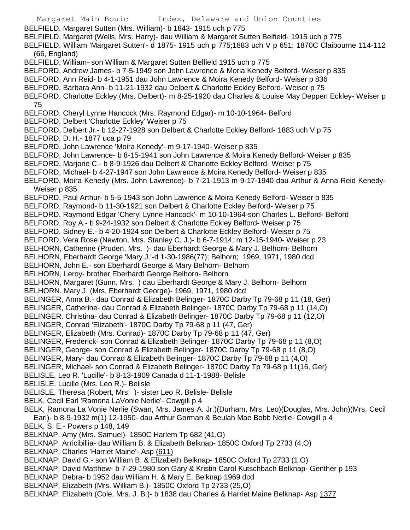Margaret Main Bouic Index, Delaware and Union Counties BELFIELD, Margaret Sutten (Mrs. William)- b 1843- 1915 uch p 775 BELFIELD, Margaret (Wells, Mrs. Harry)- dau William & Margaret Sutten Belfield- 1915 uch p 775 BELFIELD, William 'Margaret Sutten'- d 1875- 1915 uch p 775;1883 uch V p 651; 1870C Claibourne 114-112 (66, England) BELFIELD, William- son William & Margaret Sutten Belfield 1915 uch p 775 BELFORD, Andrew James- b 7-5-1949 son John Lawrence & Moria Kenedy Belford- Weiser p 835 BELFORD, Ann Reid- b 4-1-1951 dau John Lawrence & Moira Kenedy Belford- Weiser p 836 BELFORD, Barbara Ann- b 11-21-1932 dau Delbert & Charlotte Eckley Belford- Weiser p 75 BELFORD, Charlotte Eckley (Mrs. Delbert)- m 8-25-1920 dau Charles & Louise May Deppen Eckley- Weiser p 75 BELFORD, Cheryl Lynne Hancock (Mrs. Raymond Edgar)- m 10-10-1964- Belford BELFORD, Delbert 'Charlotte Eckley' Weiser p 75 BELFORD, Delbert Jr.- b 12-27-1928 son Delbert & Charlotte Eckley Belford- 1883 uch V p 75 BELFORD, D. H.- 1877 uca p 79 BELFORD, John Lawrence 'Moira Kenedy'- m 9-17-1940- Weiser p 835 BELFORD, John Lawrence- b 8-15-1941 son John Lawrence & Moira Kenedy Belford- Weiser p 835 BELFORD, Marjorie C.- b 8-9-1926 dau Delbert & Charlotte Eckley Belford- Weiser p 75 BELFORD, Michael- b 4-27-1947 son John Lawrence & Moira Kenedy Belford- Weiser p 835 BELFORD, Moira Kenedy (Mrs. John Lawrence)- b 7-21-1913 m 9-17-1940 dau Arthur & Anna Reid Kenedy-Weiser p 835 BELFORD, Paul Arthur- b 5-5-1943 son John Lawrence & Moira Kenedy Belford- Weiser p 835 BELFORD, Raymond- b 11-30-1921 son Delbert & Charlotte Eckley Belford- Weiser p 75 BELFORD, Raymond Edgar 'Cheryl Lynne Hancock'- m 10-10-1964-son Charles L. Belford- Belford BELFORD, Roy A.- b 9-24-1932 son Delbert & Charlotte Eckley Belford- Weiser p 75 BELFORD, Sidney E.- b 4-20-1924 son Delbert & Charlotte Eckley Belford- Weiser p 75 BELFORD, Vera Rose (Newton, Mrs. Stanley C. J.)- b 6-7-1914; m 12-15-1940- Weiser p 23 BELHORN, Catherine (Pruden, Mrs. )- dau Eberhardt George & Mary J. Belhorn- Belhorn BELHORN, Eberhardt George 'Mary J.'-d 1-30-1986(77); Belhorn; 1969, 1971, 1980 dcd BELHORN, John E.- son Eberhardt George & Mary Belhorn- Belhorn BELHORN, Leroy- brother Eberhardt George Belhorn- Belhorn BELHORN, Margaret (Gunn, Mrs. ) dau Eberhardt George & Mary J. Belhorn- Belhorn BELHORN. Mary J. (Mrs. Eberhardt George)- 1969, 1971, 1980 dcd BELINGER, Anna B.- dau Conrad & Elizabeth Belinger- 1870C Darby Tp 79-68 p 11 (18, Ger) BELINGER, Catherine- dau Conrad & Elizabeth Belinger- 1870C Darby Tp 79-68 p 11 (14,O) BELINGER. Christina- dau Conrad & Elizabeth Belinger- 1870C Darby Tp 79-68 p 11 (12,O) BELINGER, Conrad 'Elizabeth'- 1870C Darby Tp 79-68 p 11 (47, Ger) BELINGER, Elizabeth (Mrs. Conrad)- 1870C Darby Tp 79-68 p 11 (47, Ger) BELINGER, Frederick- son Conrad & Elizabeth Belinger- 1870C Darby Tp 79-68 p 11 (8,O) BELINGER, George- son Conrad & Elizabeth Belinger- 1870C Darby Tp 79-68 p 11 (8,O) BELINGER, Mary- dau Conrad & Elizabeth Belinger- 1870C Darby Tp 79-68 p 11 (4,O) BELINGER, Michael- son Conrad & Elizabeth Belinger- 1870C Darby Tp 79-68 p 11(16, Ger) BELISLE, Leo R. 'Lucille'- b 8-13-1909 Canada d 11-1-1988- Belisle BELISLE, Lucille (Mrs. Leo R.)- Belisle BELISLE, Theresa (Robert, Mrs. )- sister Leo R. Belisle- Belisle BELK, Cecil Earl 'Ramona LaVonie Nerlie'- Cowgill p 4 BELK, Ramona La Vonie Nerlie (Swan, Mrs. James A. Jr.)(Durham, Mrs. Leo)(Douglas, Mrs. John)(Mrs. Cecil Earl)- b 8-9-1932 m(1) 12-1950- dau Arthur Gorman & Beulah Mae Bobb Nerlie- Cowgill p 4 BELK, S. E.- Powers p 148, 149 BELKNAP, Amy (Mrs. Samuel)- 1850C Harlem Tp 682 (41,O) BELKNAP, Arricibillia- dau William B. & Elizabeth Belknap- 1850C Oxford Tp 2733 (4,O) BELKNAP, Charles 'Harriet Maine'- Asp (611) BELKNAP, David G.- son William B. & Elizabeth Belknap- 1850C Oxford Tp 2733 (1,O) BELKNAP, David Matthew- b 7-29-1980 son Gary & Kristin Carol Kutschbach Belknap- Genther p 193 BELKNAP, Debra- b 1952 dau William H. & Mary E. Belknap 1969 dcd BELKNAP, Elizabeth (Mrs. William B.)- 1850C Oxford Tp 2733 (25,O) BELKNAP, Elizabeth (Cole, Mrs. J. B.)- b 1838 dau Charles & Harriet Maine Belknap- Asp 1377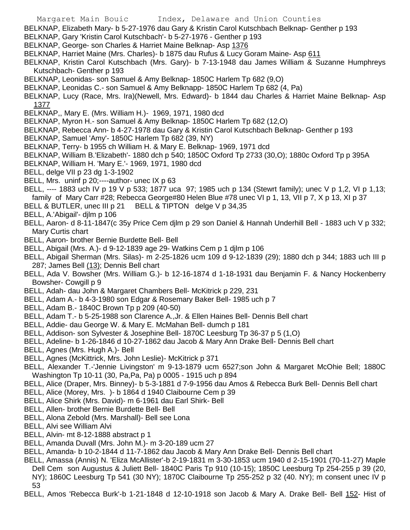- Margaret Main Bouic Index, Delaware and Union Counties
- BELKNAP, Elizabeth Mary- b 5-27-1976 dau Gary & Kristin Carol Kutschbach Belknap- Genther p 193
- BELKNAP, Gary 'Kristin Carol Kutschbach'- b 5-27-1976 Genther p 193
- BELKNAP, George- son Charles & Harriet Maine Belknap- Asp 1376
- BELKNAP, Harriet Maine (Mrs. Charles)- b 1875 dau Rufus & Lucy Goram Maine- Asp 611
- BELKNAP, Kristin Carol Kutschbach (Mrs. Gary)- b 7-13-1948 dau James William & Suzanne Humphreys Kutschbach- Genther p 193
- BELKNAP, Leonidas- son Samuel & Amy Belknap- 1850C Harlem Tp 682 (9,O)
- BELKNAP, Leonidas C.- son Samuel & Amy Belknapp- 1850C Harlem Tp 682 (4, Pa)
- BELKNAP, Lucy (Race, Mrs. Ira)(Newell, Mrs. Edward)- b 1844 dau Charles & Harriet Maine Belknap- Asp 1377
- BELKNAP,, Mary E. (Mrs. William H.)- 1969, 1971, 1980 dcd
- BELKNAP, Myron H.- son Samuel & Amy Belknap- 1850C Harlem Tp 682 (12,O)
- BELKNAP, Rebecca Ann- b 4-27-1978 dau Gary & Kristin Carol Kutschbach Belknap- Genther p 193
- BELKNAP, Samuel 'Amy'- 1850C Harlem Tp 682 (39, NY)
- BELKNAP, Terry- b 1955 ch William H. & Mary E. Belknap- 1969, 1971 dcd
- BELKNAP, William B.'Elizabeth'- 1880 dch p 540; 1850C Oxford Tp 2733 (30,O); 1880c Oxford Tp p 395A
- BELKNAP, William H. 'Mary E.'- 1969, 1971, 1980 dcd
- BELL, delge VII p 23 dg 1-3-1902
- BELL, Mrs. uninf p 20;----author- unec IX p 63
- BELL, ---- 1883 uch IV p 19 V p 533; 1877 uca 97; 1985 uch p 134 (Stewrt family); unec V p 1,2, VI p 1,13; family of Mary Carr #28; Rebecca George#80 Helen Blue #78 unec VI p 1, 13, VII p 7, X p 13, XI p 37
- BELL & BUTLER, unec III p 21 BELL & TIPTON delge V p 34,35
- BELL, A.'Abigail'- djlm p 106
- BELL, Aaron- d 8-11-1847(c 35y Price Cem djlm p 29 son Daniel & Hannah Underhill Bell 1883 uch V p 332; Mary Curtis chart
- BELL, Aaron- brother Bernie Burdette Bell- Bell
- BELL, Abigail (Mrs. A.)- d 9-12-1839 age 29- Watkins Cem p 1 djlm p 106
- BELL, Abigail Sherman (Mrs. Silas)- m 2-25-1826 ucm 109 d 9-12-1839 (29); 1880 dch p 344; 1883 uch III p 287; James Bell (13); Dennis Bell chart
- BELL, Ada V. Bowsher (Mrs. William G.)- b 12-16-1874 d 1-18-1931 dau Benjamin F. & Nancy Hockenberry Bowsher- Cowgill p 9
- BELL, Adah- dau John & Margaret Chambers Bell- McKitrick p 229, 231
- BELL, Adam A.- b 4-3-1980 son Edgar & Rosemary Baker Bell- 1985 uch p 7
- BELL, Adam B.- 1840C Brown Tp p 209 (40-50)
- BELL, Adam T.- b 5-25-1988 son Clarence A.,Jr. & Ellen Haines Bell- Dennis Bell chart
- BELL, Addie- dau George W. & Mary E. McMahan Bell- dumch p 181
- BELL, Addison- son Sylvester & Josephine Bell- 1870C Leesburg Tp 36-37 p 5 (1,O)
- BELL, Adeline- b 1-26-1846 d 10-27-1862 dau Jacob & Mary Ann Drake Bell- Dennis Bell chart
- BELL, Agnes (Mrs. Hugh A.)- Bell
- BELL, Agnes (McKittrick, Mrs. John Leslie)- McKitrick p 371
- BELL, Alexander T.-'Jennie Livingston' m 9-13-1879 ucm 6527;son John & Margaret McOhie Bell; 1880C Washington Tp 10-11 (30, Pa,Pa, Pa) p 0005 - 1915 uch p 894
- BELL, Alice (Draper, Mrs. Binney)- b 5-3-1881 d 7-9-1956 dau Amos & Rebecca Burk Bell- Dennis Bell chart
- BELL, Alice (Morey, Mrs. )- b 1864 d 1940 Claibourne Cem p 39
- BELL, Alice Shirk (Mrs. David)- m 6-1961 dau Earl Shirk- Bell
- BELL, Allen- brother Bernie Burdette Bell- Bell
- BELL, Alona Zebold (Mrs. Marshall)- Bell see Lona
- BELL, Alvi see William Alvi
- BELL, Alvin- mt 8-12-1888 abstract p 1
- BELL, Amanda Duvall (Mrs. John M.)- m 3-20-189 ucm 27
- BELL, Amanda- b 10-2-1844 d 11-7-1862 dau Jacob & Mary Ann Drake Bell- Dennis Bell chart
- BELL, Amassa (Annis) N. 'Eliza McAllister'-b 2-19-1831 m 3-30-1853 ucm 1940 d 2-15-1901 (70-11-27) Maple Dell Cem son Augustus & Juliett Bell- 1840C Paris Tp 910 (10-15); 1850C Leesburg Tp 254-255 p 39 (20, NY); 1860C Leesburg Tp 541 (30 NY); 1870C Claibourne Tp 255-252 p 32 (40. NY); m consent unec IV p 53
- BELL, Amos 'Rebecca Burk'-b 1-21-1848 d 12-10-1918 son Jacob & Mary A. Drake Bell- Bell 152- Hist of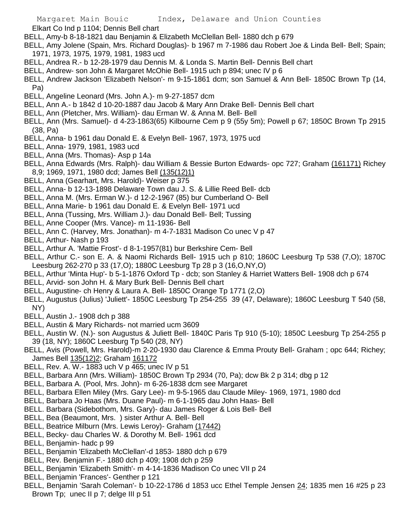Elkart Co Ind p 1104; Dennis Bell chart

- BELL, Amy-b 8-18-1821 dau Benjamin & Elizabeth McClellan Bell- 1880 dch p 679
- BELL, Amy Jolene (Spain, Mrs. Richard Douglas)- b 1967 m 7-1986 dau Robert Joe & Linda Bell- Bell; Spain; 1971, 1973, 1975, 1979, 1981, 1983 ucd
- BELL, Andrea R.- b 12-28-1979 dau Dennis M. & Londa S. Martin Bell- Dennis Bell chart
- BELL, Andrew- son John & Margaret McOhie Bell- 1915 uch p 894; unec IV p 6
- BELL, Andrew Jackson 'Elizabeth Nelson'- m 9-15-1861 dcm; son Samuel & Ann Bell- 1850C Brown Tp (14, Pa)
- BELL, Angeline Leonard (Mrs. John A.)- m 9-27-1857 dcm
- BELL, Ann A.- b 1842 d 10-20-1887 dau Jacob & Mary Ann Drake Bell- Dennis Bell chart
- BELL, Ann (Pletcher, Mrs. William)- dau Erman W. & Anna M. Bell- Bell
- BELL, Ann (Mrs. Samuel)- d 4-23-1863(65) Kilbourne Cem p 9 (55y 5m); Powell p 67; 1850C Brown Tp 2915 (38, Pa)
- BELL, Anna- b 1961 dau Donald E. & Evelyn Bell- 1967, 1973, 1975 ucd
- BELL, Anna- 1979, 1981, 1983 ucd
- BELL, Anna (Mrs. Thomas)- Asp p 14a
- BELL, Anna Edwards (Mrs. Ralph)- dau William & Bessie Burton Edwards- opc 727; Graham (161171) Richey 8,9; 1969, 1971, 1980 dcd; James Bell (135(12)1)
- BELL, Anna (Gearhart, Mrs. Harold)- Weiser p 375
- BELL, Anna- b 12-13-1898 Delaware Town dau J. S. & Lillie Reed Bell- dcb
- BELL, Anna M. (Mrs. Erman W.)- d 12-2-1967 (85) bur Cumberland O- Bell
- BELL, Anna Marie- b 1961 dau Donald E. & Evelyn Bell- 1971 ucd
- BELL, Anna (Tussing, Mrs. William J.)- dau Donald Bell- Bell; Tussing
- BELL, Anne Cooper (Mrs. Vance)- m 11-1936- Bell
- BELL, Ann C. (Harvey, Mrs. Jonathan)- m 4-7-1831 Madison Co unec V p 47
- BELL, Arthur- Nash p 193
- BELL, Arthur A. 'Mattie Frost'- d 8-1-1957(81) bur Berkshire Cem- Bell
- BELL, Arthur C.- son E. A. & Naomi Richards Bell- 1915 uch p 810; 1860C Leesburg Tp 538 (7,O); 1870C Leesburg 262-270 p 33 (17,O); 1880C Leesburg Tp 28 p 3 (16,O,NY,O)
- BELL, Arthur 'Minta Hup'- b 5-1-1876 Oxford Tp dcb; son Stanley & Harriet Watters Bell- 1908 dch p 674
- BELL, Arvid- son John H. & Mary Burk Bell- Dennis Bell chart
- BELL, Augustine- ch Henry & Laura A. Bell- 1850C Orange Tp 1771 (2,O)
- BELL, Augustus (Julius) 'Juliett'- 1850C Leesburg Tp 254-255 39 (47, Delaware); 1860C Leesburg T 540 (58, NY)
- BELL, Austin J.- 1908 dch p 388
- BELL, Austin & Mary Richards- not married ucm 3609
- BELL, Austin W. (N.)- son Augustus & Juliett Bell- 1840C Paris Tp 910 (5-10); 1850C Leesburg Tp 254-255 p 39 (18, NY); 1860C Leesburg Tp 540 (28, NY)
- BELL, Avis (Powell, Mrs. Harold)-m 2-20-1930 dau Clarence & Emma Prouty Bell- Graham ; opc 644; Richey; James Bell 135(12)2; Graham 161172
- BELL, Rev. A. W.- 1883 uch V p 465; unec IV p 51
- BELL, Barbara Ann (Mrs. William)- 1850C Brown Tp 2934 (70, Pa); dcw Bk 2 p 314; dbg p 12
- BELL, Barbara A. (Pool, Mrs. John)- m 6-26-1838 dcm see Margaret
- BELL, Barbara Ellen Miley (Mrs. Gary Lee)- m 9-5-1965 dau Claude Miley- 1969, 1971, 1980 dcd
- BELL, Barbara Jo Haas (Mrs. Duane Paul)- m 6-1-1965 dau John Haas- Bell
- BELL. Barbara (Sidebothom, Mrs. Gary)- dau James Roger & Lois Bell- Bell
- BELL, Bea (Beaumont, Mrs. ) sister Arthur A. Bell- Bell
- BELL, Beatrice Milburn (Mrs. Lewis Leroy)- Graham (17442)
- BELL, Becky- dau Charles W. & Dorothy M. Bell- 1961 dcd
- BELL, Benjamin- hadc p 99
- BELL, Benjamin 'Elizabeth McClellan'-d 1853- 1880 dch p 679
- BELL, Rev. Benjamin F.- 1880 dch p 409; 1908 dch p 259
- BELL, Benjamin 'Elizabeth Smith'- m 4-14-1836 Madison Co unec VII p 24
- BELL, Benjamin 'Frances'- Genther p 121
- BELL, Benjamin 'Sarah Coleman'- b 10-22-1786 d 1853 ucc Ethel Temple Jensen 24; 1835 men 16 #25 p 23 Brown Tp; unec II p 7; delge III p 51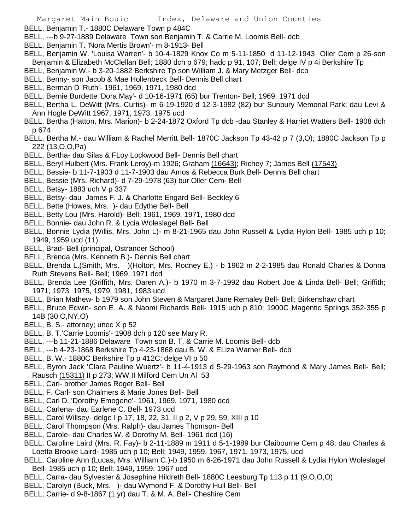BELL, Benjamin T.- 1880C Delaware Town p 484C

- BELL, ---b 9-27-1889 Delaware Town son Benjamin T. & Carrie M. Loomis Bell- dcb
- BELL, Benjamin T. 'Nora Mertis Brown'- m 8-1913- Bell
- BELL, Benjamin W. 'Louisa Warren'- b 10-4-1829 Knox Co m 5-11-1850 d 11-12-1943 Oller Cem p 26-son Benjamin & Elizabeth McClellan Bell; 1880 dch p 679; hadc p 91, 107; Bell; delge IV p 4i Berkshire Tp
- BELL, Benjamin W.- b 3-20-1882 Berkshire Tp son William J. & Mary Metzger Bell- dcb
- BELL, Benny- son Jacob & Mae Hollenbeck Bell- Dennis Bell chart
- BELL, Berman D 'Ruth'- 1961, 1969, 1971, 1980 dcd
- BELL, Bernie Burdette 'Dora May'- d 10-16-1971 (65) bur Trenton- Bell; 1969, 1971 dcd
- BELL, Bertha L. DeWitt (Mrs. Curtis)- m 6-19-1920 d 12-3-1982 (82) bur Sunbury Memorial Park; dau Levi & Ann Hogle DeWitt 1967, 1971, 1973, 1975 ucd
- BELL, Bertha (Hatton, Mrs. Marion)- b 2-24-1872 Oxford Tp dcb -dau Stanley & Harriet Watters Bell- 1908 dch p 674
- BELL, Bertha M.- dau William & Rachel Merritt Bell- 1870C Jackson Tp 43-42 p 7 (3,O); 1880C Jackson Tp p 222 (13,O,O,Pa)
- BELL, Bertha- dau Silas & FLoy Lockwood Bell- Dennis Bell chart
- BELL, Beryl Hulbert (Mrs. Frank Leroy)-m 1926; Graham (16643); Richey 7; James Bell (17543)
- BELL, Bessie- b 11-7-1903 d 11-7-1903 dau Amos & Rebecca Burk Bell- Dennis Bell chart
- BELL, Bessie (Mrs. Richard)- d 7-29-1978 (63) bur Oller Cem- Bell
- BELL, Betsy- 1883 uch V p 337
- BELL, Betsy- dau James F. J. & Charlotte Engard Bell- Beckley 6
- BELL, Bette (Howes, Mrs. )- dau Edythe Bell- Bell
- BELL, Betty Lou (Mrs. Harold)- Bell; 1961, 1969, 1971, 1980 dcd
- BELL, Bonnie- dau John R. & Lycia Woleslagel Bell- Bell
- BELL, Bonnie Lydia (Willis, Mrs. John L)- m 8-21-1965 dau John Russell & Lydia Hylon Bell- 1985 uch p 10; 1949, 1959 ucd (11)
- BELL, Brad- Bell (principal, Ostrander School)
- BELL, Brenda (Mrs. Kenneth B.)- Dennis Bell chart
- BELL, Brenda L.(Smith, Mrs. )(Holton, Mrs. Rodney E.) b 1962 m 2-2-1985 dau Ronald Charles & Donna Ruth Stevens Bell- Bell; 1969, 1971 dcd
- BELL, Brenda Lee (Griffith, Mrs. Daren A.)- b 1970 m 3-7-1992 dau Robert Joe & Linda Bell- Bell; Griffith; 1971, 1973, 1975, 1979, 1981, 1983 ucd
- BELL, Brian Mathew- b 1979 son John Steven & Margaret Jane Remaley Bell- Bell; Birkenshaw chart
- BELL, Bruce Edwin- son E. A. & Naomi Richards Bell- 1915 uch p 810; 1900C Magentic Springs 352-355 p 14B (30,O,NY,O)
- BELL, B. S.- attorney: unec X p 52
- BELL, B. T.'Carrie Loomis'- 1908 dch p 120 see Mary R.
- BELL, ---b 11-21-1886 Delaware Town son B. T. & Carrie M. Loomis Bell- dcb
- BELL, ---b 4-23-1868 Berkshire Tp 4-23-1868 dau B. W. & ELiza Warner Bell- dcb
- BELL, B. W.- 1880C Berkshire Tp p 412C; delge VI p 50
- BELL, Byron Jack 'Clara Pauline Wuertz'- b 11-4-1913 d 5-29-1963 son Raymond & Mary James Bell- Bell; Rausch (15311) II p 273; WW II Milford Cem Un Al 53
- BELL, Carl- brother James Roger Bell- Bell
- BELL, F. Carl- son Chalmers & Marie Jones Bell- Bell
- BELL, Carl D. 'Dorothy Emogene'- 1961, 1969, 1971, 1980 dcd
- BELL, Carlena- dau Earlene C. Bell- 1973 ucd
- BELL, Carol Willsey- delge I p 17, 18, 22, 31, II p 2, V p 29, 59, XIII p 10
- BELL, Carol Thompson (Mrs. Ralph)- dau James Thomson- Bell
- BELL, Carole- dau Charles W. & Dorothy M. Bell- 1961 dcd (16)
- BELL, Caroline Laird (Mrs. R. Fay)- b 2-11-1889 m 1911 d 5-1-1989 bur Claibourne Cem p 48; dau Charles & Loetta Brooke Laird- 1985 uch p 10; Bell; 1949, 1959, 1967, 1971, 1973, 1975, ucd
- BELL, Caroline Ann (Lucas, Mrs. William C.)-b 1950 m 6-26-1971 dau John Russell & Lydia Hylon Woleslagel Bell- 1985 uch p 10; Bell; 1949, 1959, 1967 ucd
- BELL, Carra- dau Sylvester & Josephine Hildreth Bell- 1880C Leesburg Tp 113 p 11 (9,O,O,O)
- BELL, Carolyn (Buck, Mrs. )- dau Wymond F. & Dorothy Hull Bell- Bell
- BELL, Carrie- d 9-8-1867 (1 yr) dau T. & M. A. Bell- Cheshire Cem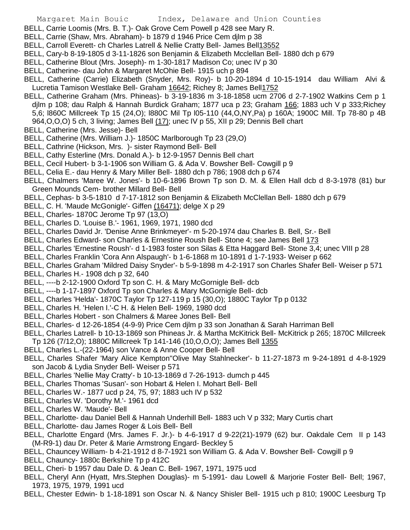- BELL, Carrie Loomis (Mrs. B. T.)- Oak Grove Cem Powell p 428 see Mary R.
- BELL, Carrie (Shaw, Mrs. Abraham)- b 1879 d 1946 Price Cem djlm p 38
- BELL, Carroll Everett- ch Charles Latrell & Nellie Cratty Bell- James Bell13552
- BELL, Cary-b 8-19-1805 d 3-11-1826 son Benjamin & Elizabeth Mcclellan Bell- 1880 dch p 679
- BELL, Catherine Blout (Mrs. Joseph)- m 1-30-1817 Madison Co; unec IV p 30
- BELL, Catherine- dau John & Margaret McOhie Bell- 1915 uch p 894
- BELL, Catherine (Carrie) Elizabeth (Snyder, Mrs. Roy)- b 10-20-1894 d 10-15-1914 dau William Alvi & Lucretia Tamison Westlake Bell- Graham 16642; Richey 8; James Bell1752
- BELL, Catherine Graham (Mrs. Phineas)- b 3-19-1836 m 3-18-1858 ucm 2706 d 2-7-1902 Watkins Cem p 1 djlm p 108; dau Ralph & Hannah Burdick Graham; 1877 uca p 23; Graham 166; 1883 uch V p 333;Richey 5,6; l860C Millcreek Tp 15 (24,O); l880C Mil Tp l05-110 (44,O,NY,Pa) p 160A; 1900C Mill. Tp 78-80 p 4B 964, O, O, O) 5 ch, 3 living; James Bell (17); unec IV p 55, XII p 29; Dennis Bell chart
- BELL, Catherine (Mrs. Jesse)- Bell
- BELL, Catherine (Mrs. William J.)- 1850C Marlborough Tp 23 (29,O)
- BELL, Cathrine (Hickson, Mrs. )- sister Raymond Bell- Bell
- BELL, Cathy Esterline (Mrs. Donald A.)- b 12-9-1957 Dennis Bell chart
- BELL, Cecil Hubert- b 3-1-1906 son William G. & Ada V. Bowsher Bell- Cowgill p 9
- BELL, Celia E.- dau Henry & Mary Miller Bell- 1880 dch p 786; 1908 dch p 674
- BELL, Chalmers 'Maree W. Jones'- b 10-6-1896 Brown Tp son D. M. & Ellen Hall dcb d 8-3-1978 (81) bur Green Mounds Cem- brother Millard Bell- Bell
- BELL, Cephas- b 3-5-1810 d 7-17-1812 son Benjamin & Elizabeth McClellan Bell- 1880 dch p 679
- BELL, C. H. 'Maude McGonigle'- Giffen (16471); delge X p 29
- BELL, Charles- 1870C Jerome Tp 97 (13,O)
- BELL, Charles D. 'Louise B.'- 1961, 1969, 1971, 1980 dcd
- BELL, Charles David Jr. 'Denise Anne Brinkmeyer'- m 5-20-1974 dau Charles B. Bell, Sr.- Bell
- BELL, Charles Edward- son Charles & Ernestine Roush Bell- Stone 4; see James Bell 173
- BELL, Charles 'Ernestine Roush'- d 1-1983 foster son Silas & Etta Haggard Bell- Stone 3,4; unec VIII p 28
- BELL, Charles Franklin 'Cora Ann Alspaugh'- b 1-6-1868 m 10-1891 d 1-7-1933- Weiser p 662
- BELL, Charles Graham 'Mildred Daisy Snyder'- b 5-9-1898 m 4-2-1917 son Charles Shafer Bell- Weiser p 571
- BELL, Charles H.- 1908 dch p 32, 640
- BELL, ----b 2-12-1900 Oxford Tp son C. H. & Mary McGornigle Bell- dcb
- BELL, ----b 1-17-1897 Oxford Tp son Charles & Mary McGornigle Bell- dcb
- BELL, Charles 'Helda'- 1870C Taylor Tp 127-119 p 15 (30,O); 1880C Taylor Tp p 0132
- BELL, Charles H. 'Helen I.'-C H. & Helen Bell- 1969, 1980 dcd
- BELL, Charles Hobert son Chalmers & Maree Jones Bell- Bell
- BELL, Charles- d 12-26-1854 (4-9-9) Price Cem djlm p 33 son Jonathan & Sarah Harriman Bell
- BELL, Charles Latrell- b 10-13-1869 son Phineas Jr. & Martha McKitrick Bell- McKitrick p 265; 1870C Millcreek Tp 126 (7/12,O); 1880C Millcreek Tp 141-146 (10,O,O,O); James Bell 1355
- BELL, Charles L.-(22-1964) son Vance & Anne Cooper Bell- Bell
- BELL, Charles Shafer 'Mary Alice Kempton''Olive May Stahlnecker'- b 11-27-1873 m 9-24-1891 d 4-8-1929 son Jacob & Lydia Snyder Bell- Weiser p 571
- BELL, Charles 'Nellie May Cratty'- b 10-13-1869 d 7-26-1913- dumch p 445
- BELL, Charles Thomas 'Susan'- son Hobart & Helen I. Mohart Bell- Bell
- BELL, Charles W.- 1877 ucd p 24, 75, 97; 1883 uch IV p 532
- BELL, Charles W. 'Dorothy M.'- 1961 dcd
- BELL, Charles W. 'Maude'- Bell
- BELL, Charlotte- dau Daniel Bell & Hannah Underhill Bell- 1883 uch V p 332; Mary Curtis chart
- BELL, Charlotte- dau James Roger & Lois Bell- Bell
- BELL, Charlotte Engard (Mrs. James F. Jr.)- b 4-6-1917 d 9-22(21)-1979 (62) bur. Oakdale Cem II p 143 (M-R9-1) dau Dr. Peter & Marie Armstrong Engard- Beckley 5
- BELL, Chauncey William- b 4-21-1912 d 8-7-1921 son William G. & Ada V. Bowsher Bell- Cowgill p 9
- BELL, Chauncy- 1880c Berkshire Tp p 412C
- BELL, Cheri- b 1957 dau Dale D. & Jean C. Bell- 1967, 1971, 1975 ucd
- BELL, Cheryl Ann (Hyatt, Mrs.Stephen Douglas)- m 5-1991- dau Lowell & Marjorie Foster Bell- Bell; 1967, 1973, 1975, 1979, 1991 ucd
- BELL, Chester Edwin- b 1-18-1891 son Oscar N. & Nancy Shisler Bell- 1915 uch p 810; 1900C Leesburg Tp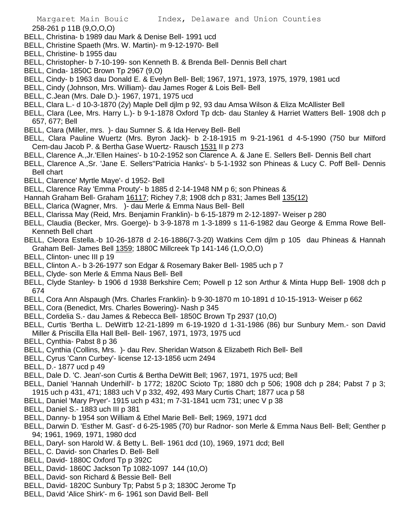258-261 p 11B (9,O,O,O)

- BELL, Christina- b 1989 dau Mark & Denise Bell- 1991 ucd
- BELL, Christine Spaeth (Mrs. W. Martin)- m 9-12-1970- Bell
- BELL, Christine- b 1955 dau
- BELL, Christopher- b 7-10-199- son Kenneth B. & Brenda Bell- Dennis Bell chart
- BELL, Cinda- 1850C Brown Tp 2967 (9,O)
- BELL, Cindy- b 1963 dau Donald E. & Evelyn Bell- Bell; 1967, 1971, 1973, 1975, 1979, 1981 ucd
- BELL, Cindy (Johnson, Mrs. William)- dau James Roger & Lois Bell- Bell
- BELL, C.Jean (Mrs. Dale D.)- 1967, 1971, 1975 ucd
- BELL, Clara L.- d 10-3-1870 (2y) Maple Dell djlm p 92, 93 dau Amsa Wilson & Eliza McAllister Bell
- BELL, Clara (Lee, Mrs. Harry L.)- b 9-1-1878 Oxford Tp dcb- dau Stanley & Harriet Watters Bell- 1908 dch p 657, 677; Bell
- BELL, Clara (Miller, mrs. )- dau Sumner S. & Ida Hervey Bell- Bell
- BELL, Clara Pauline Wuertz (Mrs. Byron Jack)- b 2-18-1915 m 9-21-1961 d 4-5-1990 (750 bur Milford Cem-dau Jacob P. & Bertha Gase Wuertz- Rausch 1531 II p 273
- BELL, Clarence A.,Jr.'Ellen Haines'- b 10-2-1952 son Clarence A. & Jane E. Sellers Bell- Dennis Bell chart
- BELL, Clarence A.,Sr. 'Jane E. Sellers''Patricia Hanks'- b 5-1-1932 son Phineas & Lucy C. Poff Bell- Dennis Bell chart
- BELL, Clarence' Myrtle Maye'- d 1952- Bell
- BELL, Clarence Ray 'Emma Prouty'- b 1885 d 2-14-1948 NM p 6; son Phineas &
- Hannah Graham Bell- Graham 16117; Richey 7,8; 1908 dch p 831; James Bell 135(12)
- BELL, Clarica (Wagner, Mrs. )- dau Merle & Emma Naus Bell- Bell
- BELL, Clarissa May (Reid, Mrs. Benjamin Franklin)- b 6-15-1879 m 2-12-1897- Weiser p 280
- BELL, Claudia (Becker, Mrs. Goerge)- b 3-9-1878 m 1-3-1899 s 11-6-1982 dau George & Emma Rowe Bell-Kenneth Bell chart
- BELL, Cleora Estella.-b 10-26-1878 d 2-16-1886(7-3-20) Watkins Cem djlm p 105 dau Phineas & Hannah Graham Bell- James Bell 1359; 1880C Millcreek Tp 141-146 (1,O,O,O)
- BELL, Clinton- unec III p 19
- BELL, Clinton A.- b 3-26-1977 son Edgar & Rosemary Baker Bell- 1985 uch p 7
- BELL, Clyde- son Merle & Emma Naus Bell- Bell
- BELL, Clyde Stanley- b 1906 d 1938 Berkshire Cem; Powell p 12 son Arthur & Minta Hupp Bell- 1908 dch p 674
- BELL, Cora Ann Alspaugh (Mrs. Charles Franklin)- b 9-30-1870 m 10-1891 d 10-15-1913- Weiser p 662
- BELL, Cora (Benedict, Mrs. Charles Bowering)- Nash p 345
- BELL, Cordelia S.- dau James & Rebecca Bell- 1850C Brown Tp 2937 (10,O)
- BELL, Curtis 'Bertha L. DeWitt'b 12-21-1899 m 6-19-1920 d 1-31-1986 (86) bur Sunbury Mem.- son David Miller & Priscilla Ella Hall Bell- Bell- 1967, 1971, 1973, 1975 ucd
- BELL, Cynthia- Pabst 8 p 36
- BELL, Cynthia (Collins, Mrs. )- dau Rev. Sheridan Watson & Elizabeth Rich Bell- Bell
- BELL, Cyrus 'Cann Curbey'- license 12-13-1856 ucm 2494
- BELL, D.- 1877 ucd p 49
- BELL, Dale D. 'C. Jean'-son Curtis & Bertha DeWitt Bell; 1967, 1971, 1975 ucd; Bell
- BELL, Daniel 'Hannah Underhill'- b 1772; 1820C Scioto Tp; 1880 dch p 506; 1908 dch p 284; Pabst 7 p 3; 1915 uch p 431, 471; 1883 uch V p 332, 492, 493 Mary Curtis Chart; 1877 uca p 58
- BELL, Daniel 'Mary Pryer'- 1915 uch p 431; m 7-31-1841 ucm 731; unec V p 38
- BELL, Daniel S.- 1883 uch III p 381
- BELL, Danny- b 1954 son William & Ethel Marie Bell- Bell; 1969, 1971 dcd
- BELL, Darwin D. 'Esther M. Gast'- d 6-25-1985 (70) bur Radnor- son Merle & Emma Naus Bell- Bell; Genther p 94; 1961, 1969, 1971, 1980 dcd
- BELL, Daryl- son Harold W. & Betty L. Bell- 1961 dcd (10), 1969, 1971 dcd; Bell
- BELL, C. David- son Charles D. Bell- Bell
- BELL, David- 1880C Oxford Tp p 392C
- BELL, David- 1860C Jackson Tp 1082-1097 144 (10,O)
- BELL, David- son Richard & Bessie Bell- Bell
- BELL, David- 1820C Sunbury Tp; Pabst 5 p 3; 1830C Jerome Tp
- BELL, David 'Alice Shirk'- m 6- 1961 son David Bell- Bell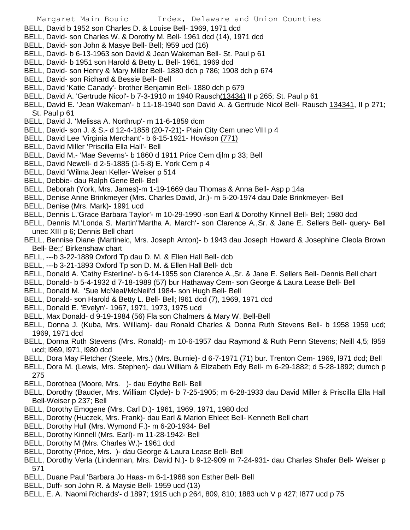- BELL, David b 1952 son Charles D. & Louise Bell- 1969, 1971 dcd
- BELL, David- son Charles W. & Dorothy M. Bell- 1961 dcd (14), 1971 dcd
- BELL, David- son John & Masye Bell- Bell; l959 ucd (16)
- BELL, David- b 6-13-1963 son David & Jean Wakeman Bell- St. Paul p 61
- BELL, David- b 1951 son Harold & Betty L. Bell- 1961, 1969 dcd
- BELL, David- son Henry & Mary Miller Bell- 1880 dch p 786; 1908 dch p 674
- BELL, David- son Richard & Bessie Bell- Bell
- BELL, David 'Katie Canady'- brother Benjamin Bell- 1880 dch p 679
- BELL, David A. 'Gertrude Nicol'- b 7-3-1910 m 1940 Rausch(13434) II p 265; St. Paul p 61
- BELL, David E. 'Jean Wakeman'- b 11-18-1940 son David A. & Gertrude Nicol Bell- Rausch 134341, II p 271; St. Paul p 61
- BELL, David J. 'Melissa A. Northrup'- m 11-6-1859 dcm
- BELL, David- son J. & S.- d 12-4-1858 (20-7-21)- Plain City Cem unec VIII p 4
- BELL, David Lee 'Virginia Merchant'- b 6-15-1921- Howison (771)
- BELL, David Miller 'Priscilla Ella Hall'- Bell
- BELL, David M.- 'Mae Severns'- b 1860 d 1911 Price Cem djlm p 33; Bell
- BELL, David Newell- d 2-5-1885 (1-5-8) E. York Cem p 4
- BELL, David 'Wilma Jean Keller- Weiser p 514
- BELL, Debbie- dau Ralph Gene Bell- Bell
- BELL, Deborah (York, Mrs. James)-m 1-19-1669 dau Thomas & Anna Bell- Asp p 14a
- BELL, Denise Anne Brinkmeyer (Mrs. Charles David, Jr.)- m 5-20-1974 dau Dale Brinkmeyer- Bell
- BELL, Denise (Mrs. Mark)- 1991 ucd
- BELL, Dennis L.'Grace Barbara Taylor'- m 10-29-1990 -son Earl & Dorothy Kinnell Bell- Bell; 1980 dcd
- BELL, Dennis M.'Londa S. Martin''Martha A. March'- son Clarence A.,Sr. & Jane E. Sellers Bell- query- Bell unec XIII p 6; Dennis Bell chart
- BELL, Bennise Diane (Martineic, Mrs. Joseph Anton)- b 1943 dau Joseph Howard & Josephine Cleola Brown Bell- Be;;' Birkenshaw chart
- BELL, ---b 3-22-1889 Oxford Tp dau D. M. & Ellen Hall Bell- dcb
- BELL, ---b 3-21-1893 Oxford Tp son D. M. & Ellen Hall Bell- dcb
- BELL, Donald A. 'Cathy Esterline'- b 6-14-1955 son Clarence A.,Sr. & Jane E. Sellers Bell- Dennis Bell chart
- BELL, Donald- b 5-4-1932 d 7-18-1989 (57) bur Hathaway Cem- son George & Laura Lease Bell- Bell
- BELL, Donald M. 'Sue McNeal/McNeil'd 1984- son Hugh Bell- Bell
- BELL, Donald- son Harold & Betty L. Bell- Bell; l961 dcd (7), 1969, 1971 dcd
- BELL, Donald E. 'Evelyn'- 1967, 1971, 1973, 1975 ucd
- BELL, Max Donald- d 9-19-1984 (56) Fla son Chalmers & Mary W. Bell-Bell
- BELL, Donna J. (Kuba, Mrs. William)- dau Ronald Charles & Donna Ruth Stevens Bell- b 1958 1959 ucd; 1969, 1971 dcd
- BELL, Donna Ruth Stevens (Mrs. Ronald)- m 10-6-1957 dau Raymond & Ruth Penn Stevens; Neill 4,5; l959 ucd; l969, l971, l980 dcd
- BELL, Dora May Fletcher (Steele, Mrs.) (Mrs. Burnie)- d 6-7-1971 (71) bur. Trenton Cem- 1969, l971 dcd; Bell
- BELL, Dora M. (Lewis, Mrs. Stephen)- dau William & Elizabeth Edy Bell- m 6-29-1882; d 5-28-1892; dumch p 275
- BELL, Dorothea (Moore, Mrs. )- dau Edythe Bell- Bell
- BELL, Dorothy (Bauder, Mrs. William Clyde)- b 7-25-1905; m 6-28-1933 dau David Miller & Priscilla Ella Hall Bell-Weiser p 237; Bell
- BELL, Dorothy Emogene (Mrs. Carl D.)- 1961, 1969, 1971, 1980 dcd
- BELL, Dorothy (Huczek, Mrs. Frank)- dau Earl & Marion Ehleet Bell- Kenneth Bell chart
- BELL, Dorothy Hull (Mrs. Wymond F.)- m 6-20-1934- Bell
- BELL, Dorothy Kinnell (Mrs. Earl)- m 11-28-1942- Bell
- BELL, Dorothy M (Mrs. Charles W.)- 1961 dcd
- BELL, Dorothy (Price, Mrs. )- dau George & Laura Lease Bell- Bell
- BELL, Dorothy Verla (Linderman, Mrs. David N.)- b 9-12-909 m 7-24-931- dau Charles Shafer Bell- Weiser p 571
- BELL, Duane Paul 'Barbara Jo Haas- m 6-1-1968 son Esther Bell- Bell
- BELL, Duff- son John R. & Maysie Bell- 1959 ucd (13)
- BELL, E. A. 'Naomi Richards'- d 1897; 1915 uch p 264, 809, 810; 1883 uch V p 427; l877 ucd p 75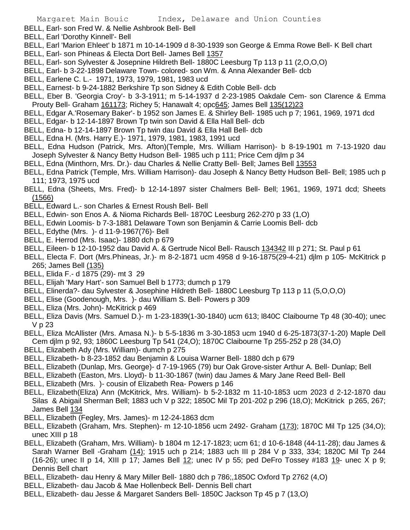BELL, Earl- son Fred W. & Nellie Ashbrook Bell- Bell

- BELL, Earl 'Dorothy Kinnell'- Bell
- BELL, Earl 'Marion Ehleet' b 1871 m 10-14-1909 d 8-30-1939 son George & Emma Rowe Bell- K Bell chart
- BELL, Earl- son Phineas & Electa Dort Bell- James Bell 1357
- BELL, Earl- son Sylvester & Josepnine Hildreth Bell- 1880C Leesburg Tp 113 p 11 (2,O,O,O)
- BELL, Earl- b 3-22-1898 Delaware Town- colored- son Wm. & Anna Alexander Bell- dcb
- BELL, Earlene C. L.- 1971, 1973, 1979, 1981, 1983 ucd
- BELL, Earnest- b 9-24-1882 Berkshire Tp son Sidney & Edith Coble Bell- dcb
- BELL, Eber B. 'Georgia Croy'- b 3-3-1911; m 5-14-1937 d 2-23-1985 Oakdale Cem- son Clarence & Emma Prouty Bell- Graham 161173; Richey 5; Hanawalt 4; opc645; James Bell 135(12)23
- BELL, Edgar A.'Rosemary Baker'- b 1952 son James E. & Shirley Bell- 1985 uch p 7; 1961, 1969, 1971 dcd
- BELL, Edgar- b 12-14-1897 Brown Tp twin son David & Ella Hall Bell- dcb
- BELL, Edna- b 12-14-1897 Brown Tp twin dau David & Ella Hall Bell- dcb
- BELL, Edna H. (Mrs. Harry E.)- 1971, 1979, 1981, 1983, 1991 ucd
- BELL, Edna Hudson (Patrick, Mrs. Afton)(Temple, Mrs. William Harrison)- b 8-19-1901 m 7-13-1920 dau Joseph Sylvester & Nancy Betty Hudson Bell- 1985 uch p 111; Price Cem djlm p 34
- BELL, Edna (Minthorn, Mrs. Dr.)- dau Charles & Nellie Cratty Bell- Bell; James Bell 13553
- BELL, Edna Patrick (Temple, Mrs. William Harrison)- dau Joseph & Nancy Betty Hudson Bell- Bell; 1985 uch p 111; 1973, 1975 ucd
- BELL, Edna (Sheets, Mrs. Fred)- b 12-14-1897 sister Chalmers Bell- Bell; 1961, 1969, 1971 dcd; Sheets (1566)
- BELL, Edward L.- son Charles & Ernest Roush Bell- Bell
- BELL, Edwin- son Enos A. & Nioma Richards Bell- 1870C Leesburg 262-270 p 33 (1,O)
- BELL, Edwin Loomis- b 7-3-1881 Delaware Town son Benjamin & Carrie Loomis Bell- dcb
- BELL, Edythe (Mrs. )- d 11-9-1967(76)- Bell
- BELL, E. Herrod (Mrs. Isaac)- 1880 dch p 679
- BELL, Eileen- b 12-10-1952 dau David A. & Gertrude Nicol Bell- Rausch 134342 III p 271; St. Paul p 61
- BELL, Electa F. Dort (Mrs.Phineas, Jr.)- m 8-2-1871 ucm 4958 d 9-16-1875(29-4-21) djlm p 105- McKitrick p 265; James Bell (135)
- BELL, Elida F.- d 1875 (29)- mt 3 29
- BELL, Elijah 'Mary Hart'- son Samuel Bell b 1773; dumch p 179
- BELL, Elinerda?- dau Sylvester & Josephine Hildreth Bell- 1880C Leesburg Tp 113 p 11 (5,O,O,O)
- BELL, Elise (Goodenough, Mrs. )- dau William S. Bell- Powers p 309
- BELL, Eliza (Mrs. John)- McKitrick p 469
- BELL, Eliza Davis (Mrs. Samuel D.)- m 1-23-1839(1-30-1840) ucm 613; l840C Claibourne Tp 48 (30-40); unec V p 23
- BELL, Eliza McAllister (Mrs. Amasa N.)- b 5-5-1836 m 3-30-1853 ucm 1940 d 6-25-1873(37-1-20) Maple Dell Cem djlm p 92, 93; 1860C Leesburg Tp 541 (24,O); 1870C Claibourne Tp 255-252 p 28 (34,O)
- BELL, Elizabeth Ady (Mrs. William)- dumch p 275
- BELL, Elizabeth- b 8-23-1852 dau Benjamin & Louisa Warner Bell- 1880 dch p 679
- BELL, Elizabeth (Dunlap, Mrs. George)- d 7-19-1965 (79) bur Oak Grove-sister Arthur A. Bell- Dunlap; Bell
- BELL, Elizabeth (Easton, Mrs. Lloyd)- b 11-30-1867 (twin) dau James & Mary Jane Reed Bell- Bell
- BELL, Elizabeth (Mrs. )- cousin of Elizabeth Rea- Powers p 146
- BELL, Elizabeth(Eliza) Ann (McKitrick, Mrs. William)- b 5-2-1832 m 11-10-1853 ucm 2023 d 2-12-1870 dau Silas & Abigail Sherman Bell; 1883 uch V p 322; 1850C Mil Tp 201-202 p 296 (18,O); McKitrick p 265, 267; James Bell 134
- BELL, Elizabeth (Fegley, Mrs. James)- m 12-24-1863 dcm
- BELL, Elizabeth (Graham, Mrs. Stephen)- m 12-10-1856 ucm 2492- Graham (173); 1870C Mil Tp 125 (34,O); unec XIII p 18
- BELL, Elizabeth (Graham, Mrs. William)- b 1804 m 12-17-1823; ucm 61; d 10-6-1848 (44-11-28); dau James & Sarah Warner Bell -Graham (14); 1915 uch p 214; 1883 uch III p 284 V p 333, 334; 1820C Mil Tp 244 (16-26); unec II p 14, XIII p 17; James Bell  $12$ ; unec IV p 55; ped DeFro Tossey #183  $19$ - unec X p 9; Dennis Bell chart
- BELL, Elizabeth- dau Henry & Mary Miller Bell- 1880 dch p 786;,1850C Oxford Tp 2762 (4,O)
- BELL, Elizabeth- dau Jacob & Mae Hollenbeck Bell- Dennis Bell chart
- BELL, Elizabeth- dau Jesse & Margaret Sanders Bell- 1850C Jackson Tp 45 p 7 (13,O)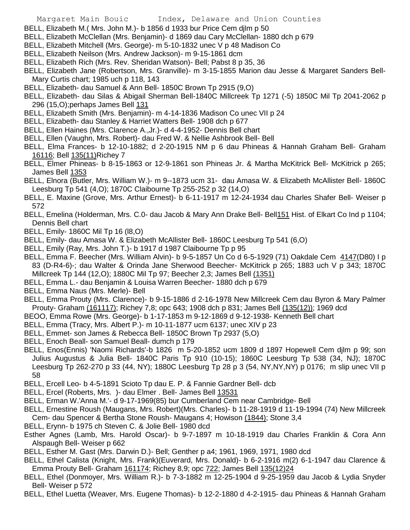- BELL, Elizabeth M.( Mrs. John M.)- b 1856 d 1933 bur Price Cem djlm p 50
- BELL, Elizabeth McClellan (Mrs. Benjamin)- d 1869 dau Cary McClellan- 1880 dch p 679
- BELL, Elizabeth Mitchell (Mrs. George)- m 5-10-1832 unec V p 48 Madison Co
- BELL, Elizabeth Neilson (Mrs. Andrew Jackson)- m 9-15-1861 dcm
- BELL, Elizabeth Rich (Mrs. Rev. Sheridan Watson)- Bell; Pabst 8 p 35, 36
- BELL, Elizabeth Jane (Robertson, Mrs. Granville)- m 3-15-1855 Marion dau Jesse & Margaret Sanders Bell-Mary Curtis chart; 1985 uch p 118, 143
- BELL, Elizabeth- dau Samuel & Ann Bell- 1850C Brown Tp 2915 (9,O)
- BELL, Elizabeth- dau Silas & Abigail Sherman Bell-1840C Millcreek Tp 1271 (-5) 1850C Mil Tp 2041-2062 p 296 (15,O);perhaps James Bell 131
- BELL, Elizabeth Smith (Mrs. Benjamin)- m 4-14-1836 Madison Co unec VII p 24
- BELL, Elizabeth- dau Stanley & Harriet Watters Bell- 1908 dch p 677
- BELL, Ellen Haines (Mrs. Clarence A.,Jr.)- d 4-4-1952- Dennis Bell chart
- BELL, Ellen (Vaughn, Mrs. Robert)- dau Fred W. & Nellie Ashbrook Bell- Bell
- BELL, Elma Frances- b 12-10-1882; d 2-20-1915 NM p 6 dau Phineas & Hannah Graham Bell- Graham 16116; Bell 135(11)Richey 7
- BELL, Elmer Phineas- b 8-15-1863 or 12-9-1861 son Phineas Jr. & Martha McKitrick Bell- McKitrick p 265; James Bell 1353
- BELL, Elnora (Butler, Mrs. William W.)- m 9--1873 ucm 31- dau Amasa W. & Elizabeth McAllister Bell- 1860C Leesburg Tp 541 (4,O); 1870C Claibourne Tp 255-252 p 32 (14,O)
- BELL, E. Maxine (Grove, Mrs. Arthur Ernest)- b 6-11-1917 m 12-24-1934 dau Charles Shafer Bell- Weiser p 572
- BELL, Emelina (Holderman, Mrs. C.0- dau Jacob & Mary Ann Drake Bell- Bell151 Hist. of Elkart Co Ind p 1104; Dennis Bell chart
- BELL, Emily- 1860C Mil Tp 16 (l8,O)
- BELL, Emily- dau Amasa W. & Elizabeth McAllister Bell- 1860C Leesburg Tp 541 (6,O)
- BELL, Emily (Ray, Mrs. John T.)- b 1917 d 1987 Claibourne Tp p 95
- BELL, Emma F. Beecher (Mrs. William Alvin)- b 9-5-1857 Un Co d 6-5-1929 (71) Oakdale Cem 4147(D80) I p 83 (D-R4-6)-; dau Walter & Orinda Jane Sherwood Beecher- McKitrick p 265; 1883 uch V p 343; 1870C Millcreek Tp 144 (12,O); 1880C Mil Tp 97; Beecher 2,3; James Bell (1351)
- BELL, Emma L.- dau Benjamin & Louisa Warren Beecher- 1880 dch p 679
- BELL, Emma Naus (Mrs. Merle)- Bell
- BELL, Emma Prouty (Mrs. Clarence)- b 9-15-1886 d 2-16-1978 New Millcreek Cem dau Byron & Mary Palmer Prouty- Graham (161117); Richey 7,8; opc 643; 1908 dch p 831; James Bell (135(12)); 1969 dcd
- BEOO, Emma Rowe (Mrs. George)- b 1-17-1853 m 9-12-1869 d 9-12-1938- Kenneth Bell chart
- BELL, Emma (Tracy, Mrs. Albert P.)- m 10-11-1877 ucm 6137; unec XIV p 23
- BELL, Emmet- son James & Rebecca Bell- 1850C Brown Tp 2937 (5,O)
- BELL, Enoch Beall- son Samuel Beall- dumch p 179
- BELL, Enos(Ennis) 'Naomi Richards'-b 1826 m 5-20-1852 ucm 1809 d 1897 Hopewell Cem djlm p 99; son Julius Augustus & Julia Bell- 1840C Paris Tp 910 (10-15); 1860C Leesburg Tp 538 (34, NJ); 1870C Leesburg Tp 262-270 p 33 (44, NY); 1880C Leesburg Tp 28 p 3 (54, NY,NY,NY) p 0176; m slip unec VII p 58
- BELL, Ercell Leo- b 4-5-1891 Scioto Tp dau E. P. & Fannie Gardner Bell- dcb
- BELL, Ercel (Roberts, Mrs.) dau Elmer . Bell- James Bell 13531
- BELL, Erman W.'Anna M.'- d 9-17-1969(85) bur Cumberland Cem near Cambridge- Bell
- BELL, Ernestine Roush (Maugans, Mrs. Robert)(Mrs. Charles)- b 11-28-1919 d 11-19-1994 (74) New Millcreek Cem- dau Spencer & Bertha Stone Roush- Maugans 4; Howison (1844); Stone 3,4
- BELL, Erynn- b 1975 ch Steven C. & Jolie Bell- 1980 dcd
- Esther Agnes (Lamb, Mrs. Harold Oscar)- b 9-7-1897 m 10-18-1919 dau Charles Franklin & Cora Ann Alspaugh Bell- Weiser p 662
- BELL, Esther M. Gast (Mrs. Darwin D.)- Bell; Genther p a4; 1961, 1969, 1971, 1980 dcd
- BELL, Ethel Calista (Knight, Mrs. Frank)(Euverard, Mrs. Donald)- b 6-2-1916 m(2) 6-1-1947 dau Clarence & Emma Prouty Bell- Graham 161174; Richey 8,9; opc 722; James Bell 135(12)24
- BELL, Ethel (Donmoyer, Mrs. William R.)- b 7-3-1882 m 12-25-1904 d 9-25-1959 dau Jacob & Lydia Snyder Bell- Weiser p 572
- BELL, Ethel Luetta (Weaver, Mrs. Eugene Thomas)- b 12-2-1880 d 4-2-1915- dau Phineas & Hannah Graham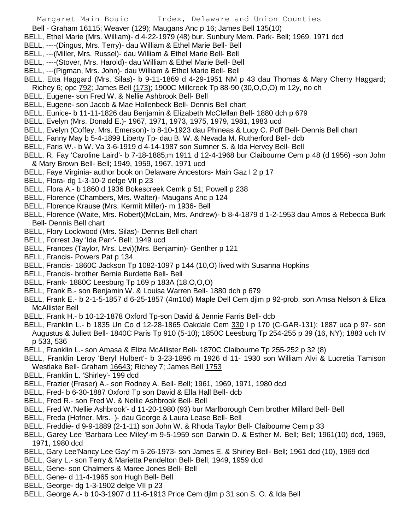- Bell Graham 16115; Weaver (129); Maugans Anc p 16; James Bell 135(10)
- BELL, Ethel Marie (Mrs. William)- d 4-22-1979 (48) bur. Sunbury Mem. Park- Bell; 1969, 1971 dcd
- BELL, ----(Dingus, Mrs. Terry)- dau William & Ethel Marie Bell- Bell
- BELL, ---(Miller, Mrs. Russel)- dau William & Ethel Marie Bell- Bell
- BELL, ----(Stover, Mrs. Harold)- dau William & Ethel Marie Bell- Bell
- BELL, ---(Pigman, Mrs. John)- dau William & Ethel Marie Bell- Bell
- BELL, Etta Haggard (Mrs. Silas)- b 9-11-1869 d 4-29-1951 NM p 43 dau Thomas & Mary Cherry Haggard; Richey 6; opc 792; James Bell (173); 1900C Millcreek Tp 88-90 (30,O,O,O) m 12y, no ch
- BELL, Eugene- son Fred W. & Nellie Ashbrook Bell- Bell
- BELL, Eugene- son Jacob & Mae Hollenbeck Bell- Dennis Bell chart
- BELL, Eunice- b 11-11-1826 dau Benjamin & Elizabeth McClellan Bell- 1880 dch p 679
- BELL, Evelyn (Mrs. Donald E.)- 1967, 1971, 1973, 1975, 1979, 1981, 1983 ucd
- BELL, Evelyn (Coffey, Mrs. Emerson)- b 8-10-1923 dau Phineas & Lucy C. Poff Bell- Dennis Bell chart
- BELL, Fanny May b 5-4-1899 Liberty Tp- dau B. W. & Nevada M. Rutherford Bell- dcb
- BELL, Faris W.- b W. Va 3-6-1919 d 4-14-1987 son Sumner S. & Ida Hervey Bell- Bell
- BELL, R. Fay 'Caroline Laird'- b 7-18-1885;m 1911 d 12-4-1968 bur Claibourne Cem p 48 (d 1956) -son John & Mary Brown Bell- Bell; 1949, 1959, 1967, 1971 ucd
- BELL, Faye Virginia- author book on Delaware Ancestors- Main Gaz I 2 p 17
- BELL, Flora- dg 1-3-10-2 delge VII p 23
- BELL, Flora A.- b 1860 d 1936 Bokescreek Cemk p 51; Powell p 238
- BELL, Florence (Chambers, Mrs. Walter)- Maugans Anc p 124
- BELL, Florence Krause (Mrs. Kermit Miller)- m 1936- Bell
- BELL, Florence (Waite, Mrs. Robert)(McLain, Mrs. Andrew)- b 8-4-1879 d 1-2-1953 dau Amos & Rebecca Burk Bell- Dennis Bell chart
- BELL, Flory Lockwood (Mrs. Silas)- Dennis Bell chart
- BELL, Forrest Jay 'Ida Parr'- Bell; 1949 ucd
- BELL, Frances (Taylor, Mrs. Levi)(Mrs. Benjamin)- Genther p 121
- BELL, Francis- Powers Pat p 134
- BELL, Francis- 1860C Jackson Tp 1082-1097 p 144 (10,O) lived with Susanna Hopkins
- BELL, Francis- brother Bernie Burdette Bell- Bell
- BELL, Frank- 1880C Leesburg Tp 169 p 183A (18,O,O,O)
- BELL, Frank B.- son Benjamin W. & Louisa Warren Bell- 1880 dch p 679
- BELL, Frank E.- b 2-1-5-1857 d 6-25-1857 (4m10d) Maple Dell Cem djlm p 92-prob. son Amsa Nelson & Eliza McAllister Bell
- BELL, Frank H.- b 10-12-1878 Oxford Tp-son David & Jennie Farris Bell- dcb
- BELL, Franklin L.- b 1835 Un Co d 12-28-1865 Oakdale Cem 330 I p 170 (C-GAR-131); 1887 uca p 97- son Augustus & Juliett Bell- 1840C Paris Tp 910 (5-10); 1850C Leesburg Tp 254-255 p 39 (16, NY); 1883 uch IV p 533, 536
- BELL, Franklin L.- son Amasa & Eliza McAllister Bell- 1870C Claibourne Tp 255-252 p 32 (8)
- BELL, Franklin Leroy 'Beryl Hulbert'- b 3-23-1896 m 1926 d 11- 1930 son William Alvi & Lucretia Tamison Westlake Bell- Graham 16643; Richey 7; James Bell 1753
- BELL, Franklin L. 'Shirley'- 199 dcd
- BELL, Frazier (Fraser) A.- son Rodney A. Bell- Bell; 1961, 1969, 1971, 1980 dcd
- BELL, Fred- b 6-30-1887 Oxford Tp son David & Ella Hall Bell- dcb
- BELL, Fred R.- son Fred W. & Nellie Ashbrook Bell- Bell
- BELL, Fred W.'Nellie Ashbrook'- d 11-20-1980 (93) bur Marlborough Cem brother Millard Bell- Bell
- BELL, Freda (Hofner, Mrs. )- dau George & Laura Lease Bell- Bell
- BELL, Freddie- d 9-9-1889 (2-1-11) son John W. & Rhoda Taylor Bell- Claibourne Cem p 33
- BELL, Garey Lee 'Barbara Lee Miley'-m 9-5-1959 son Darwin D. & Esther M. Bell; Bell; 1961(10) dcd, 1969, 1971, 1980 dcd
- BELL, Gary Lee'Nancy Lee Gay' m 5-26-1973- son James E. & Shirley Bell- Bell; 1961 dcd (10), 1969 dcd
- BELL, Gary L.- son Terry & Marietta Pendelton Bell- Bell; 1949, 1959 dcd
- BELL, Gene- son Chalmers & Maree Jones Bell- Bell
- BELL, Gene- d 11-4-1965 son Hugh Bell- Bell
- BELL, George- dg 1-3-1902 delge VII p 23
- BELL, George A.- b 10-3-1907 d 11-6-1913 Price Cem djlm p 31 son S. O. & Ida Bell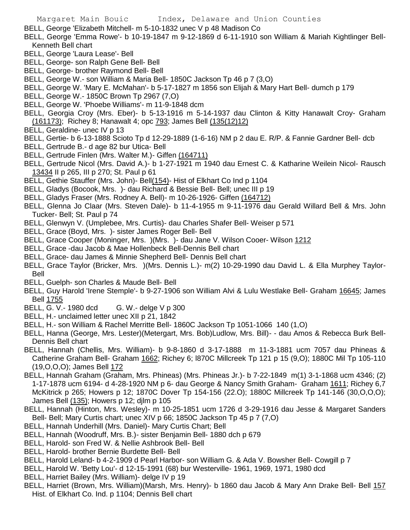- BELL, George 'Elizabeth Mitchell- m 5-10-1832 unec V p 48 Madison Co
- BELL, George 'Emma Rowe'- b 10-19-1847 m 9-12-1869 d 6-11-1910 son William & Mariah Kightlinger Bell-Kenneth Bell chart
- BELL, George 'Laura Lease'- Bell
- BELL, George- son Ralph Gene Bell- Bell
- BELL, George- brother Raymond Bell- Bell
- BELL, George W.- son William & Maria Bell- 1850C Jackson Tp 46 p 7 (3,O)
- BELL, George W. 'Mary E. McMahan'- b 5-17-1827 m 1856 son Elijah & Mary Hart Bell- dumch p 179
- BELL, George W.- 1850C Brown Tp 2967 (7,O)
- BELL, George W. 'Phoebe Williams'- m 11-9-1848 dcm
- BELL, Georgia Croy (Mrs. Eber)- b 5-13-1916 m 5-14-1937 dau Clinton & Kitty Hanawalt Croy- Graham (161173); Richey 8; Hanawalt 4; opc 793; James Bell (135(12)12)
- BELL, Geraldine- unec IV p 13
- BELL, Gertie- b 6-13-1888 Scioto Tp d 12-29-1889 (1-6-16) NM p 2 dau E. R/P. & Fannie Gardner Bell- dcb
- BELL, Gertrude B.- d age 82 bur Utica- Bell
- BELL, Gertrude Finlen (Mrs. Walter M.)- Giffen (164711)
- BELL, Gertrude Nicol (Mrs. David A.)- b 1-27-1921 m 1940 dau Ernest C. & Katharine Weilein Nicol- Rausch 13434 II p 265, III p 270; St. Paul p 61
- BELL, Gethie Stauffer (Mrs. John)- Bell(154)- Hist of Elkhart Co Ind p 1104
- BELL, Gladys (Bocook, Mrs. )- dau Richard & Bessie Bell- Bell; unec III p 19
- BELL, Gladys Fraser (Mrs. Rodney A. Bell)- m 10-26-1926- Giffen (164712)
- BELL, Glenna Jo Claar (Mrs. Steven Dale)- b 11-4-1955 m 9-11-1976 dau Gerald Willard Bell & Mrs. John Tucker- Bell; St. Paul p 74
- BELL, Glenwyn V. (Umplebee, Mrs. Curtis)- dau Charles Shafer Bell- Weiser p 571
- BELL, Grace (Boyd, Mrs. )- sister James Roger Bell- Bell
- BELL, Grace Cooper (Moninger, Mrs. )(Mrs. )- dau Jane V. Wilson Cooer- Wilson 1212
- BELL, Grace -dau Jacob & Mae Hollenbeck Bell-Dennis Bell chart
- BELL, Grace- dau James & Minnie Shepherd Bell- Dennis Bell chart
- BELL, Grace Taylor (Bricker, Mrs. )(Mrs. Dennis L.)- m(2) 10-29-1990 dau David L. & Ella Murphey Taylor-Bell
- BELL, Guelph- son Charles & Maude Bell- Bell
- BELL, Guy Harold 'Irene Stemple'- b 9-27-1906 son William Alvi & Lulu Westlake Bell- Graham 16645; James Bell 1755
- BELL, G. V.- 1980 dcd G. W.- delge V p 300
- BELL, H.- unclaimed letter unec XII p 21, 1842
- BELL, H.- son William & Rachel Merritte Bell- 1860C Jackson Tp 1051-1066 140 (1,O)
- BELL, Hanna (George, Mrs. Lester)(Metergart, Mrs. Bob)Ludlow, Mrs. Bill)- dau Amos & Rebecca Burk Bell-Dennis Bell chart
- BELL, Hannah (Chellis, Mrs. William)- b 9-8-1860 d 3-17-1888 m 11-3-1881 ucm 7057 dau Phineas & Catherine Graham Bell- Graham 1662; Richey 6; l870C Millcreek Tp 121 p 15 (9,O); 1880C Mil Tp 105-110 (19,O,O,O); James Bell 172
- BELL, Hannah Graham (Graham, Mrs. Phineas) (Mrs. Phineas Jr.)- b 7-22-1849 m(1) 3-1-1868 ucm 4346; (2) 1-17-1878 ucm 6194- d 4-28-1920 NM p 6- dau George & Nancy Smith Graham- Graham 1611; Richey 6,7 McKitrick p 265; Howers p 12; 1870C Dover Tp 154-156 (22.O); 1880C Millcreek Tp 141-146 (30,O,O,O); James Bell (135); Howers p 12; djlm p 105
- BELL, Hannah (Hinton, Mrs. Wesley)- m 10-25-1851 ucm 1726 d 3-29-1916 dau Jesse & Margaret Sanders Bell- Bell; Mary Curtis chart; unec XIV p 66; 1850C Jackson Tp 45 p 7 (7,O)
- BELL, Hannah Underhill (Mrs. Daniel)- Mary Curtis Chart; Bell
- BELL, Hannah (Woodruff, Mrs. B.)- sister Benjamin Bell- 1880 dch p 679
- BELL, Harold- son Fred W. & Nellie Ashbrook Bell- Bell
- BELL, Harold- brother Bernie Burdette Bell- Bell
- BELL, Harold Leland- b 4-2-1909 d Pearl Harbor- son William G. & Ada V. Bowsher Bell- Cowgill p 7
- BELL, Harold W. 'Betty Lou'- d 12-15-1991 (68) bur Westerville- 1961, 1969, 1971, 1980 dcd
- BELL, Harriet Bailey (Mrs. William)- delge IV p 19
- BELL, Harriet (Brown, Mrs. William)(Marsh, Mrs. Henry)- b 1860 dau Jacob & Mary Ann Drake Bell- Bell 157 Hist. of Elkhart Co. Ind. p 1104; Dennis Bell chart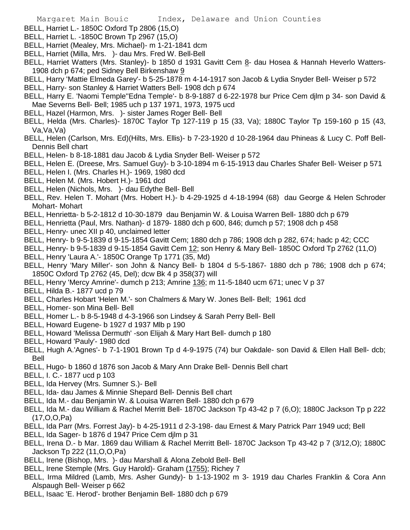- BELL, Harriet L.- 1850C Oxford Tp 2806 (15,O)
- BELL, Harriet L. -1850C Brown Tp 2967 (15,O)
- BELL, Harriet (Mealey, Mrs. Michael)- m 1-21-1841 dcm
- BELL, Harriet (Milla, Mrs. )- dau Mrs. Fred W. Bell-Bell
- BELL, Harriet Watters (Mrs. Stanley)- b 1850 d 1931 Gavitt Cem 8- dau Hosea & Hannah Heverlo Watters-1908 dch p 674; ped Sidney Bell Birkenshaw 9
- BELL, Harry 'Mattie Elmeda Garey'- b 5-25-1878 m 4-14-1917 son Jacob & Lydia Snyder Bell- Weiser p 572
- BELL, Harry- son Stanley & Harriet Watters Bell- 1908 dch p 674
- BELL, Harry E. 'Naomi Temple''Edna Temple'- b 8-9-1887 d 6-22-1978 bur Price Cem djlm p 34- son David & Mae Severns Bell- Bell; 1985 uch p 137 1971, 1973, 1975 ucd
- BELL, Hazel (Harmon, Mrs. )- sister James Roger Bell- Bell
- BELL, Helda (Mrs. Charles)- 1870C Taylor Tp 127-119 p 15 (33, Va); 1880C Taylor Tp 159-160 p 15 (43, Va,Va,Va)
- BELL, Helen (Carlson, Mrs. Ed)(Hilts, Mrs. Ellis)- b 7-23-1920 d 10-28-1964 dau Phineas & Lucy C. Poff Bell-Dennis Bell chart
- BELL, Helen- b 8-18-1881 dau Jacob & Lydia Snyder Bell- Weiser p 572
- BELL, Helen E. (Dreese, Mrs. Samuel Guy)- b 3-10-1894 m 6-15-1913 dau Charles Shafer Bell- Weiser p 571
- BELL, Helen I. (Mrs. Charles H.)- 1969, 1980 dcd
- BELL, Helen M. (Mrs. Hobert H.)- 1961 dcd
- BELL, Helen (Nichols, Mrs. )- dau Edythe Bell- Bell
- BELL, Rev. Helen T. Mohart (Mrs. Hobert H.)- b 4-29-1925 d 4-18-1994 (68) dau George & Helen Schroder Mohart- Mohart
- BELL, Henrietta- b 5-2-1812 d 10-30-1879 dau Benjamin W. & Louisa Warren Bell- 1880 dch p 679
- BELL, Henrietta (Paul, Mrs. Nathan)- d 1879- 1880 dch p 600, 846; dumch p 57; 1908 dch p 458
- BELL, Henry- unec XII p 40, unclaimed letter
- BELL, Henry- b 9-5-1839 d 9-15-1854 Gavitt Cem; 1880 dch p 786; 1908 dch p 282, 674; hadc p 42; CCC
- BELL, Henry- b 9-5-1839 d 9-15-1854 Gavitt Cem 12; son Henry & Mary Bell- 1850C Oxford Tp 2762 (11,O)
- BELL, Henry 'Laura A.'- 1850C Orange Tp 1771 (35, Md)
- BELL, Henry 'Mary Miller'- son John & Nancy Bell- b 1804 d 5-5-1867- 1880 dch p 786; 1908 dch p 674; 1850C Oxford Tp 2762 (45, Del); dcw Bk 4 p 358(37) will
- BELL, Henry 'Mercy Amrine'- dumch p 213; Amrine 136; m 11-5-1840 ucm 671; unec V p 37
- BELL, Hilda B.- 1877 ucd p 79
- BELL, Charles Hobart 'Helen M.'- son Chalmers & Mary W. Jones Bell- Bell; 1961 dcd
- BELL, Homer- son Mina Bell- Bell
- BELL, Homer L.- b 8-5-1948 d 4-3-1966 son Lindsey & Sarah Perry Bell- Bell
- BELL, Howard Eugene- b 1927 d 1937 Mlb p 190
- BELL, Howard 'Melissa Dermuth' -son Elijah & Mary Hart Bell- dumch p 180
- BELL, Howard 'Pauly'- 1980 dcd
- BELL, Hugh A.'Agnes'- b 7-1-1901 Brown Tp d 4-9-1975 (74) bur Oakdale- son David & Ellen Hall Bell- dcb; Bell
- BELL, Hugo- b 1860 d 1876 son Jacob & Mary Ann Drake Bell- Dennis Bell chart
- BELL, I. C.- 1877 ucd p 103
- BELL, Ida Hervey (Mrs. Sumner S.)- Bell
- BELL, Ida- dau James & Minnie Shepard Bell- Dennis Bell chart
- BELL, Ida M.- dau Benjamin W. & Louisa Warren Bell- 1880 dch p 679
- BELL, Ida M.- dau William & Rachel Merritt Bell- 1870C Jackson Tp 43-42 p 7 (6,O); 1880C Jackson Tp p 222 (17,O,O,Pa)
- BELL, Ida Parr (Mrs. Forrest Jay)- b 4-25-1911 d 2-3-198- dau Ernest & Mary Patrick Parr 1949 ucd; Bell
- BELL, Ida Sager- b 1876 d 1947 Price Cem djlm p 31
- BELL, Irena D.- b Mar. 1869 dau William & Rachel Merritt Bell- 1870C Jackson Tp 43-42 p 7 (3/12,O); 1880C Jackson Tp 222 (11,O,O,Pa)
- BELL, Irene (Bishop, Mrs. )- dau Marshall & Alona Zebold Bell- Bell
- BELL, Irene Stemple (Mrs. Guy Harold)- Graham (1755); Richey 7
- BELL, Irma Mildred (Lamb, Mrs. Asher Gundy)- b 1-13-1902 m 3- 1919 dau Charles Franklin & Cora Ann Alspaugh Bell- Weiser p 662
- BELL, Isaac 'E. Herod'- brother Benjamin Bell- 1880 dch p 679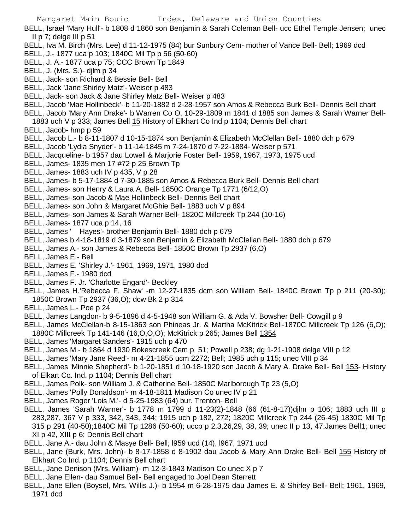- BELL, J. A.- 1877 uca p 75; CCC Brown Tp 1849
- BELL, J. (Mrs. S.)- djlm p 34
- BELL, Jack- son Richard & Bessie Bell- Bell
- BELL, Jack 'Jane Shirley Matz'- Weiser p 483
- BELL, Jack- son Jack & Jane Shirley Matz Bell- Weiser p 483
- BELL, Jacob 'Mae Hollinbeck'- b 11-20-1882 d 2-28-1957 son Amos & Rebecca Burk Bell- Dennis Bell chart
- BELL, Jacob 'Mary Ann Drake'- b Warren Co O. 10-29-1809 m 1841 d 1885 son James & Sarah Warner Bell-
- 1883 uch V p 333; James Bell 15 History of Elkhart Co Ind p 1104; Dennis Bell chart
- BELL, Jacob- hmp p 59
- BELL, Jacob L.- b 8-11-1807 d 10-15-1874 son Benjamin & Elizabeth McClellan Bell- 1880 dch p 679
- BELL, Jacob 'Lydia Snyder'- b 11-14-1845 m 7-24-1870 d 7-22-1884- Weiser p 571
- BELL, Jacqueline- b 1957 dau Lowell & Marjorie Foster Bell- 1959, 1967, 1973, 1975 ucd
- BELL, James- 1835 men 17 #72 p 25 Brown Tp
- BELL, James- 1883 uch IV p 435, V p 28
- BELL, James- b 5-17-1884 d 7-30-1885 son Amos & Rebecca Burk Bell- Dennis Bell chart
- BELL, James- son Henry & Laura A. Bell- 1850C Orange Tp 1771 (6/12,O)
- BELL, James- son Jacob & Mae Hollinbeck Bell- Dennis Bell chart
- BELL, James- son John & Margaret McGhie Bell- 1883 uch V p 894
- BELL, James- son James & Sarah Warner Bell- 1820C Millcreek Tp 244 (10-16)
- BELL, James- 1877 uca p 14, 16
- BELL, James ' Hayes'- brother Benjamin Bell- 1880 dch p 679
- BELL, James b 4-18-1819 d 3-1879 son Benjamin & Elizabeth McClellan Bell- 1880 dch p 679
- BELL, James A.- son James & Rebecca Bell- 1850C Brown Tp 2937 (6,O)
- BELL, James E.- Bell
- BELL, James E. 'Shirley J.'- 1961, 1969, 1971, 1980 dcd
- BELL, James F.- 1980 dcd
- BELL, James F. Jr. 'Charlotte Engard'- Beckley
- BELL, James H.'Rebecca F. Shaw' -m 12-27-1835 dcm son William Bell- 1840C Brown Tp p 211 (20-30); 1850C Brown Tp 2937 (36,O); dcw Bk 2 p 314
- BELL, James L.- Poe p 24
- BELL, James Langdon- b 9-5-1896 d 4-5-1948 son William G. & Ada V. Bowsher Bell- Cowgill p 9
- BELL, James McClellan-b 8-15-1863 son Phineas Jr. & Martha McKitrick Bell-1870C Millcreek Tp 126 (6,O); 1880C Millcreek Tp 141-146 (16,O,O,O); McKitrick p 265; James Bell 1354
- BELL, James 'Margaret Sanders'- 1915 uch p 470
- BELL, James M.- b 1864 d 1930 Bokescreek Cem p 51; Powell p 238; dg 1-21-1908 delge VIII p 12
- BELL, James 'Mary Jane Reed'- m 4-21-1855 ucm 2272; Bell; 1985 uch p 115; unec VIII p 34
- BELL, James 'Minnie Shepherd'- b 1-20-1851 d 10-18-1920 son Jacob & Mary A. Drake Bell- Bell 153- History of Elkart Co. Ind. p 1104; Dennis Bell chart
- BELL, James Polk- son William J. & Catherine Bell- 1850C Marlborough Tp 23 (5,O)
- BELL, James 'Polly Donaldson'- m 4-18-1811 Madison Co unec IV p 21
- BELL, James Roger 'Lois M.'- d 5-25-1983 (64) bur. Trenton- Bell
- BELL, James 'Sarah Warner'- b 1778 m 1799 d 11-23(2)-1848 (66 (61-8-17))djlm p 106; 1883 uch III p 283,287, 367 V p 333, 342, 343, 344; 1915 uch p 182, 272; 1820C Millcreek Tp 244 (26-45) 1830C Mil Tp 315 p 291 (40-50);1840C Mil Tp 1286 (50-60); uccp p 2,3,26,29, 38, 39; unec II p 13, 47;James Bell1; unec XI p 42, XIII p 6; Dennis Bell chart
- BELL, Jane A.- dau John & Masye Bell- Bell; l959 ucd (14), l967, 1971 ucd
- BELL, Jane (Burk, Mrs. John)- b 8-17-1858 d 8-1902 dau Jacob & Mary Ann Drake Bell- Bell 155 History of Elkhart Co Ind. p 1104; Dennis Bell chart
- BELL, Jane Denison (Mrs. William)- m 12-3-1843 Madison Co unec X p 7
- BELL, Jane Ellen- dau Samuel Bell- Bell engaged to Joel Dean Sterrett
- BELL, Jane Ellen (Boysel, Mrs. Willis J.)- b 1954 m 6-28-1975 dau James E. & Shirley Bell- Bell; 1961, 1969, 1971 dcd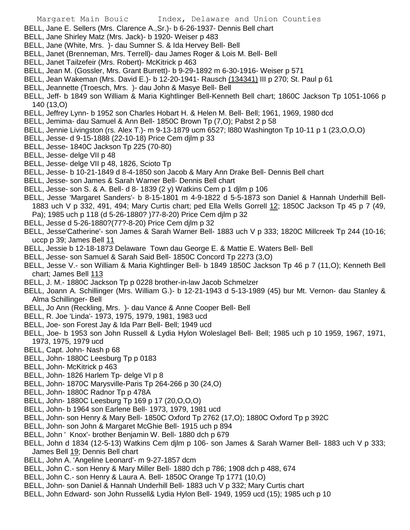BELL, Jane E. Sellers (Mrs. Clarence A.,Sr.)- b 6-26-1937- Dennis Bell chart

- BELL, Jane Shirley Matz (Mrs. Jack)- b 1920- Weiser p 483
- BELL, Jane (White, Mrs. )- dau Sumner S. & Ida Hervey Bell- Bell
- BELL, Janet (Brenneman, Mrs. Terrell)- dau James Roger & Lois M. Bell- Bell
- BELL, Janet Tailzefeir (Mrs. Robert)- McKitrick p 463
- BELL, Jean M. (Gossler, Mrs. Grant Burrett)- b 9-29-1892 m 6-30-1916- Weiser p 571
- BELL, Jean Wakeman (Mrs. David E.)- b 12-20-1941- Rausch (134341) III p 270; St. Paul p 61
- BELL, Jeannette (Troesch, Mrs. )- dau John & Masye Bell- Bell
- BELL, Jeff- b 1849 son William & Maria Kightlinger Bell-Kenneth Bell chart; 1860C Jackson Tp 1051-1066 p 140 (13,O)
- BELL, Jeffrey Lynn- b 1952 son Charles Hobart H. & Helen M. Bell- Bell; 1961, 1969, 1980 dcd
- BELL, Jemima- dau Samuel & Ann Bell- 1850C Brown Tp (7,O); Pabst 2 p 58
- BELL, Jennie Livingston (rs. Alex T.)- m 9-13-1879 ucm 6527; l880 Washington Tp 10-11 p 1 (23,O,O,O)
- BELL, Jesse- d 9-15-1888 (22-10-18) Price Cem djlm p 33
- BELL, Jesse- 1840C Jackson Tp 225 (70-80)
- BELL, Jesse- delge VII p 48
- BELL, Jesse- delge VII p 48, 1826, Scioto Tp
- BELL, Jesse- b 10-21-1849 d 8-4-1850 son Jacob & Mary Ann Drake Bell- Dennis Bell chart
- BELL, Jesse- son James & Sarah Warner Bell- Dennis Bell chart
- BELL, Jesse- son S. & A. Bell- d 8- 1839 (2 y) Watkins Cem p 1 djlm p 106
- BELL, Jesse 'Margaret Sanders'- b 8-15-1801 m 4-9-1822 d 5-5-1873 son Daniel & Hannah Underhill Bell-1883 uch V p 332, 491, 494; Mary Curtis chart; ped Ella Wells Gorrell 12; 1850C Jackson Tp 45 p 7 (49, Pa); 1985 uch p 118 (d 5-26-1880? )77-8-20) Price Cem djlm p 32
- BELL, Jesse d 5-26-1880?(77?-8-20) Price Cem djlm p 32
- BELL, Jesse'Catherine'- son James & Sarah Warner Bell- 1883 uch V p 333; 1820C Millcreek Tp 244 (10-16; uccp p 39; James Bell 11
- BELL, Jessie b 12-18-1873 Delaware Town dau George E. & Mattie E. Waters Bell- Bell
- BELL, Jesse- son Samuel & Sarah Said Bell- 1850C Concord Tp 2273 (3,O)
- BELL, Jesse V.- son William & Maria Kightlinger Bell- b 1849 1850C Jackson Tp 46 p 7 (11,O); Kenneth Bell chart; James Bell 113
- BELL, J. M.- 1880C Jackson Tp p 0228 brother-in-law Jacob Schmelzer
- BELL, Joann A. Schillinger (Mrs. William G.)- b 12-21-1943 d 5-13-1989 (45) bur Mt. Vernon- dau Stanley & Alma Schillinger- Bell
- BELL, Jo Ann (Reckling, Mrs. )- dau Vance & Anne Cooper Bell- Bell
- BELL, R. Joe 'Linda'- 1973, 1975, 1979, 1981, 1983 ucd
- BELL, Joe- son Forest Jay & Ida Parr Bell- Bell; 1949 ucd
- BELL, Joe- b 1953 son John Russell & Lydia Hylon Woleslagel Bell- Bell; 1985 uch p 10 1959, 1967, 1971, 1973, 1975, 1979 ucd
- BELL, Capt. John- Nash p 68
- BELL, John- 1880C Leesburg Tp p 0183
- BELL, John- McKitrick p 463
- BELL, John- 1826 Harlem Tp- delge VI p 8
- BELL, John- 1870C Marysville-Paris Tp 264-266 p 30 (24,O)
- BELL, John- 1880C Radnor Tp p 478A
- BELL, John- 1880C Leesburg Tp 169 p 17 (20,O,O,O)
- BELL, John- b 1964 son Earlene Bell- 1973, 1979, 1981 ucd
- BELL, John- son Henry & Mary Bell- 1850C Oxford Tp 2762 (17,O); 1880C Oxford Tp p 392C
- BELL, John- son John & Margaret McGhie Bell- 1915 uch p 894
- BELL, John ' Knox'- brother Benjamin W. Bell- 1880 dch p 679
- BELL, John d 1834 (12-5-13) Watkins Cem djlm p 106- son James & Sarah Warner Bell- 1883 uch V p 333; James Bell 19; Dennis Bell chart
- BELL, John A. 'Angeline Leonard'- m 9-27-1857 dcm
- BELL, John C.- son Henry & Mary Miller Bell- 1880 dch p 786; 1908 dch p 488, 674
- BELL, John C.- son Henry & Laura A. Bell- 1850C Orange Tp 1771 (10,O)
- BELL, John- son Daniel & Hannah Underhill Bell- 1883 uch V p 332; Mary Curtis chart
- BELL, John Edward- son John Russell& Lydia Hylon Bell- 1949, 1959 ucd (15); 1985 uch p 10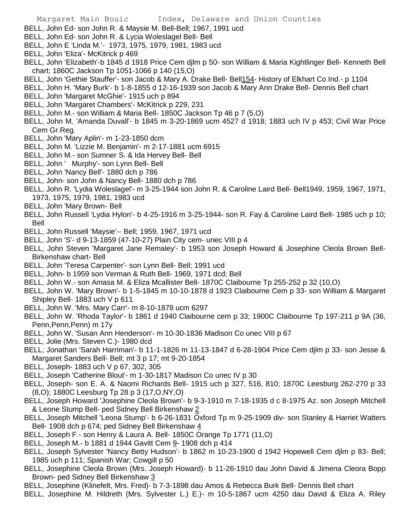- Margaret Main Bouic Index, Delaware and Union Counties
- BELL, John Ed- son John R. & Maysie M. Bell-Bell; 1967, 1991 ucd
- BELL, John Ed- son John R. & Lycia Woleslagel Bell- Bell
- BELL, John E 'Linda M.'- 1973, 1975, 1979, 1981, 1983 ucd
- BELL, John 'Eliza'- McKitrick p 469
- BELL, John 'Elizabeth'-b 1845 d 1918 Price Cem djlm p 50- son William & Maria Kightlinger Bell- Kenneth Bell chart; 1860C Jackson Tp 1051-1066 p 140 (15,O)
- BELL, John 'Gethie Stauffer'- son Jacob & Mary A. Drake Bell- Bell154- History of Elkhart Co Ind.- p 1104
- BELL, John H. 'Mary Burk'- b 1-8-1855 d 12-16-1939 son Jacob & Mary Ann Drake Bell- Dennis Bell chart
- BELL, John 'Margaret McGhie'- 1915 uch p 894
- BELL, John 'Margaret Chambers'- McKitrick p 229, 231
- BELL, John M.- son William & Maria Bell- 1850C Jackson Tp 46 p 7 (5,O)
- BELL, John M. 'Amanda Duvall'- b 1845 m 3-20-1869 ucm 4527 d 1918; 1883 uch IV p 453; Civil War Price Cem Gr.Reg.
- BELL, John 'Mary Aplin'- m 1-23-1850 dcm
- BELL, John M. 'Lizzie M. Benjamin'- m 2-17-1881 ucm 6915
- BELL, John M.- son Sumner S. & Ida Hervey Bell- Bell
- BELL, John ' Murphy'- son Lynn Bell- Bell
- BELL, John 'Nancy Bell'- 1880 dch p 786
- BELL, John- son John & Nancy Bell- 1880 dch p 786
- BELL, John R. 'Lydia Woleslagel'- m 3-25-1944 son John R. & Caroline Laird Bell- Bell1949, 1959, 1967, 1971, 1973, 1975, 1979, 1981, 1983 ucd
- BELL, John 'Mary Brown- Bell
- BELL, John Russell 'Lydia Hylon'- b 4-25-1916 m 3-25-1944- son R. Fay & Caroline Laird Bell- 1985 uch p 10; Bell
- BELL, John Russell 'Maysie'-- Bell; 1959, 1967, 1971 ucd
- BELL, John 'S'- d 9-13-1859 (47-10-27) Plain City cem- unec VIII p 4
- BELL, John Steven 'Margaret Jane Remaley'- b 1953 son Joseph Howard & Josephine Cleola Brown Bell-Birkenshaw chart- Bell
- BELL, John 'Teresa Carpenter'- son Lynn Bell- Bell; 1991 ucd
- BELL, John- b 1959 son Verman & Ruth Bell- 1969, 1971 dcd; Bell
- BELL, John W.- son Amasa M. & Eliza Mcallister Bell- 1870C Claibourne Tp 255-252 p 32 (10,O)
- BELL, John W. 'Mary Brown'- b 1-5-1845 m 10-10-1878 d 1923 Claibourne Cem p 33- son William & Margaret Shipley Bell- 1883 uch V p 611
- BELL, John W. 'Mrs. Mary Carr'- m 8-10-1878 ucm 6297
- BELL, John W. 'Rhoda Taylor'- b 1861 d 1940 Claibourne cem p 33; 1900C Claibourne Tp 197-211 p 9A (36, Penn,Penn,Penn) m 17y
- BELL, John W. 'Susan Ann Henderson'- m 10-30-1836 Madison Co unec VIII p 67
- BELL, Jolie (Mrs. Steven C.)- 1980 dcd
- BELL, Jonathan 'Sarah Harriman'- b 11-1-1826 m 11-13-1847 d 6-28-1904 Price Cem djlm p 33- son Jesse & Margaret Sanders Bell- Bell; mt 3 p 17; mt 9-20-1854
- BELL, Joseph- 1883 uch V p 67, 302, 305
- BELL, Joseph 'Catherine Blout'- m 1-30-1817 Madison Co unec IV p 30
- BELL, Joseph- son E. A. & Naomi Richards Bell- 1915 uch p 327, 516, 810; 1870C Leesburg 262-270 p 33 (8,O); 1880C Leesburg Tp 28 p 3 (17,O,NY,O)
- BELL, Joseph Howard 'Josephine Cleola Brown'- b 9-3-1910 m 7-18-1935 d c 8-1975 Az. son Joseph Mitchell & Leone Stump Bell- ped Sidney Bell Birkenshaw 2
- BELL, Joseph Mitchell 'Leona Stump'- b 6-26-1831 Oxford Tp m 9-25-1909 div- son Stanley & Harriet Watters Bell- 1908 dch p 674; ped Sidney Bell Birkenshaw 4
- BELL, Joseph F.- son Henry & Laura A. Bell- 1850C Orange Tp 1771 (11,O)
- BELL, Joseph M.- b 1881 d 1944 Gavitt Cem 9- 1908 dch p 414
- BELL, Joseph Sylvester 'Nancy Betty Hudson'- b 1862 m 10-23-1900 d 1942 Hopewell Cem djlm p 83- Bell; 1985 uch p 111; Spanish War; Cowgill p 50
- BELL, Josephine Cleola Brown (Mrs. Joseph Howard)- b 11-26-1910 dau John David & Jimena Cleora Bopp Brown- ped Sidney Bell Birkenshaw 3
- BELL, Josephine (Klinefelt, Mrs. Fred)- b 7-3-1898 dau Amos & Rebecca Burk Bell- Dennis Bell chart
- BELL, Josephine M. Hildreth (Mrs. Sylvester L.) E.)- m 10-5-1867 ucm 4250 dau David & Eliza A. Riley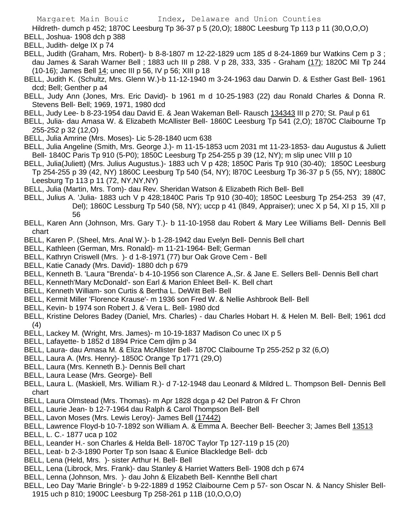Hildreth- dumch p 452; 1870C Leesburg Tp 36-37 p 5 (20,O); 1880C Leesburg Tp 113 p 11 (30,O,O,O) BELL, Joshua- 1908 dch p 388

BELL, Judith- delge IX p 74

- BELL, Judith (Graham, Mrs. Robert)- b 8-8-1807 m 12-22-1829 ucm 185 d 8-24-1869 bur Watkins Cem p 3 ; dau James & Sarah Warner Bell ; 1883 uch III p 288. V p 28, 333, 335 - Graham (17); 1820C Mil Tp 244 (10-16); James Bell 14; unec III p 56, IV p 56; XIII p 18
- BELL, Judith K. (Schultz, Mrs. Glenn W.)-b 11-12-1940 m 3-24-1963 dau Darwin D. & Esther Gast Bell- 1961 dcd; Bell; Genther p a4
- BELL, Judy Ann (Jones, Mrs. Eric David)- b 1961 m d 10-25-1983 (22) dau Ronald Charles & Donna R. Stevens Bell- Bell; 1969, 1971, 1980 dcd
- BELL, Judy Lee- b 8-23-1954 dau David E. & Jean Wakeman Bell- Rausch 134343 III p 270; St. Paul p 61
- BELL, Julia- dau Amasa W. & Elizabeth McAllister Bell- 1860C Leesburg Tp 541 (2,O); 1870C Claibourne Tp 255-252 p 32 (12,O)
- BELL, Julia Amrine (Mrs. Moses)- Lic 5-28-1840 ucm 638
- BELL, Julia Angeline (Smith, Mrs. George J.)- m 11-15-1853 ucm 2031 mt 11-23-1853- dau Augustus & Juliett Bell- 1840C Paris Tp 910 (5-P0); 1850C Leesburg Tp 254-255 p 39 (12, NY); m slip unec VIII p 10
- BELL, Julia(Juliett) (Mrs. Julius Augustus.)- 1883 uch V p 428; 1850C Paris Tp 910 (30-40); 1850C Leesburg Tp 254-255 p 39 (42, NY) 1860C Leesburg Tp 540 (54, NY); l870C Leesburg Tp 36-37 p 5 (55, NY); 1880C Leesburg Tp 113 p 11 (72, NY,NY,NY)
- BELL, Julia (Martin, Mrs. Tom)- dau Rev. Sheridan Watson & Elizabeth Rich Bell- Bell
- BELL, Julius A. 'Julia- 1883 uch V p 428;1840C Paris Tp 910 (30-40); 1850C Leesburg Tp 254-253 39 (47, Del); 1860C Lessburg Tp 540 (58, NY); uccp p 41 (l849, Appraiser); unec X p 54, XI p 15, XII p 56
- BELL, Karen Ann (Johnson, Mrs. Gary T.)- b 11-10-1958 dau Robert & Mary Lee Williams Bell- Dennis Bell chart
- BELL, Karen P. (Sheel, Mrs. Anal W.)- b 1-28-1942 dau Evelyn Bell- Dennis Bell chart
- BELL, Kathleen (German, Mrs. Ronald)- m 11-21-1964- Bell; German
- BELL, Kathryn Criswell (Mrs. )- d 1-8-1971 (77) bur Oak Grove Cem Bell
- BELL, Katie Canady (Mrs. David)- 1880 dch p 679
- BELL, Kenneth B. 'Laura ''Brenda'- b 4-10-1956 son Clarence A.,Sr. & Jane E. Sellers Bell- Dennis Bell chart
- BELL, Kenneth'Mary McDonald'- son Earl & Marion Ehleet Bell- K. Bell chart
- BELL, Kenneth William- son Curtis & Bertha L. DeWitt Bell- Bell
- BELL, Kermit Miller 'Florence Krause'- m 1936 son Fred W. & Nellie Ashbrook Bell- Bell
- BELL, Kevin- b 1974 son Robert J. & Vera L. Bell- 1980 dcd
- BELL, Kristine Delores Badey (Daniel, Mrs. Charles) dau Charles Hobart H. & Helen M. Bell- Bell; 1961 dcd (4)
- BELL, Lackey M. (Wright, Mrs. James)- m 10-19-1837 Madison Co unec IX p 5
- BELL, Lafayette- b 1852 d 1894 Price Cem djlm p 34
- BELL, Laura- dau Amasa M. & Eliza McAllister Bell- 1870C Claibourne Tp 255-252 p 32 (6,O)
- BELL, Laura A. (Mrs. Henry)- 1850C Orange Tp 1771 (29,O)
- BELL, Laura (Mrs. Kenneth B.)- Dennis Bell chart
- BELL, Laura Lease (Mrs. George)- Bell
- BELL, Laura L. (Maskiell, Mrs. William R.)- d 7-12-1948 dau Leonard & Mildred L. Thompson Bell- Dennis Bell chart
- BELL, Laura Olmstead (Mrs. Thomas)- m Apr 1828 dcga p 42 Del Patron & Fr Chron
- BELL, Laurie Jean- b 12-7-1964 dau Ralph & Carol Thompson Bell- Bell
- BELL, Lavon Moses (Mrs. Lewis Leroy)- James Bell (17442)
- BELL, Lawrence Floyd-b 10-7-1892 son William A. & Emma A. Beecher Bell- Beecher 3; James Bell 13513
- BELL, L. C.- 1877 uca p 102
- BELL, Leander H.- son Charles & Helda Bell- 1870C Taylor Tp 127-119 p 15 (20)
- BELL, Leat- b 2-3-1890 Porter Tp son Isaac & Eunice Blackledge Bell- dcb
- BELL, Lena (Held, Mrs. )- sister Arthur H. Bell- Bell
- BELL, Lena (Librock, Mrs. Frank)- dau Stanley & Harriet Watters Bell- 1908 dch p 674
- BELL, Lenna (Johnson, Mrs. )- dau John & Elizabeth Bell- Kennthe Bell chart
- BELL, Leo Day 'Marie Bringle'- b 9-22-1889 d 1952 Claibourne Cem p 57- son Oscar N. & Nancy Shisler Bell-1915 uch p 810; 1900C Leesburg Tp 258-261 p 11B (10,O,O,O)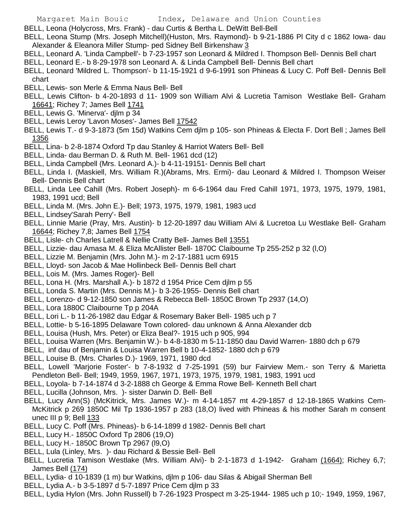- BELL, Leona (Holycross, Mrs. Frank) dau Curtis & Bertha L. DeWitt Bell-Bell
- BELL, Leona Stump (Mrs. Joseph Mitchell)(Huston, Mrs. Raymond)- b 9-21-1886 Pl City d c 1862 Iowa- dau Alexander & Eleanora Miller Stump- ped Sidney Bell Birkenshaw 3
- BELL, Leonard A. 'Linda Campbell'- b 7-23-1957 son Leonard & Mildred I. Thompson Bell- Dennis Bell chart
- BELL, Leonard E.- b 8-29-1978 son Leonard A. & Linda Campbell Bell- Dennis Bell chart
- BELL, Leonard 'Mildred L. Thompson'- b 11-15-1921 d 9-6-1991 son Phineas & Lucy C. Poff Bell- Dennis Bell chart
- BELL, Lewis- son Merle & Emma Naus Bell- Bell
- BELL, Lewis Clifton- b 4-20-1893 d 11- 1909 son William Alvi & Lucretia Tamison Westlake Bell- Graham 16641; Richey 7; James Bell 1741
- BELL, Lewis G. 'Minerva'- djlm p 34
- BELL, Lewis Leroy 'Lavon Moses'- James Bell 17542
- BELL, Lewis T.- d 9-3-1873 (5m 15d) Watkins Cem djlm p 105- son Phineas & Electa F. Dort Bell ; James Bell 1356
- BELL, Lina- b 2-8-1874 Oxford Tp dau Stanley & Harriot Waters Bell- Bell
- BELL, Linda- dau Berman D. & Ruth M. Bell- 1961 dcd (12)
- BELL, Linda Campbell (Mrs. Leonard A.)- b 4-11-19151- Dennis Bell chart
- BELL, Linda I. (Maskiell, Mrs. William R.)(Abrams, Mrs. Ermi)- dau Leonard & Mildred I. Thompson Weiser Bell- Dennis Bell chart
- BELL, Linda Lee Cahill (Mrs. Robert Joseph)- m 6-6-1964 dau Fred Cahill 1971, 1973, 1975, 1979, 1981, 1983, 1991 ucd; Bell
- BELL, Linda M. (Mrs. John E.)- Bell; 1973, 1975, 1979, 1981, 1983 ucd
- BELL, Lindsey'Sarah Perry'- Bell
- BELL, Linnie Marie (Pray, Mrs. Austin)- b 12-20-1897 dau William Alvi & Lucretoa Lu Westlake Bell- Graham 16644; Richey 7,8; James Bell 1754
- BELL, Lisle- ch Charles Latrell & Nellie Cratty Bell- James Bell 13551
- BELL, Lizzie- dau Amasa M. & Eliza McAllister Bell- 1870C Claibourne Tp 255-252 p 32 (l,O)
- BELL, Lizzie M. Benjamin (Mrs. John M.)- m 2-17-1881 ucm 6915
- BELL, Lloyd- son Jacob & Mae Hollinbeck Bell- Dennis Bell chart
- BELL, Lois M. (Mrs. James Roger)- Bell
- BELL, Lona H. (Mrs. Marshall A.)- b 1872 d 1954 Price Cem djlm p 55
- BELL, Londa S. Martin (Mrs. Dennis M.)- b 3-26-1955- Dennis Bell chart
- BELL, Lorenzo- d 9-12-1850 son James & Rebecca Bell- 1850C Brown Tp 2937 (14,O)
- BELL, Lora 1880C Claibourne Tp p 204A
- BELL, Lori L.- b 11-26-1982 dau Edgar & Rosemary Baker Bell- 1985 uch p 7
- BELL, Lottie- b 5-16-1895 Delaware Town colored- dau unknown & Anna Alexander dcb
- BELL, Louisa (Hush, Mrs. Peter) or Eliza Beal?- 1915 uch p 905, 994
- BELL, Louisa Warren (Mrs. Benjamin W.)- b 4-8-1830 m 5-11-1850 dau David Warren- 1880 dch p 679
- BELL, inf dau of Benjamin & Louisa Warren Bell b 10-4-1852- 1880 dch p 679
- BELL, Louise B. (Mrs. Charles D.)- 1969, 1971, 1980 dcd
- BELL, Lowell 'Marjorie Foster'- b 7-8-1932 d 7-25-1991 (59) bur Fairview Mem.- son Terry & Marietta Pendleton Bell- Bell; 1949, 1959, 1967, 1971, 1973, 1975, 1979, 1981, 1983, 1991 ucd
- BELL, Loyola- b 7-14-1874 d 3-2-1888 ch George & Emma Rowe Bell- Kenneth Bell chart
- BELL, Lucilla (Johnson, Mrs. )- sister Darwin D. Bell- Bell
- BELL, Lucy Ann(S) (McKitrick, Mrs. James W.)- m 4-14-1857 mt 4-29-1857 d 12-18-1865 Watkins Cem-McKitrick p 269 1850C Mil Tp 1936-1957 p 283 (18,O) lived with Phineas & his mother Sarah m consent unec III p 9; Bell 133
- BELL, Lucy C. Poff (Mrs. Phineas)- b 6-14-1899 d 1982- Dennis Bell chart
- BELL, Lucy H.- 1850C Oxford Tp 2806 (19,O)
- BELL, Lucy H.- 1850C Brown Tp 2967 (l9,O)
- BELL, Lula (Linley, Mrs. )- dau Richard & Bessie Bell- Bell
- BELL, Lucretia Tamison Westlake (Mrs. William Alvi)- b 2-1-1873 d 1-1942- Graham (1664); Richey 6,7; James Bell (174)
- BELL, Lydia- d 10-1839 (1 m) bur Watkins, djlm p 106- dau Silas & Abigail Sherman Bell
- BELL, Lydia A.- b 3-5-1897 d 5-7-1897 Price Cem djlm p 33
- BELL, Lydia Hylon (Mrs. John Russell) b 7-26-1923 Prospect m 3-25-1944- 1985 uch p 10;- 1949, 1959, 1967,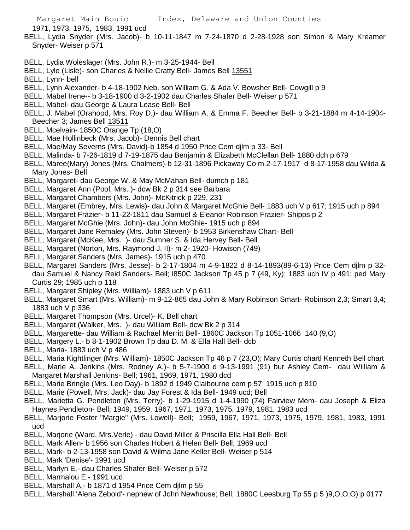1971, 1973, 1975, 1983, 1991 ucd

- BELL, Lydia Snyder (Mrs. Jacob)- b 10-11-1847 m 7-24-1870 d 2-28-1928 son Simon & Mary Kreamer Snyder- Weiser p 571
- BELL, Lydia Woleslager (Mrs. John R.)- m 3-25-1944- Bell
- BELL, Lyle (Lisle)- son Charles & Nellie Cratty Bell- James Bell 13551
- BELL, Lynn- bell
- BELL, Lynn Alexander- b 4-18-1902 Neb. son William G. & Ada V. Bowsher Bell- Cowgill p 9
- BELL, Mabel Irene-- b 3-18-1900 d 3-2-1902 dau Charles Shafer Bell- Weiser p 571
- BELL, Mabel- dau George & Laura Lease Bell- Bell
- BELL, J. Mabel (Orahood, Mrs. Roy D.)- dau William A. & Emma F. Beecher Bell- b 3-21-1884 m 4-14-1904- Beecher 3; James Bell 13511
- BELL, Mcelvain- 1850C Orange Tp (18,O)
- BELL, Mae Hollinbeck (Mrs. Jacob)- Dennis Bell chart
- BELL, Mae/May Severns (Mrs. David)-b 1854 d 1950 Price Cem djlm p 33- Bell
- BELL, Malinda- b 7-26-1819 d 7-19-1875 dau Benjamin & Elizabeth McClellan Bell- 1880 dch p 679
- BELL, Maree(Mary) Jones (Mrs. Chalmers)-b 12-31-1896 Pickaway Co m 2-17-1917 d 8-17-1958 dau Wilda & Mary Jones- Bell
- BELL, Margaret- dau George W. & May McMahan Bell- dumch p 181
- BELL, Margaret Ann (Pool, Mrs. )- dcw Bk 2 p 314 see Barbara
- BELL, Margaret Chambers (Mrs. John)- McKitrick p 229, 231
- BELL, Margaret (Embrey, Mrs. Lewis)- dau John & Margaret McGhie Bell- 1883 uch V p 617; 1915 uch p 894
- BELL, Margaret Frazier- b 11-22-1811 dau Samuel & Eleanor Robinson Frazier- Shipps p 2
- BELL, Margaret McGhie (Mrs. John)- dau John McGhie- 1915 uch p 894
- BELL, Margaret Jane Remaley (Mrs. John Steven)- b 1953 Birkenshaw Chart- Bell
- BELL, Margaret (McKee, Mrs. )- dau Sumner S. & Ida Hervey Bell- Bell
- BELL, Margaret (Norton, Mrs. Raymond J. II)- m 2- 1920- Howison (749)
- BELL, Margaret Sanders (Mrs. James)- 1915 uch p 470
- BELL, Margaret Sanders (Mrs. Jesse)- b 2-17-1804 m 4-9-1822 d 8-14-1893(89-6-13) Price Cem djlm p 32 dau Samuel & Nancy Reid Sanders- Bell; l850C Jackson Tp 45 p 7 (49, Ky); 1883 uch IV p 491; ped Mary Curtis 29; 1985 uch p 118
- BELL, Margaret Shipley (Mrs. William)- 1883 uch V p 611
- BELL, Margaret Smart (Mrs. William)- m 9-12-865 dau John & Mary Robinson Smart- Robinson 2,3; Smart 3,4; 1883 uch V p 336
- BELL, Margaret Thompson (Mrs. Urcel)- K. Bell chart
- BELL, Margaret (Walker, Mrs. )- dau William Bell- dcw Bk 2 p 314
- BELL, Margarette- dau William & Rachael Merritt Bell- 1860C Jackson Tp 1051-1066 140 (9,O)
- BELL, Margery L.- b 8-1-1902 Brown Tp dau D. M. & Ella Hall Bell- dcb
- BELL, Maria- 1883 uch V p 486
- BELL, Maria Kightlinger (Mrs. William)- 1850C Jackson Tp 46 p 7 (23,O); Mary Curtis chartl Kenneth Bell chart
- BELL, Marie A. Jenkins (Mrs. Rodney A.)- b 5-7-1900 d 9-13-1991 (91) bur Ashley Cem- dau William & Margaret Marshall Jenkins- Bell; 1961, 1969, 1971, 1980 dcd
- BELL, Marie Bringle (Mrs. Leo Day)- b 1892 d 1949 Claibourne cem p 57; 1915 uch p 810
- BELL, Marie (Powell, Mrs. Jack)- dau Jay Forest & Ida Bell- 1949 ucd; Bell
- BELL, Marietta G. Pendleton (Mrs. Terry)- b 1-29-1915 d 1-4-1990 (74) Fairview Mem- dau Joseph & Eliza Haynes Pendleton- Bell; 1949, 1959, 1967, 1971, 1973, 1975, 1979, 1981, 1983 ucd
- BELL, Marjorie Foster "Margie" (Mrs. Lowell)- Bell; 1959, 1967, 1971, 1973, 1975, 1979, 1981, 1983, 1991 ucd
- BELL, Marjorie (Ward, Mrs.Verle) dau David Miller & Priscilla Ella Hall Bell- Bell
- BELL, Mark Allen- b 1956 son Charles Hobert & Helen Bell- Bell; 1969 ucd
- BELL, Mark- b 2-13-1958 son David & Wilma Jane Keller Bell- Weiser p 514
- BELL, Mark 'Denise'- 1991 ucd
- BELL, Marlyn E.- dau Charles Shafer Bell- Weiser p 572
- BELL, Marmalou E.- 1991 ucd
- BELL, Marshall A.- b 1871 d 1954 Price Cem djlm p 55
- BELL, Marshall 'Alena Zebold'- nephew of John Newhouse; Bell; 1880C Leesburg Tp 55 p 5 )9,O,O,O) p 0177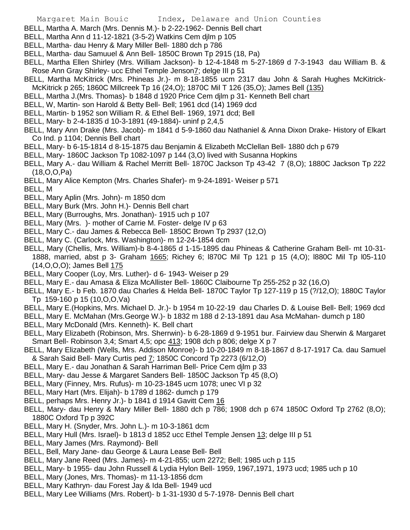- BELL, Martha A. March (Mrs. Dennis M.)- b 2-22-1962- Dennis Bell chart
- BELL, Martha Ann d 11-12-1821 (3-5-2) Watkins Cem djlm p 105
- BELL, Martha- dau Henry & Mary Miller Bell- 1880 dch p 786
- BELL, Martha- dau Samuuel & Ann Bell- 1850C Brown Tp 2915 (18, Pa)
- BELL, Martha Ellen Shirley (Mrs. William Jackson)- b 12-4-1848 m 5-27-1869 d 7-3-1943 dau William B. & Rose Ann Gray Shirley- ucc Ethel Temple Jenson7; delge III p 51
- BELL, Martha McKitrick (Mrs. Phineas Jr.)- m 8-18-1855 ucm 2317 dau John & Sarah Hughes McKitrick-McKitrick p 265; 1860C Millcreek Tp 16 (24,O); 1870C Mil T 126 (35,O); James Bell (135)
- BELL, Martha J.(Mrs. Thomas)- b 1848 d 1920 Price Cem djlm p 31- Kenneth Bell chart
- BELL, W, Martin- son Harold & Betty Bell- Bell; 1961 dcd (14) 1969 dcd
- BELL, Martin- b 1952 son William R. & Ethel Bell- 1969, 1971 dcd; Bell
- BELL, Mary- b 2-4-1835 d 10-3-1891 (49-1884)- uninf p 2,4,5
- BELL, Mary Ann Drake (Mrs. Jacob)- m 1841 d 5-9-1860 dau Nathaniel & Anna Dixon Drake- History of Elkart Co Ind. p 1104; Dennis Bell chart
- BELL, Mary- b 6-15-1814 d 8-15-1875 dau Benjamin & Elizabeth McClellan Bell- 1880 dch p 679
- BELL, Mary- 1860C Jackson Tp 1082-1097 p 144 (3,O) lived with Susanna Hopkins
- BELL, Mary A.- dau William & Rachel Merritt Bell- 1870C Jackson Tp 43-42 7 (8,O); 1880C Jackson Tp 222 (18,O,O,Pa)
- BELL, Mary Alice Kempton (Mrs. Charles Shafer)- m 9-24-1891- Weiser p 571
- BELL, M
- BELL, Mary Aplin (Mrs. John)- m 1850 dcm
- BELL, Mary Burk (Mrs. John H.)- Dennis Bell chart
- BELL, Mary (Burroughs, Mrs. Jonathan)- 1915 uch p 107
- BELL, Mary (Mrs. )- mother of Carrie M. Foster- delge IV p 63
- BELL, Mary C.- dau James & Rebecca Bell- 1850C Brown Tp 2937 (12,O)
- BELL, Mary C. (Carlock, Mrs. Washington)- m 12-24-1854 dcm
- BELL, Mary (Chellis, Mrs. William)-b 8-4-1865 d 1-15-1895 dau Phineas & Catherine Graham Bell- mt 10-31- 1888, married, abst p 3- Graham 1665; Richey 6; l870C Mil Tp 121 p 15 (4,O); l880C Mil Tp l05-110 (14,O,O,O); James Bell 175
- BELL, Mary Cooper (Loy, Mrs. Luther)- d 6- 1943- Weiser p 29
- BELL, Mary E.- dau Amasa & Eliza McAllister Bell- 1860C Claibourne Tp 255-252 p 32 (16,O)
- BELL, Mary E.- b Feb. 1870 dau Charles & Helda Bell- 1870C Taylor Tp 127-119 p 15 (?/12,O); 1880C Taylor Tp 159-160 p 15 (10,O,O,Va)
- BELL, Mary E.(Hopkins, Mrs. Michael D. Jr.)- b 1954 m 10-22-19 dau Charles D. & Louise Bell- Bell; 1969 dcd
- BELL, Mary E. McMahan (Mrs.George W.)- b 1832 m 188 d 2-13-1891 dau Asa McMahan- dumch p 180
- BELL, Mary McDonald (Mrs. Kenneth)- K. Bell chart
- BELL, Mary Elizabeth (Robinson, Mrs. Sherrwin)- b 6-28-1869 d 9-1951 bur. Fairview dau Sherwin & Margaret Smart Bell- Robinson 3,4; Smart 4,5; opc 413; 1908 dch p 806; delge X p 7
- BELL, Mary Elizabeth (Wells, Mrs. Addison Monroe)- b 10-20-1849 m 8-18-1867 d 8-17-1917 Ca. dau Samuel & Sarah Said Bell- Mary Curtis ped 7; 1850C Concord Tp 2273 (6/12,O)
- BELL, Mary E.- dau Jonathan & Sarah Harriman Bell- Price Cem djlm p 33
- BELL, Mary- dau Jesse & Margaret Sanders Bell- 1850C Jackson Tp 45 (8,O)
- BELL, Mary (Finney, Mrs. Rufus)- m 10-23-1845 ucm 1078; unec VI p 32
- BELL, Mary Hart (Mrs. Elijah)- b 1789 d 1862- dumch p 179
- BELL, perhaps Mrs. Henry Jr.)- b 1841 d 1914 Gavitt Cem 16
- BELL, Mary- dau Henry & Mary Miller Bell- 1880 dch p 786; 1908 dch p 674 1850C Oxford Tp 2762 (8,O); 1880C Oxford Tp p 392C
- BELL, Mary H. (Snyder, Mrs. John L.)- m 10-3-1861 dcm
- BELL, Mary Hull (Mrs. Israel)- b 1813 d 1852 ucc Ethel Temple Jensen 13; delge III p 51
- BELL, Mary James (Mrs. Raymond)- Bell
- BELL, Bell, Mary Jane- dau George & Laura Lease Bell- Bell
- BELL, Mary Jane Reed (Mrs. James)- m 4-21-855; ucm 2272; Bell; 1985 uch p 115
- BELL, Mary- b 1955- dau John Russell & Lydia Hylon Bell- 1959, 1967,1971, 1973 ucd; 1985 uch p 10
- BELL, Mary (Jones, Mrs. Thomas)- m 11-13-1856 dcm
- BELL, Mary Kathryn- dau Forest Jay & Ida Bell- 1949 ucd
- BELL, Mary Lee Williams (Mrs. Robert)- b 1-31-1930 d 5-7-1978- Dennis Bell chart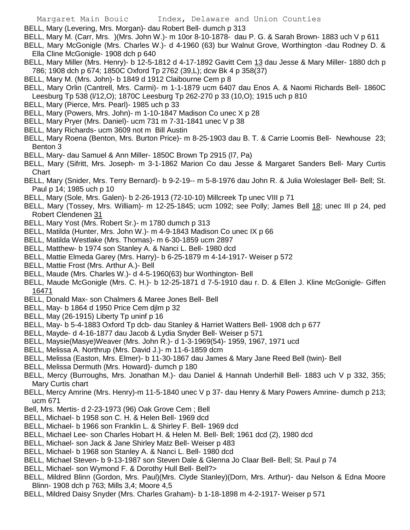- BELL, Mary (Levering, Mrs. Morgan)- dau Robert Bell- dumch p 313
- BELL, Mary M. (Carr, Mrs. )(Mrs. John W.)- m 10or 8-10-1878- dau P. G. & Sarah Brown- 1883 uch V p 611
- BELL, Mary McGonigle (Mrs. Charles W.)- d 4-1960 (63) bur Walnut Grove, Worthington -dau Rodney D. & Ella Cline McGonigle- 1908 dch p 640
- BELL, Mary Miller (Mrs. Henry)- b 12-5-1812 d 4-17-1892 Gavitt Cem 13 dau Jesse & Mary Miller- 1880 dch p 786; 1908 dch p 674; 1850C Oxford Tp 2762 (39,L); dcw Bk 4 p 358(37)
- BELL, Mary M. (Mrs. John)- b 1849 d 1912 Claibourne Cem p 8
- BELL, Mary Orlin (Cantrell, Mrs. Carmi)- m 1-1-1879 ucm 6407 dau Enos A. & Naomi Richards Bell- 1860C Leesburg Tp 538 (l/12,O); 1870C Leesburg Tp 262-270 p 33 (10,O); 1915 uch p 810
- BELL, Mary (Pierce, Mrs. Pearl)- 1985 uch p 33
- BELL, Mary (Powers, Mrs. John)- m 1-10-1847 Madison Co unec X p 28
- BELL, Mary Pryer (Mrs. Daniel)- ucm 731 m 7-31-1841 unec V p 38
- BELL, Mary Richards- ucm 3609 not m Bill Austin
- BELL, Mary Roena (Benton, Mrs. Burton Price)- m 8-25-1903 dau B. T. & Carrie Loomis Bell- Newhouse 23; Benton 3
- BELL, Mary- dau Samuel & Ann Miller- 1850C Brown Tp 2915 (l7, Pa)
- BELL, Mary (Sifritt, Mrs. Joseph- m 3-1-1862 Marion Co dau Jesse & Margaret Sanders Bell- Mary Curtis **Chart**
- BELL, Mary (Snider, Mrs. Terry Bernard)- b 9-2-19-- m 5-8-1976 dau John R. & Julia Woleslager Bell- Bell; St. Paul p 14; 1985 uch p 10
- BELL, Mary (Sole, Mrs. Galen)- b 2-26-1913 (72-10-10) Millcreek Tp unec VIII p 71
- BELL, Mary (Tossey, Mrs. William)- m 12-25-1845; ucm 1092; see Polly; James Bell 18; unec III p 24, ped Robert Clendenen 31
- BELL, Mary Yost (Mrs. Robert Sr.)- m 1780 dumch p 313
- BELL, Matilda (Hunter, Mrs. John W.)- m 4-9-1843 Madison Co unec IX p 66
- BELL, Matilda Westlake (Mrs. Thomas)- m 6-30-1859 ucm 2897
- BELL, Matthew- b 1974 son Stanley A. & Nanci L. Bell- 1980 dcd
- BELL, Mattie Elmeda Garey (Mrs. Harry)- b 6-25-1879 m 4-14-1917- Weiser p 572
- BELL, Mattie Frost (Mrs. Arthur A.)- Bell
- BELL, Maude (Mrs. Charles W.)- d 4-5-1960(63) bur Worthington- Bell
- BELL, Maude McGonigle (Mrs. C. H.)- b 12-25-1871 d 7-5-1910 dau r. D. & Ellen J. Kline McGonigle- Giffen 16471
- BELL, Donald Max- son Chalmers & Maree Jones Bell- Bell
- BELL, May- b 1864 d 1950 Price Cem djlm p 32
- BELL, May (26-1915) Liberty Tp uninf p 16
- BELL, May- b 5-4-1883 Oxford Tp dcb- dau Stanley & Harriet Watters Bell- 1908 dch p 677
- BELL, Mayde- d 4-16-1877 dau Jacob & Lydia Snyder Bell- Weiser p 571
- BELL, Maysie(Masye)Weaver (Mrs. John R.)- d 1-3-1969(54)- 1959, 1967, 1971 ucd
- BELL, Melissa A. Northrup (Mrs. David J.)- m 11-6-1859 dcm
- BELL, Melissa (Easton, Mrs. Elmer)- b 11-30-1867 dau James & Mary Jane Reed Bell (twin)- Bell
- BELL, Melissa Dermuth (Mrs. Howard)- dumch p 180
- BELL, Mercy (Burroughs, Mrs. Jonathan M.)- dau Daniel & Hannah Underhill Bell- 1883 uch V p 332, 355; Mary Curtis chart
- BELL, Mercy Amrine (Mrs. Henry)-m 11-5-1840 unec V p 37- dau Henry & Mary Powers Amrine- dumch p 213; ucm 671
- Bell, Mrs. Mertis- d 2-23-1973 (96) Oak Grove Cem ; Bell
- BELL, Michael- b 1958 son C. H. & Helen Bell- 1969 dcd
- BELL, Michael- b 1966 son Franklin L. & Shirley F. Bell- 1969 dcd
- BELL, Michael Lee- son Charles Hobart H. & Helen M. Bell- Bell; 1961 dcd (2), 1980 dcd
- BELL, Michael- son Jack & Jane Shirley Matz Bell- Weiser p 483
- BELL, Michael- b 1968 son Stanley A. & Nanci L. Bell- 1980 dcd
- BELL, Michael Steven- b 9-13-1987 son Steven Dale & Glenna Jo Claar Bell- Bell; St. Paul p 74
- BELL, Michael- son Wymond F. & Dorothy Hull Bell- Bell?>
- BELL, Mildred Blinn (Gordon, Mrs. Paul)(Mrs. Clyde Stanley)(Dorn, Mrs. Arthur)- dau Nelson & Edna Moore Blinn- 1908 dch p 763; Mills 3,4; Moore 4,5
- BELL, Mildred Daisy Snyder (Mrs. Charles Graham)- b 1-18-1898 m 4-2-1917- Weiser p 571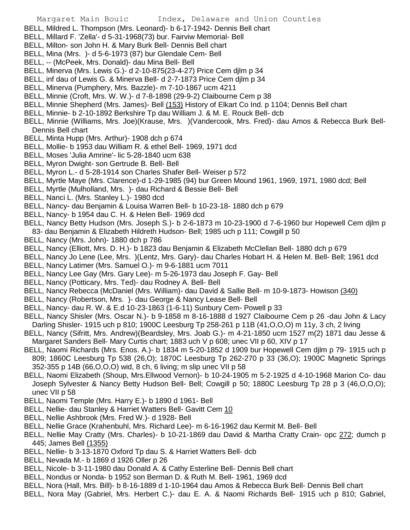- BELL, Mildred L. Thompson (Mrs. Leonard)- b 6-17-1942- Dennis Bell chart
- BELL, Millard F. 'Zella'- d 5-31-1968(73) bur. Fairviw Memorial- Bell
- BELL, Milton- son John H. & Mary Burk Bell- Dennis Bell chart
- BELL, Mina (Mrs. )- d 5-6-1973 (87) bur Glendale Cem- Bell
- BELL, -- (McPeek, Mrs. Donald)- dau Mina Bell- Bell
- BELL, Minerva (Mrs. Lewis G.)- d 2-10-875(23-4-27) Price Cem djlm p 34
- BELL, inf dau of Lewis G. & Minerva Bell- d 2-7-1873 Price Cem djlm p 34
- BELL, Minerva (Pumphery, Mrs. Bazzle)- m 7-10-1867 ucm 4211
- BELL, Minnie (Croft, Mrs. W. W.)- d 7-8-1898 (29-9-2) Claibourne Cem p 38
- BELL, Minnie Shepherd (Mrs. James)- Bell (153) History of Elkart Co Ind. p 1104; Dennis Bell chart
- BELL, Minnie- b 2-10-1892 Berkshire Tp dau William J. & M. E. Rouck Bell- dcb
- BELL, Minnie (Williams, Mrs. Joe)(Krause, Mrs. )(Vandercook, Mrs. Fred)- dau Amos & Rebecca Burk Bell-Dennis Bell chart
- BELL, Minta Hupp (Mrs. Arthur)- 1908 dch p 674
- BELL, Mollie- b 1953 dau William R. & ethel Bell- 1969, 1971 dcd
- BELL, Moses 'Julia Amrine'- lic 5-28-1840 ucm 638
- BELL, Myron Dwight- son Gertrude B. Bell- Bell
- BELL, Myron L.- d 5-28-1914 son Charles Shafer Bell- Weiser p 572
- BELL, Myrtle Maye (Mrs. Clarence)-d 1-29-1985 (94) bur Green Mound 1961, 1969, 1971, 1980 dcd; Bell
- BELL, Myrtle (Mulholland, Mrs. )- dau Richard & Bessie Bell- Bell
- BELL, Nanci L. (Mrs. Stanley L.)- 1980 dcd
- BELL, Nancy- dau Benjamin & Louisa Warren Bell- b 10-23-18- 1880 dch p 679
- BELL, Nancy- b 1954 dau C. H. & Helen Bell- 1969 dcd
- BELL, Nancy Betty Hudson (Mrs. Joseph S.)- b 2-6-1873 m 10-23-1900 d 7-6-1960 bur Hopewell Cem djlm p 83- dau Benjamin & Elizabeth Hildreth Hudson- Bell; 1985 uch p 111; Cowgill p 50
- BELL, Nancy (Mrs. John)- 1880 dch p 786
- BELL, Nancy (Elliott, Mrs. D. H.)- b 1823 dau Benjamin & Elizabeth McClellan Bell- 1880 dch p 679
- BELL, Nancy Jo Lene (Lee, Mrs. )(Lentz, Mrs. Gary)- dau Charles Hobart H. & Helen M. Bell- Bell; 1961 dcd
- BELL, Nancy Latimer (Mrs. Samuel O.)- m 9-6-1881 ucm 7011
- BELL, Nancy Lee Gay (Mrs. Gary Lee)- m 5-26-1973 dau Joseph F. Gay- Bell
- BELL, Nancy (Potticary, Mrs. Ted)- dau Rodney A. Bell- Bell
- BELL, Nancy Rebecca (McDaniel (Mrs. William)- dau David & Sallie Bell- m 10-9-1873- Howison (340)
- BELL, Nancy (Robertson, Mrs. )- dau George & Nancy Lease Bell- Bell
- BELL, Nancy- dau R. W. & E.d 10-23-1863 (1-6-11) Sunbury Cem- Powell p 33
- BELL, Nancy Shisler (Mrs. Oscar N.)- b 9-1858 m 8-16-1888 d 1927 Claibourne Cem p 26 -dau John & Lacy Darling Shisler- 1915 uch p 810; 1900C Leesburg Tp 258-261 p 11B (41,O,O,O) m 11y, 3 ch, 2 living
- BELL, Nancy (Sifritt, Mrs. Andrew)(Beardsley, Mrs. Joab G.)- m 4-21-1850 ucm 1527 m(2) 1871 dau Jesse & Margaret Sanders Bell- Mary Curtis chart; 1883 uch V p 608; unec VII p 60, XIV p 17
- BELL, Naomi Richards (Mrs. Enos. A.)- b 1834 m 5-20-1852 d 1909 bur Hopewell Cem djlm p 79- 1915 uch p 809; 1860C Leesburg Tp 538 (26,O); 1870C Leesburg Tp 262-270 p 33 (36,O); 1900C Magnetic Springs 352-355 p 14B (66,O,O,O) wid, 8 ch, 6 living; m slip unec VII p 58
- BELL, Naomi Elizabeth (Shoup, Mrs.Ellwood Vernon)- b 10-24-1905 m 5-2-1925 d 4-10-1968 Marion Co- dau Joseph Sylvester & Nancy Betty Hudson Bell- Bell; Cowgill p 50; 1880C Leesburg Tp 28 p 3 (46,O,O,O); unec VII p 58
- BELL, Naomi Temple (Mrs. Harry E.)- b 1890 d 1961- Bell
- BELL, Nellie- dau Stanley & Harriet Watters Bell- Gavitt Cem 10
- BELL, Nellie Ashbrook (Mrs. Fred W.)- d 1928- Bell
- BELL, Nellie Grace (Krahenbuhl, Mrs. Richard Lee)- m 6-16-1962 dau Kermit M. Bell- Bell
- BELL, Nellie May Cratty (Mrs. Charles)- b 10-21-1869 dau David & Martha Cratty Crain- opc 272; dumch p 445; James Bell (1355)
- BELL, Nellie- b 3-13-1870 Oxford Tp dau S. & Harriet Watters Bell- dcb
- BELL, Nevada M.- b 1869 d 1926 Oller p 26
- BELL, Nicole- b 3-11-1980 dau Donald A. & Cathy Esterline Bell- Dennis Bell chart
- BELL, Nondus or Nonda- b 1952 son Berman D. & Ruth M. Bell- 1961, 1969 dcd
- BELL, Nora (Hall, Mrs. Bill)- b 8-16-1889 d 1-10-1964 dau Amos & Rebecca Burk Bell- Dennis Bell chart
- BELL, Nora May (Gabriel, Mrs. Herbert C.)- dau E. A. & Naomi Richards Bell- 1915 uch p 810; Gabriel,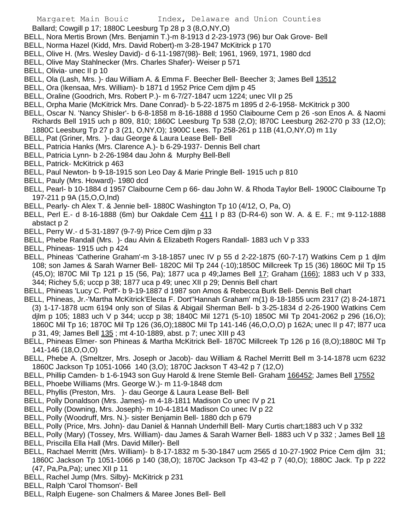- Ballard; Cowgill p 17; 1880C Leesburg Tp 28 p 3 (8,O,NY,O)
- BELL, Nora Mertis Brown (Mrs. Benjamin T.)-m 8-1913 d 2-23-1973 (96) bur Oak Grove- Bell
- BELL, Norma Hazel (Kidd, Mrs. David Robert)-m 3-28-1947 McKitrick p 170
- BELL, Olive H. (Mrs. Wesley David)- d 6-11-1987(98)- Bell; 1961, 1969, 1971, 1980 dcd
- BELL, Olive May Stahlnecker (Mrs. Charles Shafer)- Weiser p 571
- BELL, Olivia- unec II p 10
- BELL, Ola (Lash, Mrs. )- dau William A. & Emma F. Beecher Bell- Beecher 3; James Bell 13512
- BELL, Ora (Ikensaa, Mrs. William)- b 1871 d 1952 Price Cem djlm p 45
- BELL, Oraline (Goodrich, Mrs. Robert P.)- m 6-7/27-1847 ucm 1224; unec VII p 25
- BELL, Orpha Marie (McKitrick Mrs. Dane Conrad)- b 5-22-1875 m 1895 d 2-6-1958- McKitrick p 300
- BELL, Oscar N. 'Nancy Shisler'- b 6-8-1858 m 8-16-1888 d 1950 Claibourne Cem p 26 -son Enos A. & Naomi Richards Bell 1915 uch p 809, 810; 1860C Leesburg Tp 538 (2,O); l870C Leesburg 262-270 p 33 (12,O); 1880C Leesburg Tp 27 p 3 (21, O,NY,O); 1900C Lees. Tp 258-261 p 11B (41,O,NY,O) m 11y
- BELL, Pat (Griner, Mrs. )- dau George & Laura Lease Bell- Bell
- BELL, Patricia Hanks (Mrs. Clarence A.)- b 6-29-1937- Dennis Bell chart
- BELL, Patricia Lynn- b 2-26-1984 dau John & Murphy Bell-Bell
- BELL, Patrick- McKitrick p 463
- BELL, Paul Newton- b 9-18-1915 son Leo Day & Marie Pringle Bell- 1915 uch p 810
- BELL, Pauly (Mrs. Howard)- 1980 dcd
- BELL, Pearl- b 10-1884 d 1957 Claibourne Cem p 66- dau John W. & Rhoda Taylor Bell- 1900C Claibourne Tp 197-211 p 9A (15,O,O,Ind)
- BELL, Pearly- ch Alex T. & Jennie bell- 1880C Washington Tp 10 (4/12, O, Pa, O)
- BELL, Perl E.- d 8-16-1888 (6m) bur Oakdale Cem 411 I p 83 (D-R4-6) son W. A. & E. F.; mt 9-112-1888 abstact p 2
- BELL, Perry W.- d 5-31-1897 (9-7-9) Price Cem djlm p 33
- BELL, Phebe Randall (Mrs. )- dau Alvin & Elizabeth Rogers Randall- 1883 uch V p 333
- BELL, Phineas- 1915 uch p 424
- BELL, Phineas 'Catherine Graham'-m 3-18-1857 unec IV p 55 d 2-22-1875 (60-7-17) Watkins Cem p 1 djlm 108; son James & Sarah Warner Bell- 1820C Mil Tp 244 (-10);1850C Millcreek Tp 15 (36) 1860C Mil Tp 15 (45,O); l870C Mil Tp 121 p 15 (56, Pa); 1877 uca p 49;James Bell 17; Graham (166); 1883 uch V p 333, 344; Richey 5,6; uccp p 38; 1877 uca p 49; unec XII p 29; Dennis Bell chart
- BELL, Phineas 'Lucy C. Poff'- b 9-19-1887 d 1987 son Amos & Rebecca Burk Bell- Dennis Bell chart
- BELL, Phineas, Jr.-'Martha McKitrick'Electa F. Dort''Hannah Graham' m(1) 8-18-1855 ucm 2317 (2) 8-24-1871 (3) 1-17-1878 ucm 6194 only son of Silas & Abigail Sherman Bell- b 3-25-1834 d 2-26-1900 Watkins Cem djlm p 105; 1883 uch V p 344; uccp p 38; 1840C Mil 1271 (5-10) 1850C Mil Tp 2041-2062 p 296 (16,O); 1860C Mil Tp 16; 1870C Mil Tp 126 (36,O);1880C Mil Tp 141-146 (46,O,O,O) p 162A; unec II p 47; l877 uca p 31, 49; James Bell 135 ; mt 4-10-1889, abst. p 7; unec XIII p 43
- BELL, Phineas Elmer- son Phineas & Martha McKitrick Bell- 1870C Millcreek Tp 126 p 16 (8,O);1880C Mil Tp 141-146 (18,O,O,O)
- BELL, Phebe A. (Smeltzer, Mrs. Joseph or Jacob)- dau William & Rachel Merritt Bell m 3-14-1878 ucm 6232 1860C Jackson Tp 1051-1066 140 (3,O); 1870C Jackson T 43-42 p 7 (12,O)
- BELL, Phillip Camden- b 1-6-1943 son Guy Harold & Irene Stemle Bell- Graham 166452; James Bell 17552
- BELL, Phoebe Williams (Mrs. George W.)- m 11-9-1848 dcm
- BELL, Phyllis (Preston, Mrs. )- dau George & Laura Lease Bell- Bell
- BELL, Polly Donaldson (Mrs. James)- m 4-18-1811 Madison Co unec IV p 21
- BELL, Polly (Downing, Mrs. Joseph)- m 10-4-1814 Madison Co unec IV p 22
- BELL, Polly (Woodruff, Mrs. N.)- sister Benjamin Bell- 1880 dch p 679
- BELL, Polly (Price, Mrs. John)- dau Daniel & Hannah Underhill Bell- Mary Curtis chart;1883 uch V p 332
- BELL, Polly (Mary) (Tossey, Mrs. William)- dau James & Sarah Warner Bell- 1883 uch V p 332 ; James Bell 18
- BELL, Priscilla Ella Hall (Mrs. David Miller)- Bell
- BELL, Rachael Merritt (Mrs. William)- b 8-17-1832 m 5-30-1847 ucm 2565 d 10-27-1902 Price Cem djlm 31; 1860C Jackson Tp 1051-1066 p 140 (38,O); 1870C Jackson Tp 43-42 p 7 (40,O); 1880C Jack. Tp p 222 (47, Pa,Pa,Pa); unec XII p 11
- BELL, Rachel Jump (Mrs. Silby)- McKitrick p 231
- BELL, Ralph 'Carol Thomson'- Bell
- BELL, Ralph Eugene- son Chalmers & Maree Jones Bell- Bell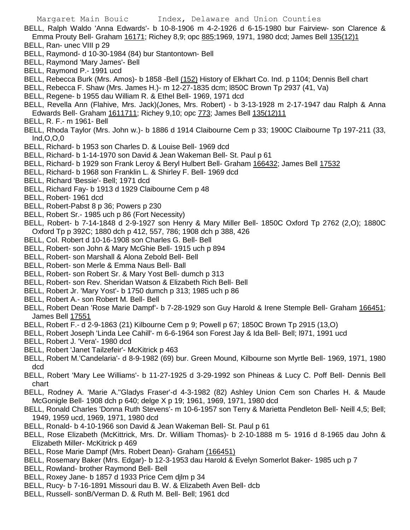BELL, Ralph Waldo 'Anna Edwards'- b 10-8-1906 m 4-2-1926 d 6-15-1980 bur Fairview- son Clarence & Emma Prouty Bell- Graham 16171; Richey 8,9; opc 885;1969, 1971, 1980 dcd; James Bell 135(12)1

- BELL, Ran- unec VIII p 29
- BELL, Raymond- d 10-30-1984 (84) bur Stantontown- Bell
- BELL, Raymond 'Mary James'- Bell
- BELL, Raymond P.- 1991 ucd
- BELL, Rebecca Burk (Mrs. Amos)- b 1858 -Bell (152) History of Elkhart Co. Ind. p 1104; Dennis Bell chart
- BELL, Rebecca F. Shaw (Mrs. James H.)- m 12-27-1835 dcm; l850C Brown Tp 2937 (41, Va)
- BELL, Regene- b 1955 dau William R. & Ethel Bell- 1969, 1971 dcd
- BELL, Revella Ann (Flahive, Mrs. Jack)(Jones, Mrs. Robert) b 3-13-1928 m 2-17-1947 dau Ralph & Anna Edwards Bell- Graham 1611711; Richey 9,10; opc 773; James Bell 135(12)11
- BELL, R. F.- m 1961- Bell
- BELL, Rhoda Taylor (Mrs. John w.)- b 1886 d 1914 Claibourne Cem p 33; 1900C Claibourne Tp 197-211 (33, Ind,O,O,0
- BELL, Richard- b 1953 son Charles D. & Louise Bell- 1969 dcd
- BELL, Richard- b 1-14-1970 son David & Jean Wakeman Bell- St. Paul p 61
- BELL, Richard- b 1929 son Frank Leroy & Beryl Hulbert Bell- Graham 166432; James Bell 17532
- BELL, Richard- b 1968 son Franklin L. & Shirley F. Bell- 1969 dcd
- BELL, Richard 'Bessie'- Bell; 1971 dcd
- BELL, Richard Fay- b 1913 d 1929 Claibourne Cem p 48
- BELL, Robert- 1961 dcd
- BELL, Robert-Pabst 8 p 36; Powers p 230
- BELL, Robert Sr.- 1985 uch p 86 (Fort Necessity)
- BELL, Robert- b 7-14-1848 d 2-9-1927 son Henry & Mary Miller Bell- 1850C Oxford Tp 2762 (2,O); 1880C Oxford Tp p 392C; 1880 dch p 412, 557, 786; 1908 dch p 388, 426
- BELL, Col. Robert d 10-16-1908 son Charles G. Bell- Bell
- BELL, Robert- son John & Mary McGhie Bell- 1915 uch p 894
- BELL, Robert- son Marshall & Alona Zebold Bell- Bell
- BELL, Robert- son Merle & Emma Naus Bell- Ball
- BELL, Robert- son Robert Sr. & Mary Yost Bell- dumch p 313
- BELL, Robert- son Rev. Sheridan Watson & Elizabeth Rich Bell- Bell
- BELL, Robert Jr. 'Mary Yost'- b 1750 dumch p 313; 1985 uch p 86
- BELL, Robert A.- son Robert M. Bell- Bell
- BELL, Robert Dean 'Rose Marie Dampf'- b 7-28-1929 son Guy Harold & Irene Stemple Bell- Graham 166451; James Bell 17551
- BELL, Robert F.- d 2-9-1863 (21) Kilbourne Cem p 9; Powell p 67; 1850C Brown Tp 2915 (13,O)
- BELL, Robert Joseph 'Linda Lee Cahill'- m 6-6-1964 son Forest Jay & Ida Bell- Bell; l971, 1991 ucd
- BELL, Robert J. 'Vera'- 1980 dcd
- BELL, Robert 'Janet Tailzefeir'- McKitrick p 463
- BELL, Robert M.'Candelaria'- d 8-9-1982 (69) bur. Green Mound, Kilbourne son Myrtle Bell- 1969, 1971, 1980 dcd
- BELL, Robert 'Mary Lee Williams'- b 11-27-1925 d 3-29-1992 son Phineas & Lucy C. Poff Bell- Dennis Bell chart
- BELL, Rodney A. 'Marie A.''Gladys Fraser'-d 4-3-1982 (82) Ashley Union Cem son Charles H. & Maude McGonigle Bell- 1908 dch p 640; delge X p 19; 1961, 1969, 1971, 1980 dcd
- BELL, Ronald Charles 'Donna Ruth Stevens'- m 10-6-1957 son Terry & Marietta Pendleton Bell- Neill 4,5; Bell; 1949, 1959 ucd, 1969, 1971, 1980 dcd
- BELL, Ronald- b 4-10-1966 son David & Jean Wakeman Bell- St. Paul p 61
- BELL, Rose Elizabeth (McKittrick, Mrs. Dr. William Thomas)- b 2-10-1888 m 5- 1916 d 8-1965 dau John & Elizabeth Miller- McKitrick p 469
- BELL, Rose Marie Dampf (Mrs. Robert Dean)- Graham (166451)
- BELL, Rosemary Baker (Mrs. Edgar)- b 12-3-1953 dau Harold & Evelyn Somerlot Baker- 1985 uch p 7
- BELL, Rowland- brother Raymond Bell- Bell
- BELL, Roxey Jane- b 1857 d 1933 Price Cem djlm p 34
- BELL, Rucy- b 7-16-1891 Missouri dau B. W. & Elizabeth Aven Bell- dcb
- BELL, Russell- sonB/Verman D. & Ruth M. Bell- Bell; 1961 dcd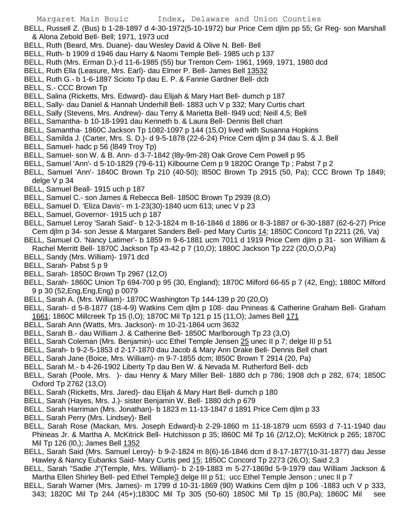BELL, Russell Z. (Bus) b 1-28-1897 d 4-30-1972(5-10-1972) bur Price Cem djlm pp 55; Gr Reg- son Marshall & Alona Zebold Bell- Bell; 1971, 1973 ucd

- BELL, Ruth (Beard, Mrs. Duane)- dau Wesley David & Olive N. Bell- Bell
- BELL, Ruth- b 1909 d 1946 dau Harry & Naomi Temple Bell- 1985 uch p 137
- BELL, Ruth (Mrs. Erman D.)-d 11-6-1985 (55) bur Trenton Cem- 1961, 1969, 1971, 1980 dcd
- BELL, Ruth Ella (Leasure, Mrs. Earl)- dau Elmer P. Bell- James Bell 13532
- BELL, Ruth G.- b 1-6-1897 Scioto Tp dau E. P. & Fannie Gardner Bell- dcb
- BELL, S.- CCC Brown Tp
- BELL, Salina (Ricketts, Mrs. Edward)- dau Elijah & Mary Hart Bell- dumch p 187
- BELL, Sally- dau Daniel & Hannah Underhill Bell- 1883 uch V p 332; Mary Curtis chart
- BELL, Sally (Stevens, Mrs. Andrew)- dau Terry & Marietta Bell- l949 ucd; Neill 4,5; Bell
- BELL, Samantha- b 10-18-1991 dau Kenneth b. & Laura Bell- Dennis Bell chart
- BELL, Samantha- 1860C Jackson Tp 1082-1097 p 144 (15,O) lived with Susanna Hopkins
- BELL, Samilda J. (Carter, Mrs. S. D.)- d 9-5-1878 (22-6-24) Price Cem djlm p 34 dau S. & J. Bell
- BELL, Samuel- hadc p 56 (l849 Troy Tp)
- BELL, Samuel- son W. & B. Ann- d 3-7-1842 (l8y-9m-28) Oak Grove Cem Powell p 95
- BELL, Samuel 'Ann'- d 5-10-1829 (79-6-11) Kilbourne Cem p 9 1820C Orange Tp ; Pabst 7 p 2
- BELL, Samuel 'Ann'- 1840C Brown Tp 210 (40-50); l850C Brown Tp 2915 (50, Pa); CCC Brown Tp 1849; delge V p 34
- BELL, Samuel Beall- 1915 uch p 187
- BELL, Samuel C.- son James & Rebecca Bell- 1850C Brown Tp 2939 (8,O)
- BELL, Samuel D. 'Eliza Davis'- m 1-23(30)-1840 ucm 613; unec V p 23
- BELL, Samuel, Governor- 1915 uch p 187
- BELL, Samuel Leroy 'Sarah Said'- b 12-3-1824 m 8-16-1846 d 1886 or 8-3-1887 or 6-30-1887 (62-6-27) Price Cem djlm p 34- son Jesse & Margaret Sanders Bell- ped Mary Curtis 14; 1850C Concord Tp 2211 (26, Va)
- BELL, Samuel O. 'Nancy Latimer'- b 1859 m 9-6-1881 ucm 7011 d 1919 Price Cem djlm p 31- son William & Rachel Merritt Bell- 1870C Jackson Tp 43-42 p 7 (10,O); 1880C Jackson Tp 222 (20,O,O,Pa)
- BELL, Sandy (Mrs. William)- 1971 dcd
- BELL, Sarah- Pabst 5 p 9
- BELL, Sarah- 1850C Brown Tp 2967 (12,O)
- BELL, Sarah- 1860C Union Tp 694-700 p 95 (30, England); 1870C Milford 66-65 p 7 (42, Eng); 1880C Milford 9 p 30 (52,Eng,Eng,Eng) p 0079
- BELL, Sarah A. (Mrs. William)- 1870C Washington Tp 144-139 p 20 (20,O)
- BELL, Sarah- d 5-8-1877 (18-4-9) Watkins Cem djlm p 108- dau Pnineas & Catherine Graham Bell- Graham 1661; 1860C Millcreek Tp 15 (l,O); 1870C Mil Tp 121 p 15 (11,O); James Bell 171
- BELL, Sarah Ann (Watts, Mrs. Jackson)- m 10-21-1864 ucm 3632
- BELL, Sarah B.- dau William J. & Catherine Bell- 1850C Marlborough Tp 23 (3,O)
- BELL, Sarah Coleman (Mrs. Benjamin)- ucc Ethel Temple Jensen 25 unec II p 7; delge III p 51
- BELL, Sarah- b 9-2-5-1853 d 2-17-1870 dau Jacob & Mary Ann Drake Bell- Dennis Bell chart
- BELL, Sarah Jane (Boice, Mrs. William)- m 9-7-1855 dcm; l850C Brown T 2914 (20, Pa)
- BELL, Sarah M.- b 4-26-1902 Liberty Tp dau Ben W. & Nevada M. Rutherford Bell- dcb
- BELL, Sarah (Poole, Mrs. )- dau Henry & Mary Miller Bell- 1880 dch p 786; 1908 dch p 282, 674; 1850C Oxford Tp 2762 (13,O)
- BELL, Sarah (Ricketts, Mrs. Jared)- dau Elijah & Mary Hart Bell- dumch p 180
- BELL, Sarah (Hayes, Mrs. J.)- sister Benjamin W. Bell- 1880 dch p 679
- BELL. Sarah Harriman (Mrs. Jonathan)- b 1823 m 11-13-1847 d 1891 Price Cem djlm p 33
- BELL, Sarah Perry (Mrs. Lindsey)- Bell
- BELL, Sarah Rose (Mackan, Mrs. Joseph Edward)-b 2-29-1860 m 11-18-1879 ucm 6593 d 7-11-1940 dau Phineas Jr. & Martha A. McKitrick Bell- Hutchisson p 35; l860C Mil Tp 16 (2/12,O); McKitrick p 265; 1870C Mil Tp 126 (l0,); James Bell 1352
- BELL, Sarah Said (Mrs. Samuel Leroy)- b 9-2-1824 m 8(6)-16-1846 dcm d 8-17-1877(10-31-1877) dau Jesse Hawley & Nancy Eubanks Said- Mary Curtis ped 15; 1850C Concord Tp 2273 (26,O); Said 2,3
- BELL, Sarah "Sadie J"(Temple, Mrs. William)- b 2-19-1883 m 5-27-1869d 5-9-1979 dau William Jackson & Martha Ellen Shirley Bell- ped Ethel Temple3 delge III p 51; ucc Ethel Temple Jenson ; unec II p 7
- BELL, Sarah Warner (Mrs. James)- m 1799 d 10-31-1869 (90) Watkins Cem djlm p 106 -1883 uch V p 333, 343; 1820C Mil Tp 244 (45+);1830C Mil Tp 305 (50-60) 1850C Mil Tp 15 (80,Pa); 1860C Mil see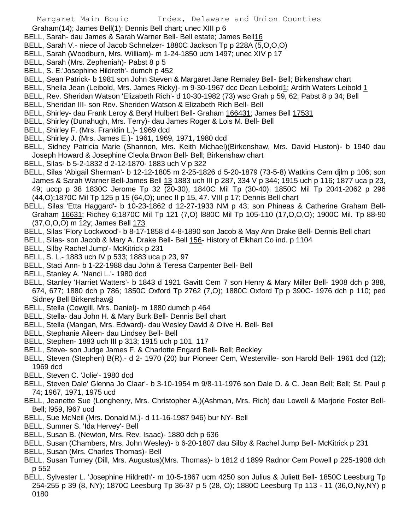Graham(14); James Bell(1); Dennis Bell chart; unec XIII p 6

- BELL, Sarah- dau James & Sarah Warner Bell- Bell estate; James Bell16
- BELL, Sarah V.- niece of Jacob Schnelzer- 1880C Jackson Tp p 228A (5,O,O,O)
- BELL, Sarah (Woodburn, Mrs. William)- m 1-24-1850 ucm 1497; unec XIV p 17
- BELL, Sarah (Mrs. Zepheniah)- Pabst 8 p 5
- BELL, S. E.'Josephine Hildreth'- dumch p 452
- BELL, Sean Patrick- b 1981 son John Steven & Margaret Jane Remaley Bell- Bell; Birkenshaw chart
- BELL, Sheila Jean (Leibold, Mrs. James Ricky)- m 9-30-1967 dcc Dean Leibold1; Ardith Waters Leibold 1
- BELL, Rev. Sheridan Watson 'Elizabeth Rich'- d 10-30-1982 (73) wsc Grah p 59, 62; Pabst 8 p 34; Bell
- BELL, Sheridan III- son Rev. Sheriden Watson & Elizabeth Rich Bell- Bell
- BELL, Shirley- dau Frank Leroy & Beryl Hulbert Bell- Graham 166431; James Bell 17531
- BELL, Shirley (Dunahugh, Mrs. Terry)- dau James Roger & Lois M. Bell- Bell
- BELL, Shirley F. (Mrs. Franklin L.)- 1969 dcd
- BELL, Shirley J. (Mrs. James E.)- 1961, 1969, 1971, 1980 dcd
- BELL, Sidney Patricia Marie (Shannon, Mrs. Keith Michael)(Birkenshaw, Mrs. David Huston)- b 1940 dau Joseph Howard & Josephine Cleola Brwon Bell- Bell; Birkenshaw chart
- BELL, Silas- b 5-2-1832 d 2-12-1870- 1883 uch V p 322
- BELL, Silas 'Abigail Sherman'- b 12-12-1805 m 2-25-1826 d 5-20-1879 (73-5-8) Watkins Cem djlm p 106; son James & Sarah Warner Bell-James Bell 13 1883 uch III p 287, 334 V p 344; 1915 uch p 116; 1877 uca p 23, 49; uccp p 38 1830C Jerome Tp 32 (20-30); 1840C Mil Tp (30-40); 1850C Mil Tp 2041-2062 p 296 (44,O);1870C Mil Tp 125 p 15 (64,O); unec II p 15, 47. VIII p 17; Dennis Bell chart
- BELL, Silas 'Etta Haggard'- b 10-23-1862 d 12-27-1933 NM p 43; son Phineas & Catherine Graham Bell-Graham 16631; Richey 6;1870C Mil Tp 121 (7,O) l880C Mil Tp 105-110 (17,O,O,O); 1900C Mil. Tp 88-90 (37,O,O,O) m 12y; James Bell 173
- BELL, Silas 'Flory Lockwood'- b 8-17-1858 d 4-8-1890 son Jacob & May Ann Drake Bell- Dennis Bell chart
- BELL, Silas- son Jacob & Mary A. Drake Bell- Bell 156- History of Elkhart Co ind. p 1104
- BELL, Silby Rachel Jump'- McKitrick p 231
- BELL, S. L.- 1883 uch IV p 533; 1883 uca p 23, 97
- BELL, Staci Ann- b 1-22-1988 dau John & Teresa Carpenter Bell- Bell
- BELL, Stanley A. 'Nanci L.'- 1980 dcd
- BELL, Stanley 'Harriet Watters'- b 1843 d 1921 Gavitt Cem 7 son Henry & Mary Miller Bell- 1908 dch p 388, 674, 677; 1880 dch p 786; 1850C Oxford Tp 2762 (7,O); 1880C Oxford Tp p 390C- 1976 dch p 110; ped Sidney Bell Birkenshaw8
- BELL, Stella (Cowgill, Mrs. Daniel)- m 1880 dumch p 464
- BELL, Stella- dau John H. & Mary Burk Bell- Dennis Bell chart
- BELL, Stella (Mangan, Mrs. Edward)- dau Wesley David & Olive H. Bell- Bell
- BELL, Stephanie Aileen- dau Lindsey Bell- Bell
- BELL, Stephen- 1883 uch III p 313; 1915 uch p 101, 117
- BELL, Steve- son Judge James F. & Charlotte Engard Bell- Bell; Beckley
- BELL, Steven (Stephen) B(R).- d 2- 1970 (20) bur Pioneer Cem, Westerville- son Harold Bell- 1961 dcd (12); 1969 dcd
- BELL, Steven C. 'Jolie'- 1980 dcd
- BELL, Steven Dale' Glenna Jo Claar'- b 3-10-1954 m 9/8-11-1976 son Dale D. & C. Jean Bell; Bell; St. Paul p 74; 1967, 1971, 1975 ucd
- BELL, Jeanette Sue (Longhenry, Mrs. Christopher A.)(Ashman, Mrs. Rich) dau Lowell & Marjorie Foster Bell-Bell; l959, l967 ucd
- BELL, Sue McNeil (Mrs. Donald M.)- d 11-16-1987 946) bur NY- Bell
- BELL, Sumner S. 'Ida Hervey'- Bell
- BELL, Susan B. (Newton, Mrs. Rev. Isaac)- 1880 dch p 636
- BELL, Susan (Chambers, Mrs. John Wesley)- b 6-20-1807 dau Silby & Rachel Jump Bell- McKitrick p 231
- BELL, Susan (Mrs. Charles Thomas)- Bell
- BELL, Susan Turney (Dill, Mrs. Augustus)(Mrs. Thomas)- b 1812 d 1899 Radnor Cem Powell p 225-1908 dch p 552
- BELL, Sylvester L. 'Josephine Hildreth'- m 10-5-1867 ucm 4250 son Julius & Juliett Bell- 1850C Leesburg Tp 254-255 p 39 (8, NY); 1870C Leesburg Tp 36-37 p 5 (28, O); 1880C Leesburg Tp 113 - 11 (36,O,Ny,NY) p 0180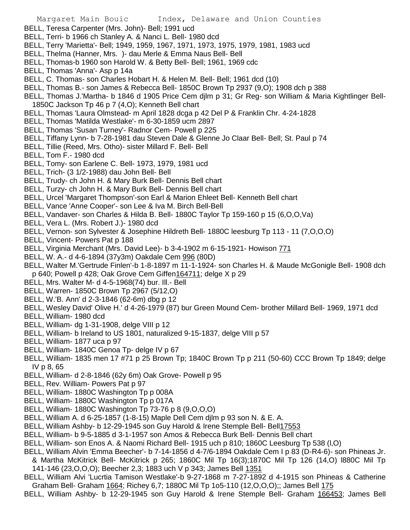- BELL, Teresa Carpenter (Mrs. John)- Bell; 1991 ucd
- BELL, Terri- b 1966 ch Stanley A. & Nanci L. Bell- 1980 dcd
- BELL, Terry 'Marietta'- Bell; 1949, 1959, 1967, 1971, 1973, 1975, 1979, 1981, 1983 ucd
- BELL, Thelma (Hanner, Mrs. )- dau Merle & Emma Naus Bell- Bell
- BELL, Thomas-b 1960 son Harold W. & Betty Bell- Bell; 1961, 1969 cdc
- BELL, Thomas 'Anna'- Asp p 14a
- BELL, C. Thomas- son Charles Hobart H. & Helen M. Bell- Bell; 1961 dcd (10)
- BELL, Thomas B.- son James & Rebecca Bell- 1850C Brown Tp 2937 (9,O); 1908 dch p 388
- BELL, Thomas J.'Martha- b 1846 d 1905 Price Cem djlm p 31; Gr Reg- son William & Maria Kightlinger Bell-1850C Jackson Tp 46 p 7 (4,O); Kenneth Bell chart
- BELL, Thomas 'Laura Olmstead- m April 1828 dcga p 42 Del P & Franklin Chr. 4-24-1828
- BELL, Thomas 'Matilda Westlake'- m 6-30-1859 ucm 2897
- BELL, Thomas 'Susan Turney'- Radnor Cem- Powell p 225
- BELL, Tiffany Lynn- b 7-28-1981 dau Steven Dale & Glenne Jo Claar Bell- Bell; St. Paul p 74
- BELL, Tillie (Reed, Mrs. Otho)- sister Millard F. Bell- Bell
- BELL, Tom F.- 1980 dcd
- BELL, Tomy- son Earlene C. Bell- 1973, 1979, 1981 ucd
- BELL, Trich- (3 1/2-1988) dau John Bell- Bell
- BELL, Trudy- ch John H. & Mary Burk Bell- Dennis Bell chart
- BELL, Turzy- ch John H. & Mary Burk Bell- Dennis Bell chart
- BELL, Urcel 'Margaret Thompson'-son Earl & Marion Ehleet Bell- Kenneth Bell chart
- BELL, Vance 'Anne Cooper'- son Lee & Iva M. Birch Bell-Bell
- BELL, Vandaver- son Charles & Hilda B. Bell- 1880C Taylor Tp 159-160 p 15 (6,O,O,Va)
- BELL, Vera L. (Mrs. Robert J.)- 1980 dcd
- BELL, Vernon- son Sylvester & Josephine Hildreth Bell- 1880C leesburg Tp 113 11 (7,O,O,O)
- BELL, Vincent- Powers Pat p 188
- BELL, Virginia Merchant (Mrs. David Lee)- b 3-4-1902 m 6-15-1921- Howison 771
- BELL, W. A.- d 4-6-1894 (37y3m) Oakdale Cem 996 (80D)
- BELL, Walter M.'Gertrude Finlen'-b 1-8-1897 m 11-1-1924- son Charles H. & Maude McGonigle Bell- 1908 dch p 640; Powell p 428; Oak Grove Cem Giffen164711; delge X p 29
- BELL, Mrs. Walter M- d 4-5-1968(74) bur. Ill.- Bell
- BELL, Warren- 1850C Brown Tp 2967 (5/12,O)
- BELL, W.'B. Ann' d 2-3-1846 (62-6m) dbg p 12
- BELL, Wesley David' Olive H.' d 4-26-1979 (87) bur Green Mound Cem- brother Millard Bell- 1969, 1971 dcd
- BELL, William- 1980 dcd
- BELL, William- dg 1-31-1908, delge VIII p 12
- BELL, William- b Ireland to US 1801, naturalized 9-15-1837, delge VIII p 57
- BELL, William- 1877 uca p 97
- BELL, William- 1840C Genoa Tp- delge IV p 67
- BELL, William- 1835 men 17 #71 p 25 Brown Tp; 1840C Brown Tp p 211 (50-60) CCC Brown Tp 1849; delge IV p 8, 65
- BELL, William- d 2-8-1846 (62y 6m) Oak Grove- Powell p 95
- BELL, Rev. William- Powers Pat p 97
- BELL, William- 1880C Washington Tp p 008A
- BELL, William- 1880C Washington Tp p 017A
- BELL, William- 1880C Washington Tp 73-76 p 8 (9,O,O,O)
- BELL, William A. d 6-25-1857 (1-8-15) Maple Dell Cem djlm p 93 son N. & E. A.
- BELL, William Ashby- b 12-29-1945 son Guy Harold & Irene Stemple Bell- Bell17553
- BELL, William- b 9-5-1885 d 3-1-1957 son Amos & Rebecca Burk Bell- Dennis Bell chart
- BELL, William- son Enos A. & Naomi Richard Bell- 1915 uch p 810; 1860C Leesburg Tp 538 (l,O)
- BELL, William Alvin 'Emma Beecher'- b 7-14-1856 d 4-7/6-1894 Oakdale Cem I p 83 (D-R4-6)- son Phineas Jr. & Martha McKitrick Bell- McKitrick p 265; 1860C Mil Tp 16(3);1870C Mil Tp 126 (14,O) l880C Mil Tp
	- 141-146 (23,O,O,O); Beecher 2,3; 1883 uch V p 343; James Bell 1351
- BELL, William Alvi 'Lucrtia Tamison Westlake'-b 9-27-1868 m 7-27-1892 d 4-1915 son Phineas & Catherine Graham Bell- Graham 1664; Richey 6,7; 1880C Mil Tp 1o5-110 (12,O,O,O);; James Bell 175
- BELL, William Ashby- b 12-29-1945 son Guy Harold & Irene Stemple Bell- Graham 166453; James Bell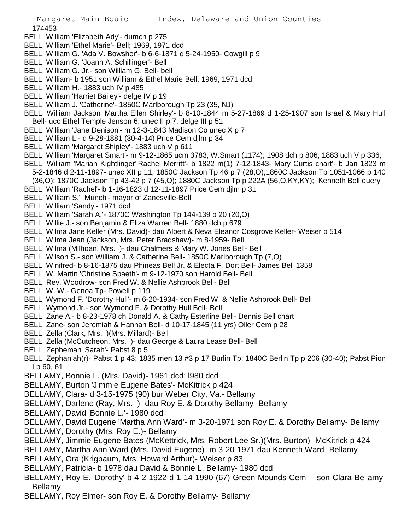## 174453

- BELL, William 'Elizabeth Ady'- dumch p 275
- BELL, William 'Ethel Marie'- Bell; 1969, 1971 dcd
- BELL, William G. 'Ada V. Bowsher'- b 6-6-1871 d 5-24-1950- Cowgill p 9
- BELL, William G. 'Joann A. Schillinger'- Bell
- BELL, William G. Jr.- son William G. Bell- bell
- BELL, William- b 1951 son William & Ethel Marie Bell; 1969, 1971 dcd
- BELL, William H.- 1883 uch IV p 485
- BELL, William 'Harriet Bailey'- delge IV p 19
- BELL, William J. 'Catherine'- 1850C Marlborough Tp 23 (35, NJ)
- BELL, William Jackson 'Martha Ellen Shirley'- b 8-10-1844 m 5-27-1869 d 1-25-1907 son Israel & Mary Hull Bell- ucc Ethel Temple Jenson  $6$ ; unec II p 7; delge III p 51
- BELL, William 'Jane Denison'- m 12-3-1843 Madison Co unec X p 7
- BELL, William L.- d 9-28-1881 (30-4-14) Price Cem djlm p 34
- BELL, William 'Margaret Shipley'- 1883 uch V p 611
- BELL, William 'Margaret Smart'- m 9-12-1865 ucm 3783; W.Smart (1174); 1908 dch p 806; 1883 uch V p 336;
- BELL, William 'Mariah Kightlinger''Rachel Merritt'- b 1822 m(1) 7-12-1843- Mary Curtis chart'- b Jan 1823 m
- 5-2-1846 d 2-11-1897- unec XII p 11; 1850C Jackson Tp 46 p 7 (28,O);1860C Jackson Tp 1051-1066 p 140
- (36,O); 1870C Jackson Tp 43-42 p 7 (45,O); 1880C Jackson Tp p 222A (56,O,KY,KY); Kenneth Bell query
- BELL, William 'Rachel'- b 1-16-1823 d 12-11-1897 Price Cem djlm p 31
- BELL, William S.' Munch'- mayor of Zanesville-Bell
- BELL, William 'Sandy'- 1971 dcd
- BELL, William 'Sarah A.'- 1870C Washington Tp 144-139 p 20 (20,O)
- BELL, Willie J.- son Benjamin & Eliza Warren Bell- 1880 dch p 679
- BELL, Wilma Jane Keller (Mrs. David)- dau Albert & Neva Eleanor Cosgrove Keller- Weiser p 514
- BELL, Wilma Jean (Jackson, Mrs. Peter Bradshaw)- m 8-1959- Bell
- BELL, Wilma (Milhoan, Mrs. )- dau Chalmers & Mary W. Jones Bell- Bell
- BELL, Wilson S.- son William J. & Catherine Bell- 1850C Marlborough Tp (7,O)
- BELL, Winifred- b 8-16-1875 dau Phineas Bell Jr. & Electa F. Dort Bell- James Bell 1358
- BELL, W. Martin 'Christine Spaeth'- m 9-12-1970 son Harold Bell- Bell
- BELL, Rev. Woodrow- son Fred W. & Nellie Ashbrook Bell- Bell
- BELL, W. W.- Genoa Tp- Powell p 119
- BELL, Wymond F. 'Dorothy Hull'- m 6-20-1934- son Fred W. & Nellie Ashbrook Bell- Bell
- BELL, Wymond Jr.- son Wymond F. & Dorothy Hull Bell- Bell
- BELL, Zane A.- b 8-23-1978 ch Donald A. & Cathy Esterline Bell- Dennis Bell chart
- BELL, Zane- son Jeremiah & Hannah Bell- d 10-17-1845 (11 yrs) Oller Cem p 28
- BELL, Zella (Clark, Mrs. )(Mrs. Millard)- Bell
- BELL, Zella (McCutcheon, Mrs. )- dau George & Laura Lease Bell- Bell
- BELL, Zephemah 'Sarah'- Pabst 8 p 5
- BELL, Zephaniah(r)- Pabst 1 p 43; 1835 men 13 #3 p 17 Burlin Tp; 1840C Berlin Tp p 206 (30-40); Pabst Pion I p 60, 61
- BELLAMY, Bonnie L. (Mrs. David)- 1961 dcd; l980 dcd
- BELLAMY, Burton 'Jimmie Eugene Bates'- McKitrick p 424
- BELLAMY, Clara- d 3-15-1975 (90) bur Weber City, Va.- Bellamy
- BELLAMY, Darlene (Ray, Mrs. )- dau Roy E. & Dorothy Bellamy- Bellamy
- BELLAMY, David 'Bonnie L.'- 1980 dcd
- BELLAMY, David Eugene 'Martha Ann Ward'- m 3-20-1971 son Roy E. & Dorothy Bellamy- Bellamy
- BELLAMY, Dorothy (Mrs. Roy E.)- Bellamy
- BELLAMY, Jimmie Eugene Bates (McKettrick, Mrs. Robert Lee Sr.)(Mrs. Burton)- McKitrick p 424
- BELLAMY, Martha Ann Ward (Mrs. David Eugene)- m 3-20-1971 dau Kenneth Ward- Bellamy
- BELLAMY, Ora (Krigbaum, Mrs. Howard Arthur)- Weiser p 83
- BELLAMY, Patricia- b 1978 dau David & Bonnie L. Bellamy- 1980 dcd
- BELLAMY, Roy E. 'Dorothy' b 4-2-1922 d 1-14-1990 (67) Green Mounds Cem- son Clara Bellamy-Bellamy
- BELLAMY, Roy Elmer- son Roy E. & Dorothy Bellamy- Bellamy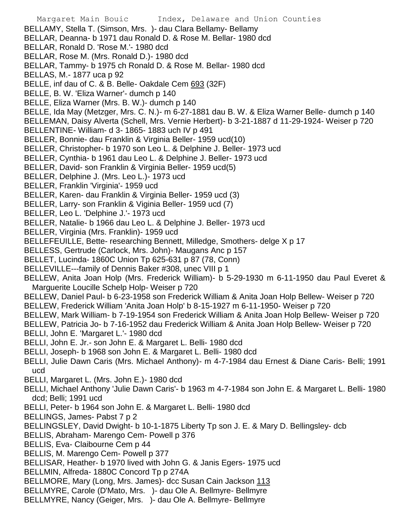- Margaret Main Bouic Index, Delaware and Union Counties BELLAMY, Stella T. (Simson, Mrs. )- dau Clara Bellamy- Bellamy BELLAR, Deanna- b 1971 dau Ronald D. & Rose M. Bellar- 1980 dcd BELLAR, Ronald D. 'Rose M.'- 1980 dcd BELLAR, Rose M. (Mrs. Ronald D.)- 1980 dcd BELLAR, Tammy- b 1975 ch Ronald D. & Rose M. Bellar- 1980 dcd BELLAS, M.- 1877 uca p 92 BELLE, inf dau of C. & B. Belle- Oakdale Cem 693 (32F) BELLE, B. W. 'Eliza Warner'- dumch p 140 BELLE, Eliza Warner (Mrs. B. W.)- dumch p 140 BELLE, Ida May (Metzger, Mrs. C. N.)- m 6-27-1881 dau B. W. & Eliza Warner Belle- dumch p 140 BELLEMAN, Daisy Alverta (Schell, Mrs. Vernie Herbert)- b 3-21-1887 d 11-29-1924- Weiser p 720 BELLENTINE- William- d 3- 1865- 1883 uch IV p 491 BELLER, Bonnie- dau Franklin & Virginia Beller- 1959 ucd(10) BELLER, Christopher- b 1970 son Leo L. & Delphine J. Beller- 1973 ucd BELLER, Cynthia- b 1961 dau Leo L. & Delphine J. Beller- 1973 ucd BELLER, David- son Franklin & Virginia Beller- 1959 ucd(5) BELLER, Delphine J. (Mrs. Leo L.)- 1973 ucd BELLER, Franklin 'Virginia'- 1959 ucd BELLER, Karen- dau Franklin & Virginia Beller- 1959 ucd (3) BELLER, Larry- son Franklin & Viginia Beller- 1959 ucd (7) BELLER, Leo L. 'Delphine J.'- 1973 ucd BELLER, Natalie- b 1966 dau Leo L. & Delphine J. Beller- 1973 ucd BELLER, Virginia (Mrs. Franklin)- 1959 ucd BELLEFEUILLE, Bette- researching Bennett, Milledge, Smothers- delge X p 17 BELLESS, Gertrude (Carlock, Mrs. John)- Maugans Anc p 157 BELLET, Lucinda- 1860C Union Tp 625-631 p 87 (78, Conn) BELLEVILLE---family of Dennis Baker #308, unec VIII p 1 BELLEW, Anita Joan Holp (Mrs. Frederick William)- b 5-29-1930 m 6-11-1950 dau Paul Everet & Marguerite Loucille Schelp Holp- Weiser p 720 BELLEW, Daniel Paul- b 6-23-1958 son Frederick William & Anita Joan Holp Bellew- Weiser p 720 BELLEW, Frederick William 'Anita Joan Holp' b 8-15-1927 m 6-11-1950- Weiser p 720 BELLEW, Mark William- b 7-19-1954 son Frederick William & Anita Joan Holp Bellew- Weiser p 720 BELLEW, Patricia Jo- b 7-16-1952 dau Frederick William & Anita Joan Holp Bellew- Weiser p 720 BELLI, John E. 'Margaret L.'- 1980 dcd BELLI, John E. Jr.- son John E. & Margaret L. Belli- 1980 dcd BELLI, Joseph- b 1968 son John E. & Margaret L. Belli- 1980 dcd BELLI, Julie Dawn Caris (Mrs. Michael Anthony)- m 4-7-1984 dau Ernest & Diane Caris- Belli; 1991 ucd BELLI, Margaret L. (Mrs. John E.)- 1980 dcd BELLI, Michael Anthony 'Julie Dawn Caris'- b 1963 m 4-7-1984 son John E. & Margaret L. Belli- 1980 dcd; Belli; 1991 ucd BELLI, Peter- b 1964 son John E. & Margaret L. Belli- 1980 dcd BELLINGS, James- Pabst 7 p 2 BELLINGSLEY, David Dwight- b 10-1-1875 Liberty Tp son J. E. & Mary D. Bellingsley- dcb BELLIS, Abraham- Marengo Cem- Powell p 376 BELLIS, Eva- Claibourne Cem p 44 BELLIS, M. Marengo Cem- Powell p 377 BELLISAR, Heather- b 1970 lived with John G. & Janis Egers- 1975 ucd BELLMIN, Alfreda- 1880C Concord Tp p 274A BELLMORE, Mary (Long, Mrs. James)- dcc Susan Cain Jackson 113 BELLMYRE, Carole (D'Mato, Mrs. )- dau Ole A. Bellmyre- Bellmyre
- BELLMYRE, Nancy (Geiger, Mrs. )- dau Ole A. Bellmyre- Bellmyre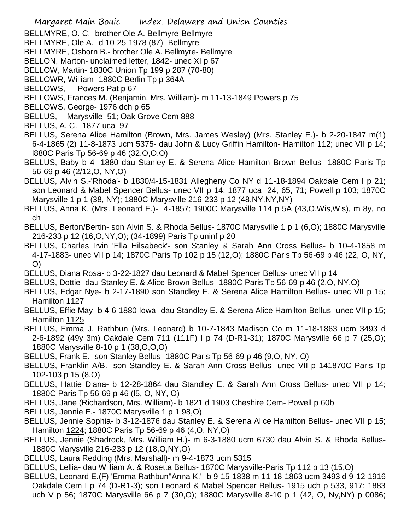- Margaret Main Bouic Index, Delaware and Union Counties
- BELLMYRE, O. C.- brother Ole A. Bellmyre-Bellmyre
- BELLMYRE, Ole A.- d 10-25-1978 (87)- Bellmyre
- BELLMYRE, Osborn B.- brother Ole A. Bellmyre- Bellmyre
- BELLON, Marton- unclaimed letter, 1842- unec XI p 67
- BELLOW, Martin- 1830C Union Tp 199 p 287 (70-80)
- BELLOWR, William- 1880C Berlin Tp p 364A
- BELLOWS, --- Powers Pat p 67
- BELLOWS, Frances M. (Benjamin, Mrs. William)- m 11-13-1849 Powers p 75
- BELLOWS, George- 1976 dch p 65
- BELLUS, -- Marysville 51; Oak Grove Cem 888
- BELLUS, A. C.- 1877 uca 97
- BELLUS, Serena Alice Hamilton (Brown, Mrs. James Wesley) (Mrs. Stanley E.)- b 2-20-1847 m(1) 6-4-1865 (2) 11-8-1873 ucm 5375- dau John & Lucy Griffin Hamilton- Hamilton 112; unec VII p 14; l880C Paris Tp 56-69 p 46 (32,O,O,O)
- BELLUS, Baby b 4- 1880 dau Stanley E. & Serena Alice Hamilton Brown Bellus- 1880C Paris Tp 56-69 p 46 (2/12,O, NY,O)
- BELLUS, Alvin S.-'Rhoda'- b 1830/4-15-1831 Allegheny Co NY d 11-18-1894 Oakdale Cem I p 21; son Leonard & Mabel Spencer Bellus- unec VII p 14; 1877 uca 24, 65, 71; Powell p 103; 1870C Marysville 1 p 1 (38, NY); 1880C Marysville 216-233 p 12 (48,NY,NY,NY)
- BELLUS, Anna K. (Mrs. Leonard E.)- 4-1857; 1900C Marysville 114 p 5A (43,O,Wis,Wis), m 8y, no ch
- BELLUS, Berton/Bertin- son Alvin S. & Rhoda Bellus- 1870C Marysville 1 p 1 (6,O); 1880C Marysville 216-233 p 12 (16,O,NY,O); (34-1899) Paris Tp uninf p 20
- BELLUS, Charles Irvin 'Ella Hilsabeck'- son Stanley & Sarah Ann Cross Bellus- b 10-4-1858 m 4-17-1883- unec VII p 14; 1870C Paris Tp 102 p 15 (12,O); 1880C Paris Tp 56-69 p 46 (22, O, NY, O)
- BELLUS, Diana Rosa- b 3-22-1827 dau Leonard & Mabel Spencer Bellus- unec VII p 14
- BELLUS, Dottie- dau Stanley E. & Alice Brown Bellus- 1880C Paris Tp 56-69 p 46 (2,O, NY,O)
- BELLUS, Edgar Nye- b 2-17-1890 son Standley E. & Serena Alice Hamilton Bellus- unec VII p 15; Hamilton 1127
- BELLUS, Effie May- b 4-6-1880 Iowa- dau Standley E. & Serena Alice Hamilton Bellus- unec VII p 15; Hamilton 1125
- BELLUS, Emma J. Rathbun (Mrs. Leonard) b 10-7-1843 Madison Co m 11-18-1863 ucm 3493 d 2-6-1892 (49y 3m) Oakdale Cem 711 (111F) I p 74 (D-R1-31); 1870C Marysville 66 p 7 (25,O); 1880C Marysville 8-10 p 1 (38,O,O,O)
- BELLUS, Frank E.- son Stanley Bellus- 1880C Paris Tp 56-69 p 46 (9,O, NY, O)
- BELLUS, Franklin A/B.- son Standley E. & Sarah Ann Cross Bellus- unec VII p 141870C Paris Tp 102-103 p 15 (8,O)
- BELLUS, Hattie Diana- b 12-28-1864 dau Standley E. & Sarah Ann Cross Bellus- unec VII p 14; 1880C Paris Tp 56-69 p 46 (l5, O, NY, O)
- BELLUS, Jane (Richardson, Mrs. William)- b 1821 d 1903 Cheshire Cem- Powell p 60b
- BELLUS, Jennie E.- 1870C Marysville 1 p 1 98,O)
- BELLUS, Jennie Sophia- b 3-12-1876 dau Stanley E. & Serena Alice Hamilton Bellus- unec VII p 15; Hamilton 1224; 1880C Paris Tp 56-69 p 46 (4,O, NY,O)
- BELLUS, Jennie (Shadrock, Mrs. William H.)- m 6-3-1880 ucm 6730 dau Alvin S. & Rhoda Bellus-1880C Marysville 216-233 p 12 (18,O,NY,O)
- BELLUS, Laura Redding (Mrs. Marshall)- m 9-4-1873 ucm 5315
- BELLUS, Lellia- dau William A. & Rosetta Bellus- 1870C Marysville-Paris Tp 112 p 13 (15,O)
- BELLUS, Leonard E.(F) 'Emma Rathbun''Anna K.'- b 9-15-1838 m 11-18-1863 ucm 3493 d 9-12-1916 Oakdale Cem I p 74 (D-R1-3); son Leonard & Mabel Spencer Bellus- 1915 uch p 533, 917; 1883 uch V p 56; 1870C Marysville 66 p 7 (30,O); 1880C Marysville 8-10 p 1 (42, O, Ny,NY) p 0086;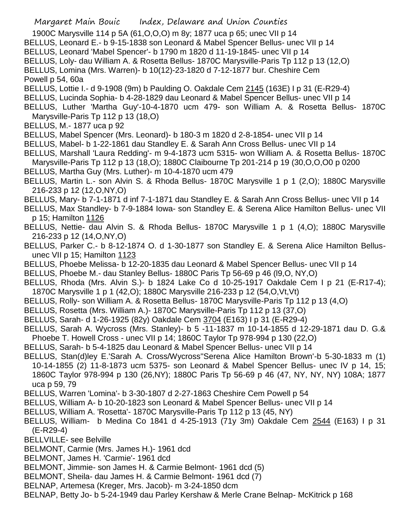- 1900C Marysville 114 p 5A (61,O,O,O) m 8y; 1877 uca p 65; unec VII p 14
- BELLUS, Leonard E.- b 9-15-1838 son Leonard & Mabel Spencer Bellus- unec VII p 14
- BELLUS, Leonard 'Mabel Spencer'- b 1790 m 1820 d 11-19-1845- unec VII p 14
- BELLUS, Loly- dau William A. & Rosetta Bellus- 1870C Marysville-Paris Tp 112 p 13 (12,O)
- BELLUS, Lomina (Mrs. Warren)- b 10(12)-23-1820 d 7-12-1877 bur. Cheshire Cem Powell p 54, 60a
- BELLUS, Lottie I.- d 9-1908 (9m) b Paulding O. Oakdale Cem 2145 (163E) I p 31 (E-R29-4)
- BELLUS, Lucinda Sophia- b 4-28-1829 dau Leonard & Mabel Spencer Bellus- unec VII p 14
- BELLUS, Luther 'Martha Guy'-10-4-1870 ucm 479- son William A. & Rosetta Bellus- 1870C Marysville-Paris Tp 112 p 13 (18,O)
- BELLUS, M.- 1877 uca p 92
- BELLUS, Mabel Spencer (Mrs. Leonard)- b 180-3 m 1820 d 2-8-1854- unec VII p 14
- BELLUS, Mabel- b 1-22-1861 dau Standley E. & Sarah Ann Cross Bellus- unec VII p 14
- BELLUS, Marshall 'Laura Redding'- m 9-4-1873 ucm 5315- won William A. & Rosetta Bellus- 1870C Marysville-Paris Tp 112 p 13 (18,O); 1880C Claibourne Tp 201-214 p 19 (30,O,O,O0 p 0200
- BELLUS, Martha Guy (Mrs. Luther)- m 10-4-1870 ucm 479
- BELLUS, Martin L.- son Alvin S. & Rhoda Bellus- 1870C Marysville 1 p 1 (2,O); 1880C Marysville 216-233 p 12 (12,O,NY,O)
- BELLUS, Mary- b 7-1-1871 d inf 7-1-1871 dau Standley E. & Sarah Ann Cross Bellus- unec VII p 14
- BELLUS, Max Standley- b 7-9-1884 Iowa- son Standley E. & Serena Alice Hamilton Bellus- unec VII p 15; Hamilton 1126
- BELLUS, Nettie- dau Alvin S. & Rhoda Bellus- 1870C Marysville 1 p 1 (4,O); 1880C Marysville 216-233 p 12 (14,O,NY,O)
- BELLUS, Parker C.- b 8-12-1874 O. d 1-30-1877 son Standley E. & Serena Alice Hamilton Bellusunec VII p 15; Hamilton 1123
- BELLUS, Phoebe Melissa- b 12-20-1835 dau Leonard & Mabel Spencer Bellus- unec VII p 14
- BELLUS, Phoebe M.- dau Stanley Bellus- 1880C Paris Tp 56-69 p 46 (l9,O, NY,O)
- BELLUS, Rhoda (Mrs. Alvin S.)- b 1824 Lake Co d 10-25-1917 Oakdale Cem I p 21 (E-R17-4); 1870C Marysville 1 p 1 (42,O); 1880C Marysville 216-233 p 12 (54,O,Vt,Vt)
- BELLUS, Rolly- son William A. & Rosetta Bellus- 1870C Marysville-Paris Tp 112 p 13 (4,O)
- BELLUS, Rosetta (Mrs. William A.)- 1870C Marysville-Paris Tp 112 p 13 (37,O)
- BELLUS, Sarah- d 1-26-1925 (82y) Oakdale Cem 3704 (E163) I p 31 (E-R29-4)
- BELLUS, Sarah A. Wycross (Mrs. Stanley)- b 5 -11-1837 m 10-14-1855 d 12-29-1871 dau D. G.&
- Phoebe T. Howell Cross unec VII p 14; 1860C Taylor Tp 978-994 p 130 (22,O)
- BELLUS, Sarah- b 5-4-1825 dau Leonard & Mabel Spencer Bellus- unec VII p 14
- BELLUS, Stan(d)ley E.'Sarah A. Cross/Wycross''Serena Alice Hamilton Brown'-b 5-30-1833 m (1) 10-14-1855 (2) 11-8-1873 ucm 5375- son Leonard & Mabel Spencer Bellus- unec IV p 14, 15; 1860C Taylor 978-994 p 130 (26,NY); 1880C Paris Tp 56-69 p 46 (47, NY, NY, NY) 108A; 1877 uca p 59, 79
- BELLUS, Warren 'Lomina'- b 3-30-1807 d 2-27-1863 Cheshire Cem Powell p 54
- BELLUS, William A- b 10-20-1823 son Leonard & Mabel Spencer Bellus- unec VII p 14
- BELLUS, William A. 'Rosetta'- 1870C Marysville-Paris Tp 112 p 13 (45, NY)
- BELLUS, William- b Medina Co 1841 d 4-25-1913 (71y 3m) Oakdale Cem 2544 (E163) I p 31 (E-R29-4)
- BELLVILLE- see Belville
- BELMONT, Carmie (Mrs. James H.)- 1961 dcd
- BELMONT, James H. 'Carmie'- 1961 dcd
- BELMONT, Jimmie- son James H. & Carmie Belmont- 1961 dcd (5)
- BELMONT, Sheila- dau James H. & Carmie Belmont- 1961 dcd (7)
- BELNAP, Artemesa (Kreger, Mrs. Jacob)- m 3-24-1850 dcm
- BELNAP, Betty Jo- b 5-24-1949 dau Parley Kershaw & Merle Crane Belnap- McKitrick p 168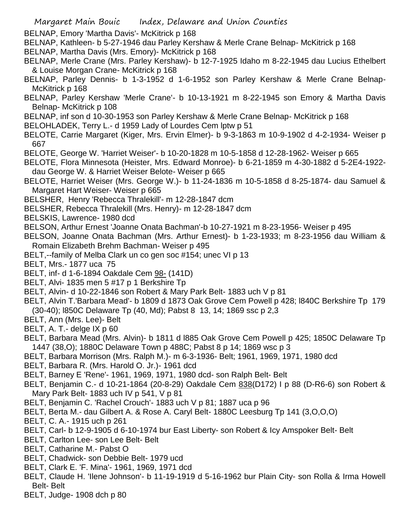BELNAP, Emory 'Martha Davis'- McKitrick p 168

- BELNAP, Kathleen- b 5-27-1946 dau Parley Kershaw & Merle Crane Belnap- McKitrick p 168
- BELNAP, Martha Davis (Mrs. Emory)- McKitrick p 168
- BELNAP, Merle Crane (Mrs. Parley Kershaw)- b 12-7-1925 Idaho m 8-22-1945 dau Lucius Ethelbert & Louise Morgan Crane- McKitrick p 168
- BELNAP, Parley Dennis- b 1-3-1952 d 1-6-1952 son Parley Kershaw & Merle Crane Belnap-McKitrick p 168
- BELNAP, Parley Kershaw 'Merle Crane'- b 10-13-1921 m 8-22-1945 son Emory & Martha Davis Belnap- McKitrick p 108
- BELNAP, inf son d 10-30-1953 son Parley Kershaw & Merle Crane Belnap- McKitrick p 168
- BELOHLADEK, Terry L.- d 1959 Lady of Lourdes Cem lptw p 51
- BELOTE, Carrie Margaret (Kiger, Mrs. Ervin Elmer)- b 9-3-1863 m 10-9-1902 d 4-2-1934- Weiser p 667
- BELOTE, George W. 'Harriet Weiser'- b 10-20-1828 m 10-5-1858 d 12-28-1962- Weiser p 665
- BELOTE, Flora Minnesota (Heister, Mrs. Edward Monroe)- b 6-21-1859 m 4-30-1882 d 5-2E4-1922 dau George W. & Harriet Weiser Belote- Weiser p 665
- BELOTE, Harriet Weiser (Mrs. George W.)- b 11-24-1836 m 10-5-1858 d 8-25-1874- dau Samuel & Margaret Hart Weiser- Weiser p 665
- BELSHER, Henry 'Rebecca Thralekill'- m 12-28-1847 dcm
- BELSHER, Rebecca Thralekill (Mrs. Henry)- m 12-28-1847 dcm
- BELSKIS, Lawrence- 1980 dcd
- BELSON, Arthur Ernest 'Joanne Onata Bachman'-b 10-27-1921 m 8-23-1956- Weiser p 495

BELSON, Joanne Onata Bachman (Mrs. Arthur Ernest)- b 1-23-1933; m 8-23-1956 dau William & Romain Elizabeth Brehm Bachman- Weiser p 495

- BELT,--family of Melba Clark un co gen soc #154; unec VI p 13
- BELT, Mrs.- 1877 uca 75
- BELT, inf- d 1-6-1894 Oakdale Cem 98- (141D)
- BELT, Alvi- 1835 men 5 #17 p 1 Berkshire Tp
- BELT, Alvin- d 10-22-1846 son Robert & Mary Park Belt- 1883 uch V p 81
- BELT, Alvin T.'Barbara Mead'- b 1809 d 1873 Oak Grove Cem Powell p 428; l840C Berkshire Tp 179 (30-40); l850C Delaware Tp (40, Md); Pabst 8 13, 14; 1869 ssc p 2,3
- BELT, Ann (Mrs. Lee)- Belt
- BELT, A. T.- delge IX p 60
- BELT, Barbara Mead (Mrs. Alvin)- b 1811 d l885 Oak Grove Cem Powell p 425; 1850C Delaware Tp 1447 (38,O); 1880C Delaware Town p 488C; Pabst 8 p 14; 1869 wsc p 3
- BELT, Barbara Morrison (Mrs. Ralph M.)- m 6-3-1936- Belt; 1961, 1969, 1971, 1980 dcd
- BELT, Barbara R. (Mrs. Harold O. Jr.)- 1961 dcd
- BELT, Barney E 'Rene'- 1961, 1969, 1971, 1980 dcd- son Ralph Belt- Belt
- BELT, Benjamin C.- d 10-21-1864 (20-8-29) Oakdale Cem 838(D172) I p 88 (D-R6-6) son Robert & Mary Park Belt- 1883 uch IV p 541, V p 81
- BELT, Benjamin C. 'Rachel Crouch'- 1883 uch V p 81; 1887 uca p 96
- BELT, Berta M.- dau Gilbert A. & Rose A. Caryl Belt- 1880C Leesburg Tp 141 (3,O,O,O)
- BELT, C. A.- 1915 uch p 261
- BELT, Carl- b 12-9-1905 d 6-10-1974 bur East Liberty- son Robert & Icy Amspoker Belt- Belt
- BELT, Carlton Lee- son Lee Belt- Belt
- BELT, Catharine M.- Pabst O
- BELT, Chadwick- son Debbie Belt- 1979 ucd
- BELT, Clark E. 'F. Mina'- 1961, 1969, 1971 dcd
- BELT, Claude H. 'Ilene Johnson'- b 11-19-1919 d 5-16-1962 bur Plain City- son Rolla & Irma Howell Belt- Belt
- BELT, Judge- 1908 dch p 80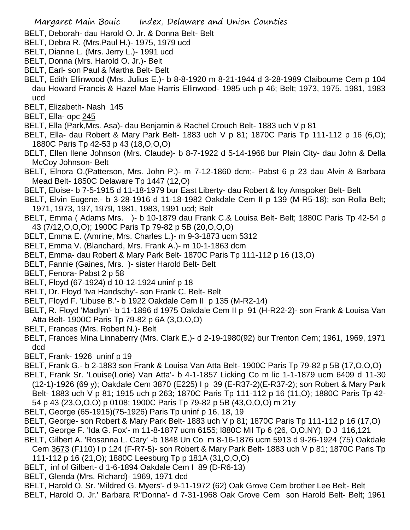- BELT, Deborah- dau Harold O. Jr. & Donna Belt- Belt
- BELT, Debra R. (Mrs.Paul H.)- 1975, 1979 ucd
- BELT, Dianne L. (Mrs. Jerry L.)- 1991 ucd
- BELT, Donna (Mrs. Harold O. Jr.)- Belt
- BELT, Earl- son Paul & Martha Belt- Belt
- BELT, Edith Ellinwood (Mrs. Julius E.)- b 8-8-1920 m 8-21-1944 d 3-28-1989 Claibourne Cem p 104 dau Howard Francis & Hazel Mae Harris Ellinwood- 1985 uch p 46; Belt; 1973, 1975, 1981, 1983 ucd
- BELT, Elizabeth- Nash 145
- BELT, Ella- opc 245
- BELT, Ella (Park,Mrs. Asa)- dau Benjamin & Rachel Crouch Belt- 1883 uch V p 81
- BELT, Ella- dau Robert & Mary Park Belt- 1883 uch V p 81; 1870C Paris Tp 111-112 p 16 (6,O); 1880C Paris Tp 42-53 p 43 (18,O,O,O)
- BELT, Ellen Ilene Johnson (Mrs. Claude)- b 8-7-1922 d 5-14-1968 bur Plain City- dau John & Della McCoy Johnson- Belt
- BELT, Elnora O.(Patterson, Mrs. John P.)- m 7-12-1860 dcm;- Pabst 6 p 23 dau Alvin & Barbara Mead Belt- 1850C Delaware Tp 1447 (12,O)
- BELT, Eloise- b 7-5-1915 d 11-18-1979 bur East Liberty- dau Robert & Icy Amspoker Belt- Belt
- BELT, Elvin Eugene.- b 3-28-1916 d 11-18-1982 Oakdale Cem II p 139 (M-R5-18); son Rolla Belt; 1971, 1973, 197, 1979, 1981, 1983, 1991 ucd; Belt
- BELT, Emma ( Adams Mrs. )- b 10-1879 dau Frank C.& Louisa Belt- Belt; 1880C Paris Tp 42-54 p 43 (7/12,O,O,O); 1900C Paris Tp 79-82 p 5B (20,O,O,O)
- BELT, Emma E. (Amrine, Mrs. Charles L.)- m 9-3-1873 ucm 5312
- BELT, Emma V. (Blanchard, Mrs. Frank A.)- m 10-1-1863 dcm
- BELT, Emma- dau Robert & Mary Park Belt- 1870C Paris Tp 111-112 p 16 (13,O)
- BELT, Fannie (Gaines, Mrs. )- sister Harold Belt- Belt
- BELT, Fenora- Pabst 2 p 58
- BELT, Floyd (67-1924) d 10-12-1924 uninf p 18
- BELT, Dr. Floyd 'Iva Handschy'- son Frank C. Belt- Belt
- BELT, Floyd F. 'Libuse B.'- b 1922 Oakdale Cem II p 135 (M-R2-14)
- BELT, R. Floyd 'Madlyn'- b 11-1896 d 1975 Oakdale Cem II p 91 (H-R22-2)- son Frank & Louisa Van Atta Belt- 1900C Paris Tp 79-82 p 6A (3,O,O,O)
- BELT, Frances (Mrs. Robert N.)- Belt
- BELT, Frances Mina Linnaberry (Mrs. Clark E.)- d 2-19-1980(92) bur Trenton Cem; 1961, 1969, 1971 dcd
- BELT, Frank- 1926 uninf p 19
- BELT, Frank G.- b 2-1883 son Frank & Louisa Van Atta Belt- 1900C Paris Tp 79-82 p 5B (17,O,O,O)
- BELT, Frank Sr. 'Louise(Lorie) Van Atta'- b 4-1-1857 Licking Co m lic 1-1-1879 ucm 6409 d 11-30 (12-1)-1926 (69 y); Oakdale Cem 3870 (E225) I p 39 (E-R37-2)(E-R37-2); son Robert & Mary Park Belt- 1883 uch V p 81; 1915 uch p 263; 1870C Paris Tp 111-112 p 16 (11,O); 1880C Paris Tp 42- 54 p 43 (23,O,O,O) p 0108; 1900C Paris Tp 79-82 p 5B (43,O,O,O) m 21y
- BELT, George (65-1915)(75-1926) Paris Tp uninf p 16, 18, 19
- BELT, George- son Robert & Mary Park Belt- 1883 uch V p 81; 1870C Paris Tp 111-112 p 16 (17,O)
- BELT, George F. 'Ida G. Fox'- m 11-8-1877 ucm 6155; l880C Mil Tp 6 (26, O,O,NY); D J 116,121
- BELT, Gilbert A. 'Rosanna L. Cary' -b 1848 Un Co m 8-16-1876 ucm 5913 d 9-26-1924 (75) Oakdale Cem 3673 (F110) I p 124 (F-R7-5)- son Robert & Mary Park Belt- 1883 uch V p 81; 1870C Paris Tp
	- 111-112 p 16 (21,O); 1880C Leesburg Tp p 181A (31,O,O,O)
- BELT, inf of Gilbert- d 1-6-1894 Oakdale Cem I 89 (D-R6-13)
- BELT, Glenda (Mrs. Richard)- 1969, 1971 dcd
- BELT, Harold O. Sr. 'Mildred G. Myers'- d 9-11-1972 (62) Oak Grove Cem brother Lee Belt- Belt
- BELT, Harold O. Jr.' Barbara R''Donna'- d 7-31-1968 Oak Grove Cem son Harold Belt- Belt; 1961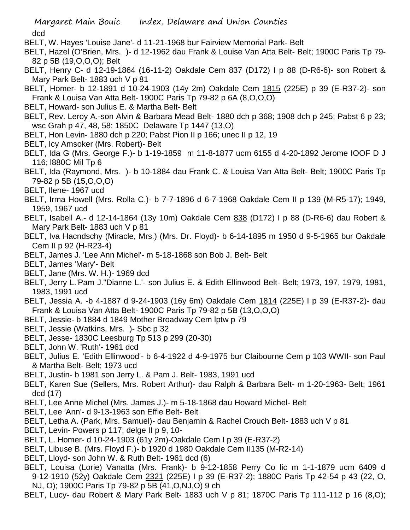- BELT, W. Hayes 'Louise Jane'- d 11-21-1968 bur Fairview Memorial Park- Belt
- BELT, Hazel (O'Brien, Mrs. )- d 12-1962 dau Frank & Louise Van Atta Belt- Belt; 1900C Paris Tp 79- 82 p 5B (19,O,O,O); Belt
- BELT, Henry C- d 12-19-1864 (16-11-2) Oakdale Cem 837 (D172) I p 88 (D-R6-6)- son Robert & Mary Park Belt- 1883 uch V p 81
- BELT, Homer- b 12-1891 d 10-24-1903 (14y 2m) Oakdale Cem 1815 (225E) p 39 (E-R37-2)- son Frank & Louisa Van Atta Belt- 1900C Paris Tp 79-82 p 6A (8,O,O,O)
- BELT, Howard- son Julius E. & Martha Belt- Belt
- BELT, Rev. Leroy A.-son Alvin & Barbara Mead Belt- 1880 dch p 368; 1908 dch p 245; Pabst 6 p 23; wsc Grah p 47, 48, 58; 1850C Delaware Tp 1447 (13,O)
- BELT, Hon Levin- 1880 dch p 220; Pabst Pion II p 166; unec II p 12, 19
- BELT, Icy Amsoker (Mrs. Robert)- Belt
- BELT, Ida G (Mrs. George F.)- b 1-19-1859 m 11-8-1877 ucm 6155 d 4-20-1892 Jerome IOOF D J 116; l880C Mil Tp 6
- BELT, Ida (Raymond, Mrs. )- b 10-1884 dau Frank C. & Louisa Van Atta Belt- Belt; 1900C Paris Tp 79-82 p 5B (15,O,O,O)
- BELT, Ilene- 1967 ucd
- BELT, Irma Howell (Mrs. Rolla C.)- b 7-7-1896 d 6-7-1968 Oakdale Cem II p 139 (M-R5-17); 1949, 1959, 1967 ucd
- BELT, Isabell A.- d 12-14-1864 (13y 10m) Oakdale Cem 838 (D172) I p 88 (D-R6-6) dau Robert & Mary Park Belt- 1883 uch V p 81
- BELT, Iva Hacndschy (Miracle, Mrs.) (Mrs. Dr. Floyd)- b 6-14-1895 m 1950 d 9-5-1965 bur Oakdale Cem II p 92 (H-R23-4)
- BELT, James J. 'Lee Ann Michel'- m 5-18-1868 son Bob J. Belt- Belt
- BELT, James 'Mary'- Belt
- BELT, Jane (Mrs. W. H.)- 1969 dcd
- BELT, Jerry L.'Pam J.''Dianne L.'- son Julius E. & Edith Ellinwood Belt- Belt; 1973, 197, 1979, 1981, 1983, 1991 ucd
- BELT, Jessia A. -b 4-1887 d 9-24-1903 (16y 6m) Oakdale Cem 1814 (225E) I p 39 (E-R37-2)- dau Frank & Louisa Van Atta Belt- 1900C Paris Tp 79-82 p 5B (13,O,O,O)
- BELT, Jessie- b 1884 d 1849 Mother Broadway Cem lptw p 79
- BELT, Jessie (Watkins, Mrs. )- Sbc p 32
- BELT, Jesse- 1830C Leesburg Tp 513 p 299 (20-30)
- BELT, John W. 'Ruth'- 1961 dcd
- BELT, Julius E. 'Edith Ellinwood'- b 6-4-1922 d 4-9-1975 bur Claibourne Cem p 103 WWII- son Paul & Martha Belt- Belt; 1973 ucd
- BELT, Justin- b 1981 son Jerry L. & Pam J. Belt- 1983, 1991 ucd
- BELT, Karen Sue (Sellers, Mrs. Robert Arthur)- dau Ralph & Barbara Belt- m 1-20-1963- Belt; 1961 dcd (17)
- BELT, Lee Anne Michel (Mrs. James J.)- m 5-18-1868 dau Howard Michel- Belt
- BELT, Lee 'Ann'- d 9-13-1963 son Effie Belt- Belt
- BELT, Letha A. (Park, Mrs. Samuel)- dau Benjamin & Rachel Crouch Belt- 1883 uch V p 81
- BELT, Levin- Powers p 117; delge II p 9, 10-
- BELT, L. Homer- d 10-24-1903 (61y 2m)-Oakdale Cem I p 39 (E-R37-2)
- BELT, Libuse B. (Mrs. Floyd F.)- b 1920 d 1980 Oakdale Cem II135 (M-R2-14)
- BELT, Lloyd- son John W. & Ruth Belt- 1961 dcd (6)
- BELT, Louisa (Lorie) Vanatta (Mrs. Frank)- b 9-12-1858 Perry Co lic m 1-1-1879 ucm 6409 d 9-12-1910 (52y) Oakdale Cem 2321 (225E) I p 39 (E-R37-2); 1880C Paris Tp 42-54 p 43 (22, O, NJ, O); 1900C Paris Tp 79-82 p 5B (41,O,NJ,O) 9 ch
- BELT, Lucy- dau Robert & Mary Park Belt- 1883 uch V p 81; 1870C Paris Tp 111-112 p 16 (8,O);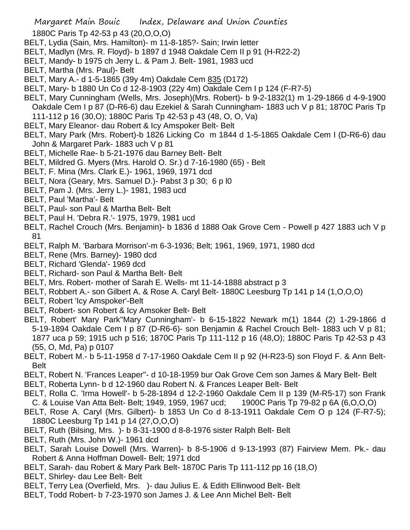1880C Paris Tp 42-53 p 43 (20,O,O,O)

- BELT, Lydia (Sain, Mrs. Hamilton)- m 11-8-185?- Sain; Irwin letter
- BELT, Madlyn (Mrs. R. Floyd)- b 1897 d 1948 Oakdale Cem II p 91 (H-R22-2)
- BELT, Mandy- b 1975 ch Jerry L. & Pam J. Belt- 1981, 1983 ucd
- BELT, Martha (Mrs. Paul)- Belt
- BELT, Mary A.- d 1-5-1865 (39y 4m) Oakdale Cem 835 (D172)
- BELT, Mary- b 1880 Un Co d 12-8-1903 (22y 4m) Oakdale Cem I p 124 (F-R7-5)
- BELT, Mary Cunningham (Wells, Mrs. Joseph)(Mrs. Robert)- b 9-2-1832(1) m 1-29-1866 d 4-9-1900 Oakdale Cem I p 87 (D-R6-6) dau Ezekiel & Sarah Cunningham- 1883 uch V p 81; 1870C Paris Tp 111-112 p 16 (30,O); 1880C Paris Tp 42-53 p 43 (48, O, O, Va)
- BELT, Mary Eleanor- dau Robert & Icy Amspoker Belt- Belt
- BELT, Mary Park (Mrs. Robert)-b 1826 Licking Co m 1844 d 1-5-1865 Oakdale Cem I (D-R6-6) dau John & Margaret Park- 1883 uch V p 81
- BELT, Michelle Rae- b 5-21-1976 dau Barney Belt- Belt
- BELT, Mildred G. Myers (Mrs. Harold O. Sr.) d 7-16-1980 (65) Belt
- BELT, F. Mina (Mrs. Clark E.)- 1961, 1969, 1971 dcd
- BELT, Nora (Geary, Mrs. Samuel D.)- Pabst 3 p 30; 6 p l0
- BELT, Pam J. (Mrs. Jerry L.)- 1981, 1983 ucd
- BELT, Paul 'Martha'- Belt
- BELT, Paul- son Paul & Martha Belt- Belt
- BELT, Paul H. 'Debra R.'- 1975, 1979, 1981 ucd
- BELT, Rachel Crouch (Mrs. Benjamin)- b 1836 d 1888 Oak Grove Cem Powell p 427 1883 uch V p 81
- BELT, Ralph M. 'Barbara Morrison'-m 6-3-1936; Belt; 1961, 1969, 1971, 1980 dcd
- BELT, Rene (Mrs. Barney)- 1980 dcd
- BELT, Richard 'Glenda'- 1969 dcd
- BELT, Richard- son Paul & Martha Belt- Belt
- BELT, Mrs. Robert- mother of Sarah E. Wells- mt 11-14-1888 abstract p 3
- BELT, Robbert A.- son Gilbert A. & Rose A. Caryl Belt- 1880C Leesburg Tp 141 p 14 (1,O,O,O)
- BELT, Robert 'Icy Amspoker'-Belt
- BELT, Robert- son Robert & Icy Amsoker Belt- Belt
- BELT, Robert' Mary Park''Mary Cunningham'- b 6-15-1822 Newark m(1) 1844 (2) 1-29-1866 d 5-19-1894 Oakdale Cem I p 87 (D-R6-6)- son Benjamin & Rachel Crouch Belt- 1883 uch V p 81; 1877 uca p 59; 1915 uch p 516; 1870C Paris Tp 111-112 p 16 (48,O); 1880C Paris Tp 42-53 p 43 (55, O, Md, Pa) p 0107
- BELT, Robert M.- b 5-11-1958 d 7-17-1960 Oakdale Cem II p 92 (H-R23-5) son Floyd F. & Ann Belt-Belt
- BELT, Robert N. 'Frances Leaper''- d 10-18-1959 bur Oak Grove Cem son James & Mary Belt- Belt
- BELT, Roberta Lynn- b d 12-1960 dau Robert N. & Frances Leaper Belt- Belt
- BELT, Rolla C. 'Irma Howell'- b 5-28-1894 d 12-2-1960 Oakdale Cem II p 139 (M-R5-17) son Frank C. & Louise Van Atta Belt- Belt; 1949, 1959, 1967 ucd; 1900C Paris Tp 79-82 p 6A (6,O,O,O)
- BELT, Rose A. Caryl (Mrs. Gilbert)- b 1853 Un Co d 8-13-1911 Oakdale Cem O p 124 (F-R7-5); 1880C Leesburg Tp 141 p 14 (27,O,O,O)
- BELT, Ruth (Bilsing, Mrs. )- b 8-31-1900 d 8-8-1976 sister Ralph Belt- Belt
- BELT, Ruth (Mrs. John W.)- 1961 dcd
- BELT, Sarah Louise Dowell (Mrs. Warren)- b 8-5-1906 d 9-13-1993 (87) Fairview Mem. Pk.- dau Robert & Anna Hoffman Dowell- Belt; 1971 dcd
- BELT, Sarah- dau Robert & Mary Park Belt- 1870C Paris Tp 111-112 pp 16 (18,O)
- BELT, Shirley- dau Lee Belt- Belt
- BELT, Terry Lea (Overfield, Mrs. )- dau Julius E. & Edith Ellinwood Belt- Belt
- BELT, Todd Robert- b 7-23-1970 son James J. & Lee Ann Michel Belt- Belt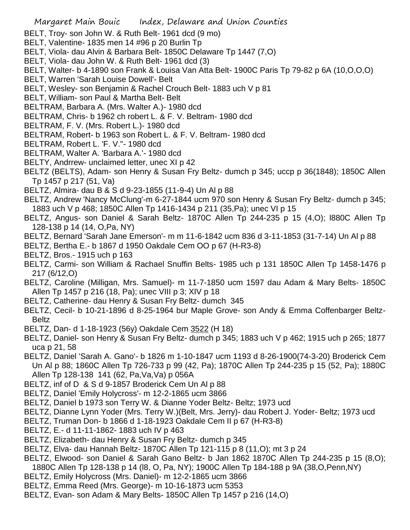- BELT, Troy- son John W. & Ruth Belt- 1961 dcd (9 mo)
- BELT, Valentine- 1835 men 14 #96 p 20 Burlin Tp
- BELT, Viola- dau Alvin & Barbara Belt- 1850C Delaware Tp 1447 (7,O)
- BELT, Viola- dau John W. & Ruth Belt- 1961 dcd (3)
- BELT, Walter- b 4-1890 son Frank & Louisa Van Atta Belt- 1900C Paris Tp 79-82 p 6A (10,O,O,O)
- BELT, Warren 'Sarah Louise Dowell'- Belt
- BELT, Wesley- son Benjamin & Rachel Crouch Belt- 1883 uch V p 81
- BELT, William- son Paul & Martha Belt- Belt
- BELTRAM, Barbara A. (Mrs. Walter A.)- 1980 dcd
- BELTRAM, Chris- b 1962 ch robert L. & F. V. Beltram- 1980 dcd
- BELTRAM, F. V. (Mrs. Robert L.)- 1980 dcd
- BELTRAM, Robert- b 1963 son Robert L. & F. V. Beltram- 1980 dcd
- BELTRAM, Robert L. 'F. V."- 1980 dcd
- BELTRAM, Walter A. 'Barbara A.'- 1980 dcd
- BELTY, Andrrew- unclaimed letter, unec XI p 42
- BELTZ (BELTS), Adam- son Henry & Susan Fry Beltz- dumch p 345; uccp p 36(1848); 1850C Allen Tp 1457 p 217 (51, Va)
- BELTZ, Almira- dau B & S d 9-23-1855 (11-9-4) Un Al p 88
- BELTZ, Andrew 'Nancy McClung'-m 6-27-1844 ucm 970 son Henry & Susan Fry Beltz- dumch p 345; 1883 uch V p 468; 1850C Allen Tp 1416-1434 p 211 (35,Pa); unec VI p 15
- BELTZ, Angus- son Daniel & Sarah Beltz- 1870C Allen Tp 244-235 p 15 (4,O); l880C Allen Tp 128-138 p 14 (14, O,Pa, NY)
- BELTZ, Bernard 'Sarah Jane Emerson'- m m 11-6-1842 ucm 836 d 3-11-1853 (31-7-14) Un Al p 88
- BELTZ, Bertha E.- b 1867 d 1950 Oakdale Cem OO p 67 (H-R3-8)
- BELTZ, Bros.- 1915 uch p 163
- BELTZ, Carmi- son William & Rachael Snuffin Belts- 1985 uch p 131 1850C Allen Tp 1458-1476 p 217 (6/12,O)
- BELTZ, Caroline (Milligan, Mrs. Samuel)- m 11-7-1850 ucm 1597 dau Adam & Mary Belts- 1850C Allen Tp 1457 p 216 (18, Pa); unec VIII p 3; XIV p 18
- BELTZ, Catherine- dau Henry & Susan Fry Beltz- dumch 345
- BELTZ, Cecil- b 10-21-1896 d 8-25-1964 bur Maple Grove- son Andy & Emma Coffenbarger Beltz-Beltz
- BELTZ, Dan- d 1-18-1923 (56y) Oakdale Cem 3522 (H 18)
- BELTZ, Daniel- son Henry & Susan Fry Beltz- dumch p 345; 1883 uch V p 462; 1915 uch p 265; 1877 uca p 21, 58
- BELTZ, Daniel 'Sarah A. Gano'- b 1826 m 1-10-1847 ucm 1193 d 8-26-1900(74-3-20) Broderick Cem Un Al p 88; 1860C Allen Tp 726-733 p 99 (42, Pa); 1870C Allen Tp 244-235 p 15 (52, Pa); 1880C Allen Tp 128-138 141 (62, Pa,Va,Va) p 056A
- BELTZ, inf of D & S d 9-1857 Broderick Cem Un Al p 88
- BELTZ, Daniel 'Emily Holycross'- m 12-2-1865 ucm 3866
- BELTZ, Daniel b 1973 son Terry W. & Dianne Yoder Beltz- Beltz; 1973 ucd
- BELTZ, Dianne Lynn Yoder (Mrs. Terry W.)(Belt, Mrs. Jerry)- dau Robert J. Yoder- Beltz; 1973 ucd
- BELTZ, Truman Don- b 1866 d 1-18-1923 Oakdale Cem II p 67 (H-R3-8)
- BELTZ, E.- d 11-11-1862- 1883 uch IV p 463
- BELTZ, Elizabeth- dau Henry & Susan Fry Beltz- dumch p 345
- BELTZ, Elva- dau Hannah Beltz- 1870C Allen Tp 121-115 p 8 (11,O); mt 3 p 24
- BELTZ, Elwood- son Daniel & Sarah Gano Beltz- b Jan 1862 1870C Allen Tp 244-235 p 15 (8,O);
- 1880C Allen Tp 128-138 p 14 (l8, O, Pa, NY); 1900C Allen Tp 184-188 p 9A (38,O,Penn,NY)
- BELTZ, Emily Holycross (Mrs. Daniel)- m 12-2-1865 ucm 3866
- BELTZ, Emma Reed (Mrs. George)- m 10-16-1873 ucm 5353
- BELTZ, Evan- son Adam & Mary Belts- 1850C Allen Tp 1457 p 216 (14,O)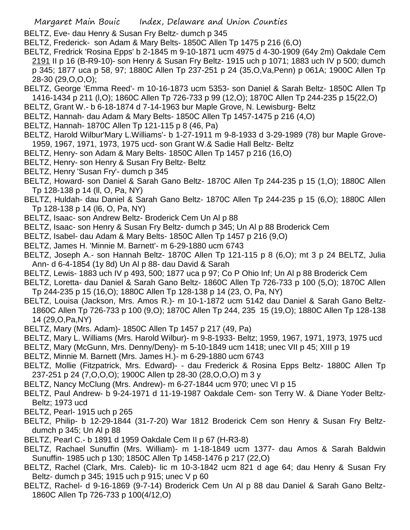- BELTZ, Eve- dau Henry & Susan Fry Beltz- dumch p 345
- BELTZ, Frederick- son Adam & Mary Belts- 1850C Allen Tp 1475 p 216 (6,O)
- BELTZ, Fredrick 'Rosina Epps' b 2-1845 m 9-10-1871 ucm 4975 d 4-30-1909 (64y 2m) Oakdale Cem 2191 II p 16 (B-R9-10)- son Henry & Susan Fry Beltz- 1915 uch p 1071; 1883 uch IV p 500; dumch p 345; 1877 uca p 58, 97; 1880C Allen Tp 237-251 p 24 (35,O,Va,Penn) p 061A; 1900C Allen Tp 28-30 (29,O,O,O);
- BELTZ, George 'Emma Reed'- m 10-16-1873 ucm 5353- son Daniel & Sarah Beltz- 1850C Allen Tp 1416-1434 p 211 (l,O); 1860C Allen Tp 726-733 p 99 (12,O); 1870C Allen Tp 244-235 p 15(22,O)
- BELTZ, Grant W.- b 6-18-1874 d 7-14-1963 bur Maple Grove, N. Lewisburg- Beltz
- BELTZ, Hannah- dau Adam & Mary Belts- 1850C Allen Tp 1457-1475 p 216 (4,O)
- BELTZ, Hannah- 1870C Allen Tp 121-115 p 8 (46, Pa)
- BELTZ, Harold Wilbur'Mary L.Williams'- b 1-27-1911 m 9-8-1933 d 3-29-1989 (78) bur Maple Grove-1959, 1967, 1971, 1973, 1975 ucd- son Grant W.& Sadie Hall Beltz- Beltz
- BELTZ, Henry- son Adam & Mary Belts- 1850C Allen Tp 1457 p 216 (16,O)
- BELTZ, Henry- son Henry & Susan Fry Beltz- Beltz
- BELTZ, Henry 'Susan Fry'- dumch p 345
- BELTZ, Howard- son Daniel & Sarah Gano Beltz- 1870C Allen Tp 244-235 p 15 (1,O); 1880C Allen Tp 128-138 p 14 (ll, O, Pa, NY)
- BELTZ, Huldah- dau Daniel & Sarah Gano Beltz- 1870C Allen Tp 244-235 p 15 (6,O); 1880C Allen Tp 128-138 p 14 (l6, O, Pa, NY)
- BELTZ, Isaac- son Andrew Beltz- Broderick Cem Un Al p 88
- BELTZ, Isaac- son Henry & Susan Fry Beltz- dumch p 345; Un Al p 88 Broderick Cem
- BELTZ, Isabel- dau Adam & Mary Belts- 1850C Allen Tp 1457 p 216 (9,O)
- BELTZ, James H. 'Minnie M. Barnett'- m 6-29-1880 ucm 6743
- BELTZ, Joseph A.- son Hannah Beltz- 1870C Allen Tp 121-115 p 8 (6,O); mt 3 p 24 BELTZ, Julia Ann- d 6-4-1854 (1y 8d) Un Al p 88- dau David & Sarah
- BELTZ, Lewis- 1883 uch IV p 493, 500; 1877 uca p 97; Co P Ohio Inf; Un Al p 88 Broderick Cem
- BELTZ, Loretta- dau Daniel & Sarah Gano Beltz- 1860C Allen Tp 726-733 p 100 (5,O); 1870C Allen Tp 244-235 p 15 (16,O); 1880C Allen Tp 128-138 p 14 (23, O, Pa, NY)
- BELTZ, Louisa (Jackson, Mrs. Amos R.)- m 10-1-1872 ucm 5142 dau Daniel & Sarah Gano Beltz-1860C Allen Tp 726-733 p 100 (9,O); 1870C Allen Tp 244, 235 15 (19,O); 1880C Allen Tp 128-138 14 (29,O,Pa,NY)
- BELTZ, Mary (Mrs. Adam)- 1850C Allen Tp 1457 p 217 (49, Pa)
- BELTZ, Mary L. Williams (Mrs. Harold Wilbur)- m 9-8-1933- Beltz; 1959, 1967, 1971, 1973, 1975 ucd
- BELTZ, Mary (McGunn, Mrs. Denny/Deny)- m 5-10-1849 ucm 1418; unec VII p 45; XIII p 19
- BELTZ, Minnie M. Barnett (Mrs. James H.)- m 6-29-1880 ucm 6743
- BELTZ, Mollie (Fitzpatrick, Mrs. Edward)- dau Frederick & Rosina Epps Beltz- 1880C Allen Tp 237-251 p 24 (7,O,O,O); 1900C Allen tp 28-30 (28,O,O,O) m 3 y
- BELTZ, Nancy McClung (Mrs. Andrew)- m 6-27-1844 ucm 970; unec VI p 15
- BELTZ, Paul Andrew- b 9-24-1971 d 11-19-1987 Oakdale Cem- son Terry W. & Diane Yoder Beltz-Beltz; 1973 ucd
- BELTZ, Pearl- 1915 uch p 265
- BELTZ, Philip- b 12-29-1844 (31-7-20) War 1812 Broderick Cem son Henry & Susan Fry Beltzdumch p 345; Un Al p 88
- BELTZ, Pearl C.- b 1891 d 1959 Oakdale Cem II p 67 (H-R3-8)
- BELTZ, Rachael Sunuffin (Mrs. William)- m 1-18-1849 ucm 1377- dau Amos & Sarah Baldwin Sunuffin- 1985 uch p 130; 1850C Allen Tp 1458-1476 p 217 (22,O)
- BELTZ, Rachel (Clark, Mrs. Caleb)- lic m 10-3-1842 ucm 821 d age 64; dau Henry & Susan Fry Beltz- dumch p 345; 1915 uch p 915; unec V p 60
- BELTZ, Rachel- d 9-16-1869 (9-7-14) Broderick Cem Un Al p 88 dau Daniel & Sarah Gano Beltz-1860C Allen Tp 726-733 p 100(4/12,O)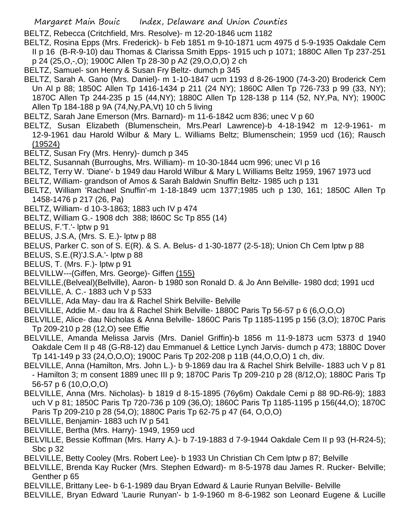- BELTZ, Rebecca (Critchfield, Mrs. Resolve)- m 12-20-1846 ucm 1182
- BELTZ, Rosina Epps (Mrs. Frederick)- b Feb 1851 m 9-10-1871 ucm 4975 d 5-9-1935 Oakdale Cem II p 16 (B-R-9-10) dau Thomas & Clarissa Smith Epps- 1915 uch p 1071; 1880C Allen Tp 237-251 p 24 (25,O,-,O); 1900C Allen Tp 28-30 p A2 (29,O,O,O) 2 ch
- BELTZ, Samuel- son Henry & Susan Fry Beltz- dumch p 345
- BELTZ, Sarah A. Gano (Mrs. Daniel)- m 1-10-1847 ucm 1193 d 8-26-1900 (74-3-20) Broderick Cem Un Al p 88; 1850C Allen Tp 1416-1434 p 211 (24 NY); 1860C Allen Tp 726-733 p 99 (33, NY); 1870C Allen Tp 244-235 p 15 (44,NY); 1880C Allen Tp 128-138 p 114 (52, NY,Pa, NY); 1900C Allen Tp 184-188 p 9A (74,Ny,PA,Vt) 10 ch 5 living
- BELTZ, Sarah Jane Emerson (Mrs. Barnard)- m 11-6-1842 ucm 836; unec V p 60
- BELTZ, Susan Elizabeth (Blumenschein, Mrs.Pearl Lawrence)-b 4-18-1942 m 12-9-1961- m 12-9-1961 dau Harold Wilbur & Mary L. Williams Beltz; Blumenschein; 1959 ucd (16); Rausch (19524)
- BELTZ, Susan Fry (Mrs. Henry)- dumch p 345
- BELTZ, Susannah (Burroughs, Mrs. William)- m 10-30-1844 ucm 996; unec VI p 16
- BELTZ, Terry W. 'Diane'- b 1949 dau Harold Wilbur & Mary L Williams Beltz 1959, 1967 1973 ucd
- BELTZ, William- grandson of Amos & Sarah Baldwin Snuffin Beltz- 1985 uch p 131
- BELTZ, William 'Rachael Snuffin'-m 1-18-1849 ucm 1377;1985 uch p 130, 161; 1850C Allen Tp 1458-1476 p 217 (26, Pa)
- BELTZ, William- d 10-3-1863; 1883 uch IV p 474
- BELTZ, William G.- 1908 dch 388; l860C Sc Tp 855 (14)
- BELUS, F.'T.'- lptw p 91
- BELUS, J.S.A, (Mrs. S. E.)- lptw p 88
- BELUS, Parker C. son of S. E(R). & S. A. Belus- d 1-30-1877 (2-5-18); Union Ch Cem lptw p 88
- BELUS, S.E.(R)'J.S.A.'- lptw p 88
- BELUS, T. (Mrs. F.)- lptw p 91
- BELVILLW---(Giffen, Mrs. George)- Giffen (155)

BELVILLE,(Belveal)(Bellville), Aaron- b 1980 son Ronald D. & Jo Ann Belville- 1980 dcd; 1991 ucd

- BELVILLE, A. C.- 1883 uch V p 533
- BELVILLE, Ada May- dau Ira & Rachel Shirk Belville- Belville
- BELVILLE, Addie M.- dau Ira & Rachel Shirk Belville- 1880C Paris Tp 56-57 p 6 (6,O,O,O)
- BELVILLE, Alice- dau Nicholas & Anna Belville- 1860C Paris Tp 1185-1195 p 156 (3,O); 1870C Paris Tp 209-210 p 28 (12,O) see Effie
- BELVILLE, Amanda Melissa Jarvis (Mrs. Daniel Griffin)-b 1856 m 11-9-1873 ucm 5373 d 1940 Oakdale Cem II p 48 (G-R8-12) dau Emmanuel & Lettice Lynch Jarvis- dumch p 473; 1880C Dover Tp 141-149 p 33 (24,O,O,O); 1900C Paris Tp 202-208 p 11B (44,O,O,O) 1 ch, div.
- BELVILLE, Anna (Hamilton, Mrs. John L.)- b 9-1869 dau Ira & Rachel Shirk Belville- 1883 uch V p 81 - Hamilton 3; m consent 1889 unec III p 9; 1870C Paris Tp 209-210 p 28 (8/12,O); 1880C Paris Tp 56-57 p 6 (10,O,O,O)
- BELVILLE, Anna (Mrs. Nicholas)- b 1819 d 8-15-1895 (76y6m) Oakdale Cemi p 88 9D-R6-9); 1883 uch V p 81; 1850C Paris Tp 720-736 p 109 (36,O); 1860C Paris Tp 1185-1195 p 156(44,O); 1870C Paris Tp 209-210 p 28 (54,O); 1880C Paris Tp 62-75 p 47 (64, O,O,O)
- BELVILLE, Benjamin- 1883 uch IV p 541
- BELVILLE, Bertha (Mrs. Harry)- 1949, 1959 ucd
- BELVILLE, Bessie Koffman (Mrs. Harry A.)- b 7-19-1883 d 7-9-1944 Oakdale Cem II p 93 (H-R24-5); Sbc p 32
- BELVILLE, Betty Cooley (Mrs. Robert Lee)- b 1933 Un Christian Ch Cem lptw p 87; Belville
- BELVILLE, Brenda Kay Rucker (Mrs. Stephen Edward)- m 8-5-1978 dau James R. Rucker- Belville; Genther p 65
- BELVILLE, Brittany Lee- b 6-1-1989 dau Bryan Edward & Laurie Runyan Belville- Belville
- BELVILLE, Bryan Edward 'Laurie Runyan'- b 1-9-1960 m 8-6-1982 son Leonard Eugene & Lucille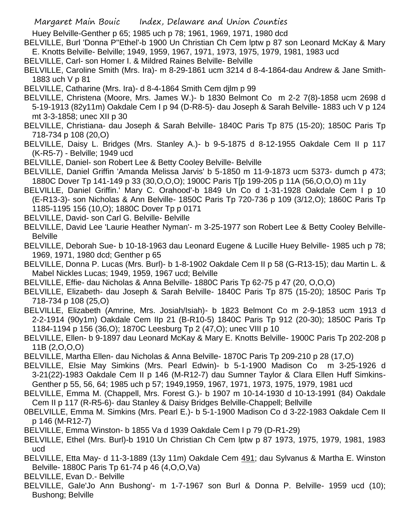Huey Belville-Genther p 65; 1985 uch p 78; 1961, 1969, 1971, 1980 dcd

- BELVILLE, Burl 'Donna P''Ethel'-b 1900 Un Christian Ch Cem lptw p 87 son Leonard McKay & Mary E. Knotts Belville- Belville; 1949, 1959, 1967, 1971, 1973, 1975, 1979, 1981, 1983 ucd
- BELVILLE, Carl- son Homer I. & Mildred Raines Belville- Belville
- BELVILLE, Caroline Smith (Mrs. Ira)- m 8-29-1861 ucm 3214 d 8-4-1864-dau Andrew & Jane Smith-1883 uch V p 81
- BELVILLE, Catharine (Mrs. Ira)- d 8-4-1864 Smith Cem djlm p 99
- BELVILLE, Christena (Moore, Mrs. James W.)- b 1830 Belmont Co m 2-2 7(8)-1858 ucm 2698 d 5-19-1913 (82y11m) Oakdale Cem I p 94 (D-R8-5)- dau Joseph & Sarah Belville- 1883 uch V p 124 mt 3-3-1858; unec XII p 30
- BELVILLE, Christiana- dau Joseph & Sarah Belville- 1840C Paris Tp 875 (15-20); 1850C Paris Tp 718-734 p 108 (20,O)
- BELVILLE, Daisy L. Bridges (Mrs. Stanley A.)- b 9-5-1875 d 8-12-1955 Oakdale Cem II p 117 (K-R5-7) - Belville; 1949 ucd
- BELVILLE, Daniel- son Robert Lee & Betty Cooley Belville- Belville
- BELVILLE, Daniel Griffin 'Amanda Melissa Jarvis' b 5-1850 m 11-9-1873 ucm 5373- dumch p 473; 1880C Dover Tp 141-149 p 33 (30,O,O,O); 1900C Paris T[p 199-205 p 11A (56,O,O,O) m 11y
- BELVILLE, Daniel Griffin.' Mary C. Orahood'-b 1849 Un Co d 1-31-1928 Oakdale Cem I p 10 (E-R13-3)- son Nicholas & Ann Belville- 1850C Paris Tp 720-736 p 109 (3/12,O); 1860C Paris Tp 1185-1195 156 (10,O); 1880C Dover Tp p 0171
- BELVILLE, David- son Carl G. Belville- Belville
- BELVILLE, David Lee 'Laurie Heather Nyman'- m 3-25-1977 son Robert Lee & Betty Cooley Belville-Belville
- BELVILLE, Deborah Sue- b 10-18-1963 dau Leonard Eugene & Lucille Huey Belville- 1985 uch p 78; 1969, 1971, 1980 dcd; Genther p 65
- BELVILLE, Donna P. Lucas (Mrs. Burl)- b 1-8-1902 Oakdale Cem II p 58 (G-R13-15); dau Martin L. & Mabel Nickles Lucas; 1949, 1959, 1967 ucd; Belville
- BELVILLE, Effie- dau Nicholas & Anna Belville- 1880C Paris Tp 62-75 p 47 (20, O,O,O)
- BELVILLE, Elizabeth- dau Joseph & Sarah Belville- 1840C Paris Tp 875 (15-20); 1850C Paris Tp 718-734 p 108 (25,O)
- BELVILLE, Elizabeth (Amrine, Mrs. Josiah/Isiah)- b 1823 Belmont Co m 2-9-1853 ucm 1913 d 2-2-1914 (90y1m) Oakdale Cem IIp 21 (B-R10-5) 1840C Paris Tp 912 (20-30); 1850C Paris Tp 1184-1194 p 156 (36,O); 1870C Leesburg Tp 2 (47,O); unec VIII p 10
- BELVILLE, Ellen- b 9-1897 dau Leonard McKay & Mary E. Knotts Belville- 1900C Paris Tp 202-208 p 11B (2,O,O,O)
- BELVILLE, Martha Ellen- dau Nicholas & Anna Belville- 1870C Paris Tp 209-210 p 28 (17,O)
- BELVILLE, Elsie May Simkins (Mrs. Pearl Edwin)- b 5-1-1900 Madison Co m 3-25-1926 d 3-21(22)-1983 Oakdale Cem II p 146 (M-R12-7) dau Sumner Taylor & Clara Ellen Huff Simkins-Genther p 55, 56, 64; 1985 uch p 57; 1949,1959, 1967, 1971, 1973, 1975, 1979, 1981 ucd
- BELVILLE, Emma M. (Chappell, Mrs. Forest G.)- b 1907 m 10-14-1930 d 10-13-1991 (84) Oakdale Cem II p 117 (R-R5-6)- dau Stanley & Daisy Bridges Belville-Chappell; Bellville
- 0BELVILLE, Emma M. Simkins (Mrs. Pearl E.)- b 5-1-1900 Madison Co d 3-22-1983 Oakdale Cem II p 146 (M-R12-7)
- BELVILLE, Emma Winston- b 1855 Va d 1939 Oakdale Cem I p 79 (D-R1-29)
- BELVILLE, Ethel (Mrs. Burl)-b 1910 Un Christian Ch Cem lptw p 87 1973, 1975, 1979, 1981, 1983 ucd
- BELVILLE, Etta May- d 11-3-1889 (13y 11m) Oakdale Cem 491; dau Sylvanus & Martha E. Winston Belville- 1880C Paris Tp 61-74 p 46 (4,O,O,Va)
- BELVILLE, Evan D.- Belville
- BELVILLE, Gale'Jo Ann Bushong'- m 1-7-1967 son Burl & Donna P. Belville- 1959 ucd (10); Bushong; Belville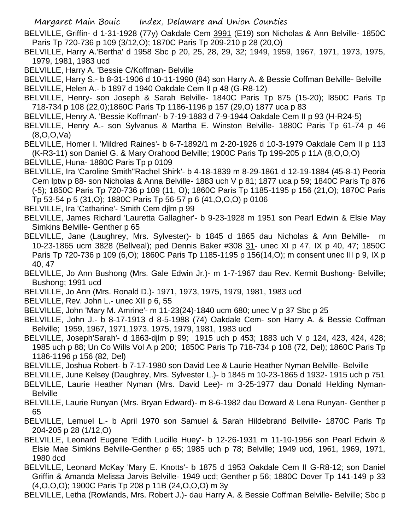BELVILLE, Griffin- d 1-31-1928 (77y) Oakdale Cem 3991 (E19) son Nicholas & Ann Belville- 1850C Paris Tp 720-736 p 109 (3/12,O); 1870C Paris Tp 209-210 p 28 (20,O)

- BELVILLE, Harry A.'Bertha' d 1958 Sbc p 20, 25, 28, 29, 32; 1949, 1959, 1967, 1971, 1973, 1975, 1979, 1981, 1983 ucd
- BELVILLE, Harry A. 'Bessie C/Koffman- Belville

BELVILLE, Harry S.- b 8-31-1906 d 10-11-1990 (84) son Harry A. & Bessie Coffman Belville- Belville BELVILLE, Helen A.- b 1897 d 1940 Oakdale Cem II p 48 (G-R8-12)

BELVILLE, Henry- son Joseph & Sarah Belville- 1840C Paris Tp 875 (15-20); l850C Paris Tp 718-734 p 108 (22,0);1860C Paris Tp 1186-1196 p 157 (29,O) 1877 uca p 83

- BELVILLE, Henry A. 'Bessie Koffman'- b 7-19-1883 d 7-9-1944 Oakdale Cem II p 93 (H-R24-5)
- BELVILLE, Henry A.- son Sylvanus & Martha E. Winston Belville- 1880C Paris Tp 61-74 p 46 (8,O,O,Va)
- BELVILLE, Homer I. 'Mildred Raines'- b 6-7-1892/1 m 2-20-1926 d 10-3-1979 Oakdale Cem II p 113 (K-R3-11) son Daniel G. & Mary Orahood Belville; 1900C Paris Tp 199-205 p 11A (8,O,O,O) BELVILLE, Huna-1880C Paris Tp p 0109
- BELVILLE, Ira 'Caroline Smith''Rachel Shirk'- b 4-18-1839 m 8-29-1861 d 12-19-1884 (45-8-1) Peoria Cem lptw p 88- son Nicholas & Anna Belville- 1883 uch V p 81; 1877 uca p 59; 1840C Paris Tp 876 (-5); 1850C Paris Tp 720-736 p 109 (11, O); 1860C Paris Tp 1185-1195 p 156 (21,O); 1870C Paris Tp 53-54 p 5 (31,O); 1880C Paris Tp 56-57 p 6 (41,O,O,O) p 0106
- BELVILLE, Ira 'Catharine'- Smith Cem djlm p 99
- BELVILLE, James Richard 'Lauretta Gallagher'- b 9-23-1928 m 1951 son Pearl Edwin & Elsie May Simkins Belville- Genther p 65
- BELVILLE, Jane (Laughrey, Mrs. Sylvester)- b 1845 d 1865 dau Nicholas & Ann Belville- m 10-23-1865 ucm 3828 (Bellveal); ped Dennis Baker #308 31- unec XI p 47, IX p 40, 47; 1850C Paris Tp 720-736 p 109 (6,O); 1860C Paris Tp 1185-1195 p 156(14,O); m consent unec III p 9, IX p 40, 47
- BELVILLE, Jo Ann Bushong (Mrs. Gale Edwin Jr.)- m 1-7-1967 dau Rev. Kermit Bushong- Belville; Bushong; 1991 ucd
- BELVILLE, Jo Ann (Mrs. Ronald D.)- 1971, 1973, 1975, 1979, 1981, 1983 ucd
- BELVILLE, Rev. John L.- unec XII p 6, 55
- BELVILLE, John 'Mary M. Amrine'- m 11-23(24)-1840 ucm 680; unec V p 37 Sbc p 25
- BELVILLE, John J.- b 8-17-1913 d 8-5-1988 (74) Oakdale Cem- son Harry A. & Bessie Coffman Belville; 1959, 1967, 1971,1973. 1975, 1979, 1981, 1983 ucd
- BELVILLE, Joseph'Sarah'- d 1863-djlm p 99; 1915 uch p 453; 1883 uch V p 124, 423, 424, 428; 1985 uch p 88; Un Co Wills Vol A p 200; 1850C Paris Tp 718-734 p 108 (72, Del); 1860C Paris Tp 1186-1196 p 156 (82, Del)
- BELVILLE, Joshua Robert- b 7-17-1980 son David Lee & Laurie Heather Nyman Belville- Belville
- BELVILLE, June Kelsey (Daughrey, Mrs. Sylvester L.)- b 1845 m 10-23-1865 d 1932- 1915 uch p 751
- BELVILLE, Laurie Heather Nyman (Mrs. David Lee)- m 3-25-1977 dau Donald Helding Nyman-**Belville**
- BELVILLE, Laurie Runyan (Mrs. Bryan Edward)- m 8-6-1982 dau Doward & Lena Runyan- Genther p 65
- BELVILLE, Lemuel L.- b April 1970 son Samuel & Sarah Hildebrand Bellville- 1870C Paris Tp 204-205 p 28 (1/12,O)
- BELVILLE, Leonard Eugene 'Edith Lucille Huey'- b 12-26-1931 m 11-10-1956 son Pearl Edwin & Elsie Mae Simkins Belville-Genther p 65; 1985 uch p 78; Belville; 1949 ucd, 1961, 1969, 1971, 1980 dcd
- BELVILLE, Leonard McKay 'Mary E. Knotts'- b 1875 d 1953 Oakdale Cem II G-R8-12; son Daniel Griffin & Amanda Melissa Jarvis Belville- 1949 ucd; Genther p 56; 1880C Dover Tp 141-149 p 33 (4,O,O,O); 1900C Paris Tp 208 p 11B (24,O,O,O) m 3y

BELVILLE, Letha (Rowlands, Mrs. Robert J.)- dau Harry A. & Bessie Coffman Belville- Belville; Sbc p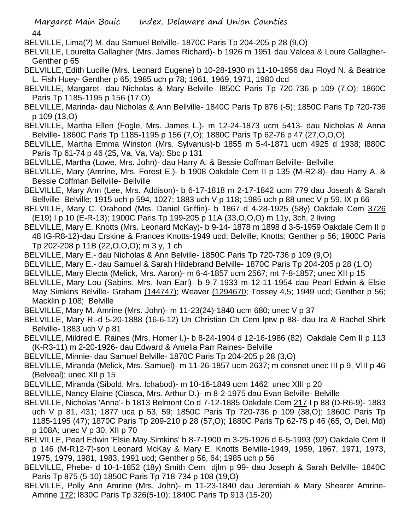- BELVILLE, Lima(?) M. dau Samuel Belville- 1870C Paris Tp 204-205 p 28 (9,O)
- BELVILLE, Louretta Gallagher (Mrs. James Richard)- b 1926 m 1951 dau Valcea & Loure Gallagher-Genther p 65
- BELVILLE, Edith Lucille (Mrs. Leonard Eugene) b 10-28-1930 m 11-10-1956 dau Floyd N. & Beatrice L. Fish Huey- Genther p 65; 1985 uch p 78; 1961, 1969, 1971, 1980 dcd
- BELVILLE, Margaret- dau Nicholas & Mary Belville- l850C Paris Tp 720-736 p 109 (7,O); 1860C Paris Tp 1185-1195 p 156 (17,O)
- BELVILLE, Marinda- dau Nicholas & Ann Bellville- 1840C Paris Tp 876 (-5); 1850C Paris Tp 720-736 p 109 (13,O)
- BELVILLE, Martha Ellen (Fogle, Mrs. James L.)- m 12-24-1873 ucm 5413- dau Nicholas & Anna Belville- 1860C Paris Tp 1185-1195 p 156 (7,O); 1880C Paris Tp 62-76 p 47 (27,O,O,O)
- BELVILLE, Martha Emma Winston (Mrs. Sylvanus)-b 1855 m 5-4-1871 ucm 4925 d 1938; l880C Paris Tp 61-74 p 46 (25, Va, Va, Va); Sbc p 131
- BELVILLE, Martha (Lowe, Mrs. John)- dau Harry A. & Bessie Coffman Belville- Bellville
- BELVILLE, Mary (Amrine, Mrs. Forest E.)- b 1908 Oakdale Cem II p 135 (M-R2-8)- dau Harry A. & Bessie Coffman Bellville- Bellville
- BELVILLE, Mary Ann (Lee, Mrs. Addison)- b 6-17-1818 m 2-17-1842 ucm 779 dau Joseph & Sarah Bellville- Belville; 1915 uch p 594, 1027; 1883 uch V p 118; 1985 uch p 88 unec V p 59, IX p 66
- BELVILLE, Mary C. Orahood (Mrs. Daniel Griffin)- b 1867 d 4-28-1925 (58y) Oakdale Cem 3726 (E19) I p 10 (E-R-13); 1900C Paris Tp 199-205 p 11A (33,O,O,O) m 11y, 3ch, 2 living
- BELVILLE, Mary E. Knotts (Mrs. Leonard McKay)- b 9-14- 1878 m 1898 d 3-5-1959 Oakdale Cem II p 48 IG-R8-12)-dau Erskine & Frances Knotts-1949 ucd; Belville; Knotts; Genther p 56; 1900C Paris Tp 202-208 p 11B (22,O,O,O); m 3 y, 1 ch
- BELVILLE, Mary E.- dau Nicholas & Ann Belville- 1850C Paris Tp 720-736 p 109 (9,O)
- BELVILLE, Mary E.- dau Samuel & Sarah Hildebrand Belville- 1870C Paris Tp 204-205 p 28 (1,O)
- BELVILLE, Mary Electa (Melick, Mrs. Aaron)- m 6-4-1857 ucm 2567; mt 7-8-1857; unec XII p 15
- BELVILLE, Mary Lou (Sabins, Mrs. Ivan Earl)- b 9-7-1933 m 12-11-1954 dau Pearl Edwin & Elsie May Simkins Belville- Graham (144747); Weaver (1294670; Tossey 4,5; 1949 ucd; Genther p 56; Macklin p 108; Belville
- BELVILLE, Mary M. Amrine (Mrs. John)- m 11-23(24)-1840 ucm 680; unec V p 37
- BELVILLE, Mary R.-d 5-20-1888 (16-6-12) Un Christian Ch Cem lptw p 88- dau Ira & Rachel Shirk Belville- 1883 uch V p 81
- BELVILLE, Mildred E. Raines (Mrs. Homer I.)- b 8-24-1904 d 12-16-1986 (82) Oakdale Cem II p 113 (K-R3-11) m 2-20-1926- dau Edward & Amelia Parr Raines- Belville
- BELVILLE, Minnie- dau Samuel Belville- 1870C Paris Tp 204-205 p 28 (3,O)
- BELVILLE, Miranda (Melick, Mrs. Samuel)- m 11-26-1857 ucm 2637; m consnet unec III p 9, VIII p 46 (Belveal); unec XII p 15
- BELVILLE, Miranda (Sibold, Mrs. Ichabod)- m 10-16-1849 ucm 1462; unec XIII p 20
- BELVILLE, Nancy Elaine (Ciasca, Mrs. Arthur D.)- m 8-2-1975 dau Evan Belville- Belville
- BELVILLE, Nicholas 'Anna'- b 1813 Belmont Co d 7-12-1885 Oakdale Cem 217 I p 88 (D-R6-9)- 1883 uch V p 81, 431; 1877 uca p 53, 59; 1850C Paris Tp 720-736 p 109 (38,O); 1860C Paris Tp 1185-1195 (47); 1870C Paris Tp 209-210 p 28 (57,O); 1880C Paris Tp 62-75 p 46 (65, O, Del, Md) p 108A; unec V p 30, XII p 70
- BELVILLE, Pearl Edwin 'Elsie May Simkins' b 8-7-1900 m 3-25-1926 d 6-5-1993 (92) Oakdale Cem II p 146 (M-R12-7)-son Leonard McKay & Mary E. Knotts Belville-1949, 1959, 1967, 1971, 1973, 1975, 1979, 1981, 1983, 1991 ucd; Genther p 56, 64; 1985 uch p 56
- BELVILLE, Phebe- d 10-1-1852 (18y) Smith Cem djlm p 99- dau Joseph & Sarah Belville- 1840C Paris Tp 875 (5-10) 1850C Paris Tp 718-734 p 108 (19,O)
- BELVILLE, Polly Ann Amrine (Mrs. John)- m 11-23-1840 dau Jeremiah & Mary Shearer Amrine-Amrine 172; l830C Paris Tp 326(5-10); 1840C Paris Tp 913 (15-20)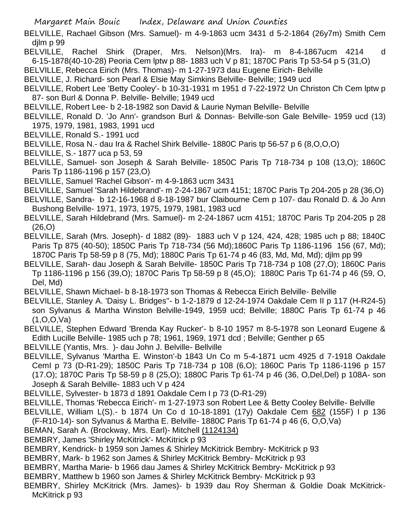BELVILLE, Rachael Gibson (Mrs. Samuel)- m 4-9-1863 ucm 3431 d 5-2-1864 (26y7m) Smith Cem djlm p 99

- BELVILLE, Rachel Shirk (Draper, Mrs. Nelson)(Mrs. Ira)- m 8-4-1867ucm 4214 d 6-15-1878(40-10-28) Peoria Cem lptw p 88- 1883 uch V p 81; 1870C Paris Tp 53-54 p 5 (31,O)
- BELVILLE, Rebecca Eirich (Mrs. Thomas)- m 1-27-1973 dau Eugene Eirich- Belville
- BELVILLE, J. Richard- son Pearl & Elsie May Simkins Belville- Belville; 1949 ucd
- BELVILLE, Robert Lee 'Betty Cooley'- b 10-31-1931 m 1951 d 7-22-1972 Un Christon Ch Cem lptw p 87- son Burl & Donna P. Belville- Belville; 1949 ucd
- BELVILLE, Robert Lee- b 2-18-1982 son David & Laurie Nyman Belville- Belville
- BELVILLE, Ronald D. 'Jo Ann'- grandson Burl & Donnas- Belville-son Gale Belville- 1959 ucd (13) 1975, 1979, 1981, 1983, 1991 ucd
- BELVILLE, Ronald S.- 1991 ucd
- BELVILLE, Rosa N.- dau Ira & Rachel Shirk Belville- 1880C Paris tp 56-57 p 6 (8,O,O,O)
- BELVILLE, S.- 1877 uca p 53, 59
- BELVILLE, Samuel- son Joseph & Sarah Belville- 1850C Paris Tp 718-734 p 108 (13,O); 1860C Paris Tp 1186-1196 p 157 (23,O)
- BELVILLE, Samuel 'Rachel Gibson'- m 4-9-1863 ucm 3431
- BELVILLE, Samuel 'Sarah Hildebrand'- m 2-24-1867 ucm 4151; 1870C Paris Tp 204-205 p 28 (36,O)
- BELVILLE, Sandra- b 12-16-1968 d 8-18-1987 bur Claibourne Cem p 107- dau Ronald D. & Jo Ann Bushong Belville- 1971, 1973, 1975, 1979, 1981, 1983 ucd
- BELVILLE, Sarah Hildebrand (Mrs. Samuel)- m 2-24-1867 ucm 4151; 1870C Paris Tp 204-205 p 28 (26,O)
- BELVILLE, Sarah (Mrs. Joseph)- d 1882 (89)- 1883 uch V p 124, 424, 428; 1985 uch p 88; 1840C Paris Tp 875 (40-50); 1850C Paris Tp 718-734 (56 Md);1860C Paris Tp 1186-1196 156 (67, Md); 1870C Paris Tp 58-59 p 8 (75, Md); 1880C Paris Tp 61-74 p 46 (83, Md, Md, Md); djlm pp 99
- BELVILLE, Sarah- dau Joseph & Sarah Belville- 1850C Paris Tp 718-734 p 108 (27,O); 1860C Paris Tp 1186-1196 p 156 (39,O); 1870C Paris Tp 58-59 p 8 (45,O); 1880C Paris Tp 61-74 p 46 (59, O, Del, Md)
- BELVILLE, Shawn Michael- b 8-18-1973 son Thomas & Rebecca Eirich Belville- Belville
- BELVILLE, Stanley A. 'Daisy L. Bridges''- b 1-2-1879 d 12-24-1974 Oakdale Cem II p 117 (H-R24-5) son Sylvanus & Martha Winston Belville-1949, 1959 ucd; Belville; 1880C Paris Tp 61-74 p 46 (1,O,O,Va)
- BELVILLE, Stephen Edward 'Brenda Kay Rucker'- b 8-10 1957 m 8-5-1978 son Leonard Eugene & Edith Lucille Belville- 1985 uch p 78; 1961, 1969, 1971 dcd ; Belville; Genther p 65
- BELVILLE (Yantis, Mrs. )- dau John J. Belville- Bellville
- BELVILLE, Sylvanus 'Martha E. Winston'-b 1843 Un Co m 5-4-1871 ucm 4925 d 7-1918 Oakdale CemI p 73 (D-R1-29); 1850C Paris Tp 718-734 p 108 (6,O); 1860C Paris Tp 1186-1196 p 157 (17.O); 1870C Paris Tp 58-59 p 8 (25,O); 1880C Paris Tp 61-74 p 46 (36, O,Del,Del) p 108A- son Joseph & Sarah Belville- 1883 uch V p 424
- BELVILLE, Sylvester- b 1873 d 1891 Oakdale Cem I p 73 (D-R1-29)
- BELVILLE, Thomas 'Rebecca Eirich'- m 1-27-1973 son Robert Lee & Betty Cooley Belville- Belville
- BELVILLE, William L(S).- b 1874 Un Co d 10-18-1891 (17y) Oakdale Cem 682 (155F) I p 136 (F-R10-14)- son Sylvanus & Martha E. Belville- 1880C Paris Tp 61-74 p 46 (6, O,O,Va)
- BEMAN, Sarah A. (Brockway, Mrs. Earl)- Mitchell (1124134)
- BEMBRY, James 'Shirley McKitrick'- McKitrick p 93
- BEMBRY, Kendrick- b 1959 son James & Shirley McKitrick Bembry- McKitrick p 93
- BEMBRY, Mark- b 1962 son James & Shirley McKitrick Bembry- McKitrick p 93
- BEMBRY, Martha Marie- b 1966 dau James & Shirley McKitrick Bembry- McKitrick p 93
- BEMBRY, Matthew b 1960 son James & Shirley McKitrick Bembry- McKitrick p 93
- BEMBRY, Shirley McKitrick (Mrs. James)- b 1939 dau Roy Sherman & Goldie Doak McKitrick-McKitrick p 93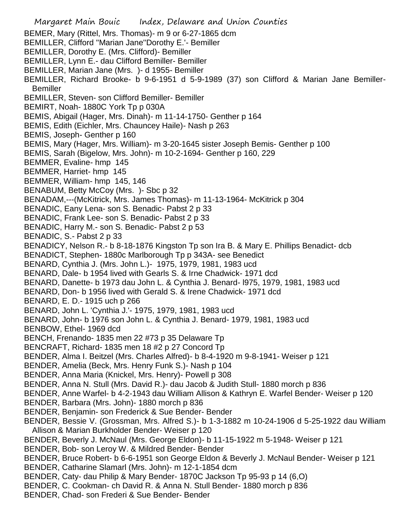Margaret Main Bouic Index, Delaware and Union Counties BEMER, Mary (Rittel, Mrs. Thomas)- m 9 or 6-27-1865 dcm BEMILLER, Clifford ''Marian Jane''Dorothy E.'- Bemiller BEMILLER, Dorothy E. (Mrs. Clifford)- Bemiller BEMILLER, Lynn E.- dau Clifford Bemiller- Bemiller BEMILLER, Marian Jane (Mrs. )- d 1955- Bemiller BEMILLER, Richard Brooke- b 9-6-1951 d 5-9-1989 (37) son Clifford & Marian Jane Bemiller-**Bemiller** BEMILLER, Steven- son Clifford Bemiller- Bemiller BEMIRT, Noah- 1880C York Tp p 030A BEMIS, Abigail (Hager, Mrs. Dinah)- m 11-14-1750- Genther p 164 BEMIS, Edith (Eichler, Mrs. Chauncey Haile)- Nash p 263 BEMIS, Joseph- Genther p 160 BEMIS, Mary (Hager, Mrs. William)- m 3-20-1645 sister Joseph Bemis- Genther p 100 BEMIS, Sarah (Bigelow, Mrs. John)- m 10-2-1694- Genther p 160, 229 BEMMER, Evaline- hmp 145 BEMMER, Harriet- hmp 145 BEMMER, William- hmp 145, 146 BENABUM, Betty McCoy (Mrs. )- Sbc p 32 BENADAM,---(McKitrick, Mrs. James Thomas)- m 11-13-1964- McKitrick p 304 BENADIC, Eany Lena- son S. Benadic- Pabst 2 p 33 BENADIC, Frank Lee- son S. Benadic- Pabst 2 p 33 BENADIC, Harry M.- son S. Benadic- Pabst 2 p 53 BENADIC, S.- Pabst 2 p 33 BENADICY, Nelson R.- b 8-18-1876 Kingston Tp son Ira B. & Mary E. Phillips Benadict- dcb BENADICT, Stephen- 1880c Marlborough Tp p 343A- see Benedict BENARD, Cynthia J. (Mrs. John L.)- 1975, 1979, 1981, 1983 ucd BENARD, Dale- b 1954 lived with Gearls S. & Irne Chadwick- 1971 dcd BENARD, Danette- b 1973 dau John L. & Cynthia J. Benard- l975, 1979, 1981, 1983 ucd BENARD, Don- b 1956 lived with Gerald S. & Irene Chadwick- 1971 dcd BENARD, E. D.- 1915 uch p 266 BENARD, John L. 'Cynthia J.'- 1975, 1979, 1981, 1983 ucd BENARD, John- b 1976 son John L. & Cynthia J. Benard- 1979, 1981, 1983 ucd BENBOW, Ethel- 1969 dcd BENCH, Frenando- 1835 men 22 #73 p 35 Delaware Tp BENCRAFT, Richard- 1835 men 18 #2 p 27 Concord Tp BENDER, Alma I. Beitzel (Mrs. Charles Alfred)- b 8-4-1920 m 9-8-1941- Weiser p 121 BENDER, Amelia (Beck, Mrs. Henry Funk S.)- Nash p 104 BENDER, Anna Maria (Knickel, Mrs. Henry)- Powell p 308 BENDER, Anna N. Stull (Mrs. David R.)- dau Jacob & Judith Stull- 1880 morch p 836 BENDER, Anne Warfel- b 4-2-1943 dau William Allison & Kathryn E. Warfel Bender- Weiser p 120 BENDER, Barbara (Mrs. John)- 1880 morch p 836 BENDER, Benjamin- son Frederick & Sue Bender- Bender BENDER, Bessie V. (Grossman, Mrs. Alfred S.)- b 1-3-1882 m 10-24-1906 d 5-25-1922 dau William Allison & Marian Burkholder Bender- Weiser p 120 BENDER, Beverly J. McNaul (Mrs. George Eldon)- b 11-15-1922 m 5-1948- Weiser p 121 BENDER, Bob- son Leroy W. & Mildred Bender- Bender BENDER, Bruce Robert- b 6-6-1951 son George Eldon & Beverly J. McNaul Bender- Weiser p 121 BENDER, Catharine Slamarl (Mrs. John)- m 12-1-1854 dcm BENDER, Caty- dau Philip & Mary Bender- 1870C Jackson Tp 95-93 p 14 (6,O) BENDER, C. Cookman- ch David R. & Anna N. Stull Bender- 1880 morch p 836 BENDER, Chad- son Frederi & Sue Bender- Bender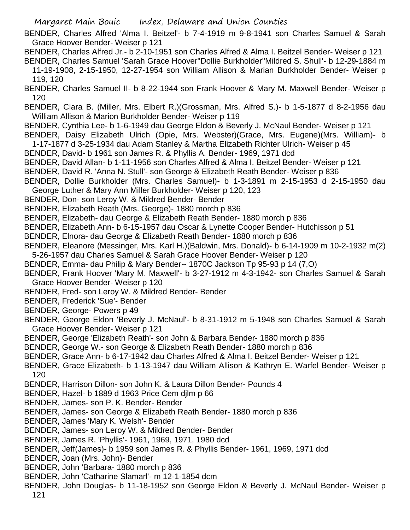- BENDER, Charles Alfred 'Alma I. Beitzel'- b 7-4-1919 m 9-8-1941 son Charles Samuel & Sarah Grace Hoover Bender- Weiser p 121
- BENDER, Charles Alfred Jr.- b 2-10-1951 son Charles Alfred & Alma I. Beitzel Bender- Weiser p 121
- BENDER, Charles Samuel 'Sarah Grace Hoover''Dollie Burkholder''Mildred S. Shull'- b 12-29-1884 m 11-19-1908, 2-15-1950, 12-27-1954 son William Allison & Marian Burkholder Bender- Weiser p 119, 120
- BENDER, Charles Samuel II- b 8-22-1944 son Frank Hoover & Mary M. Maxwell Bender- Weiser p 120
- BENDER, Clara B. (Miller, Mrs. Elbert R.)(Grossman, Mrs. Alfred S.)- b 1-5-1877 d 8-2-1956 dau William Allison & Marion Burkholder Bender- Weiser p 119
- BENDER, Cynthia Lee- b 1-6-1949 dau George Eldon & Beverly J. McNaul Bender- Weiser p 121
- BENDER, Daisy Elizabeth Ulrich (Opie, Mrs. Webster)(Grace, Mrs. Eugene)(Mrs. William)- b 1-17-1877 d 3-25-1934 dau Adam Stanley & Martha Elizabeth Richter Ulrich- Weiser p 45
- BENDER, David- b 1961 son James R. & Phyllis A. Bender- 1969, 1971 dcd
- BENDER, David Allan- b 1-11-1956 son Charles Alfred & Alma I. Beitzel Bender- Weiser p 121
- BENDER, David R. 'Anna N. Stull'- son George & Elizabeth Reath Bender- Weiser p 836
- BENDER, Dollie Burkholder (Mrs. Charles Samuel)- b 1-3-1891 m 2-15-1953 d 2-15-1950 dau George Luther & Mary Ann Miller Burkholder- Weiser p 120, 123
- BENDER, Don- son Leroy W. & Mildred Bender- Bender
- BENDER, Elizabeth Reath (Mrs. George)- 1880 morch p 836
- BENDER, Elizabeth- dau George & Elizabeth Reath Bender- 1880 morch p 836
- BENDER, Elizabeth Ann- b 6-15-1957 dau Oscar & Lynette Cooper Bender- Hutchisson p 51
- BENDER, Elnora- dau George & Elizabeth Reath Bender- 1880 morch p 836
- BENDER, Eleanore (Messinger, Mrs. Karl H.)(Baldwin, Mrs. Donald)- b 6-14-1909 m 10-2-1932 m(2) 5-26-1957 dau Charles Samuel & Sarah Grace Hoover Bender- Weiser p 120
- BENDER, Emma- dau Philip & Mary Bender-- 1870C Jackson Tp 95-93 p 14 (7,O)
- BENDER, Frank Hoover 'Mary M. Maxwell'- b 3-27-1912 m 4-3-1942- son Charles Samuel & Sarah Grace Hoover Bender- Weiser p 120
- BENDER, Fred- son Leroy W. & Mildred Bender- Bender
- BENDER, Frederick 'Sue'- Bender
- BENDER, George- Powers p 49
- BENDER, George Eldon 'Beverly J. McNaul'- b 8-31-1912 m 5-1948 son Charles Samuel & Sarah Grace Hoover Bender- Weiser p 121
- BENDER, George 'Elizabeth Reath'- son John & Barbara Bender- 1880 morch p 836
- BENDER, George W.- son George & Elizabeth Reath Bender- 1880 morch p 836
- BENDER, Grace Ann- b 6-17-1942 dau Charles Alfred & Alma I. Beitzel Bender- Weiser p 121
- BENDER, Grace Elizabeth- b 1-13-1947 dau William Allison & Kathryn E. Warfel Bender- Weiser p 120
- BENDER, Harrison Dillon- son John K. & Laura Dillon Bender- Pounds 4
- BENDER, Hazel- b 1889 d 1963 Price Cem djlm p 66
- BENDER, James- son P. K. Bender- Bender
- BENDER, James- son George & Elizabeth Reath Bender- 1880 morch p 836
- BENDER, James 'Mary K. Welsh'- Bender
- BENDER, James- son Leroy W. & Mildred Bender- Bender
- BENDER, James R. 'Phyllis'- 1961, 1969, 1971, 1980 dcd
- BENDER, Jeff(James)- b 1959 son James R. & Phyllis Bender- 1961, 1969, 1971 dcd
- BENDER, Joan (Mrs. John)- Bender
- BENDER, John 'Barbara- 1880 morch p 836
- BENDER, John 'Catharine Slamarl'- m 12-1-1854 dcm
- BENDER, John Douglas- b 11-18-1952 son George Eldon & Beverly J. McNaul Bender- Weiser p 121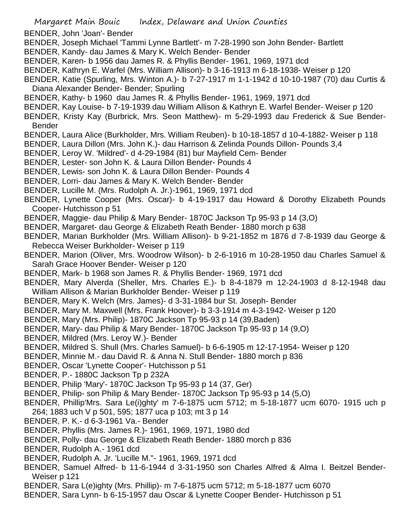- BENDER, John 'Joan'- Bender
- BENDER, Joseph Michael 'Tammi Lynne Bartlett'- m 7-28-1990 son John Bender- Bartlett
- BENDER, Kandy- dau James & Mary K. Welch Bender- Bender
- BENDER, Karen- b 1956 dau James R. & Phyllis Bender- 1961, 1969, 1971 dcd
- BENDER, Kathryn E. Warfel (Mrs. William Allison)- b 3-16-1913 m 6-18-1938- Weiser p 120
- BENDER, Katie (Spurling, Mrs. Winton A.)- b 7-27-1917 m 1-1-1942 d 10-10-1987 (70) dau Curtis & Diana Alexander Bender- Bender; Spurling
- BENDER, Kathy- b 1960 dau James R. & Phyllis Bender- 1961, 1969, 1971 dcd
- BENDER, Kay Louise- b 7-19-1939 dau William Allison & Kathryn E. Warfel Bender- Weiser p 120
- BENDER, Kristy Kay (Burbrick, Mrs. Seon Matthew)- m 5-29-1993 dau Frederick & Sue Bender-Bender
- BENDER, Laura Alice (Burkholder, Mrs. William Reuben)- b 10-18-1857 d 10-4-1882- Weiser p 118
- BENDER, Laura Dillon (Mrs. John K.)- dau Harrison & Zelinda Pounds Dillon- Pounds 3,4
- BENDER, Leroy W. 'Mildred'- d 4-29-1984 (81) bur Mayfield Cem- Bender
- BENDER, Lester- son John K. & Laura Dillon Bender- Pounds 4
- BENDER, Lewis- son John K. & Laura Dillon Bender- Pounds 4
- BENDER, Lorri- dau James & Mary K. Welch Bender- Bender
- BENDER, Lucille M. (Mrs. Rudolph A. Jr.)-1961, 1969, 1971 dcd
- BENDER, Lynette Cooper (Mrs. Oscar)- b 4-19-1917 dau Howard & Dorothy Elizabeth Pounds Cooper- Hutchisson p 51
- BENDER, Maggie- dau Philip & Mary Bender- 1870C Jackson Tp 95-93 p 14 (3,O)
- BENDER, Margaret- dau George & Elizabeth Reath Bender- 1880 morch p 638
- BENDER, Marian Burkholder (Mrs. William Allison)- b 9-21-1852 m 1876 d 7-8-1939 dau George & Rebecca Weiser Burkholder- Weiser p 119
- BENDER, Marion (Oliver, Mrs. Woodrow Wilson)- b 2-6-1916 m 10-28-1950 dau Charles Samuel & Sarah Grace Hoover Bender- Weiser p 120
- BENDER, Mark- b 1968 son James R. & Phyllis Bender- 1969, 1971 dcd
- BENDER, Mary Alverda (Sheller, Mrs. Charles E.)- b 8-4-1879 m 12-24-1903 d 8-12-1948 dau William Allison & Marian Burkholder Bender- Weiser p 119
- BENDER, Mary K. Welch (Mrs. James)- d 3-31-1984 bur St. Joseph- Bender
- BENDER, Mary M. Maxwell (Mrs. Frank Hoover)- b 3-3-1914 m 4-3-1942- Weiser p 120
- BENDER, Mary (Mrs. Philip)- 1870C Jackson Tp 95-93 p 14 (39,Baden)
- BENDER, Mary- dau Philip & Mary Bender- 1870C Jackson Tp 95-93 p 14 (9,O)
- BENDER, Mildred (Mrs. Leroy W.)- Bender
- BENDER, Mildred S. Shull (Mrs. Charles Samuel)- b 6-6-1905 m 12-17-1954- Weiser p 120
- BENDER, Minnie M.- dau David R. & Anna N. Stull Bender- 1880 morch p 836
- BENDER, Oscar 'Lynette Cooper'- Hutchisson p 51
- BENDER, P.- 1880C Jackson Tp p 232A
- BENDER, Philip 'Mary'- 1870C Jackson Tp 95-93 p 14 (37, Ger)
- BENDER, Philip- son Philip & Mary Bender- 1870C Jackson Tp 95-93 p 14 (5,O)
- BENDER, Phillip'Mrs. Sara Le(i)ghty' m 7-6-1875 ucm 5712; m 5-18-1877 ucm 6070- 1915 uch p 264; 1883 uch V p 501, 595; 1877 uca p 103; mt 3 p 14
- BENDER, P. K.- d 6-3-1961 Va.- Bender
- BENDER, Phyllis (Mrs. James R.)- 1961, 1969, 1971, 1980 dcd
- BENDER, Polly- dau George & Elizabeth Reath Bender- 1880 morch p 836
- BENDER, Rudolph A.- 1961 dcd
- BENDER, Rudolph A. Jr. 'Lucille M."- 1961, 1969, 1971 dcd
- BENDER, Samuel Alfred- b 11-6-1944 d 3-31-1950 son Charles Alfred & Alma I. Beitzel Bender-Weiser p 121
- BENDER, Sara L(e)ighty (Mrs. Phillip)- m 7-6-1875 ucm 5712; m 5-18-1877 ucm 6070
- BENDER, Sara Lynn- b 6-15-1957 dau Oscar & Lynette Cooper Bender- Hutchisson p 51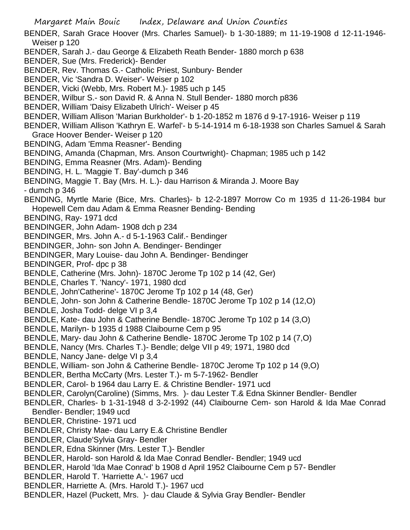- Margaret Main Bouic Index, Delaware and Union Counties BENDER, Sarah Grace Hoover (Mrs. Charles Samuel)- b 1-30-1889; m 11-19-1908 d 12-11-1946- Weiser p 120 BENDER, Sarah J.- dau George & Elizabeth Reath Bender- 1880 morch p 638 BENDER, Sue (Mrs. Frederick)- Bender BENDER, Rev. Thomas G.- Catholic Priest, Sunbury- Bender BENDER, Vic 'Sandra D. Weiser'- Weiser p 102 BENDER, Vicki (Webb, Mrs. Robert M.)- 1985 uch p 145 BENDER, Wilbur S.- son David R. & Anna N. Stull Bender- 1880 morch p836 BENDER, William 'Daisy Elizabeth Ulrich'- Weiser p 45 BENDER, William Allison 'Marian Burkholder'- b 1-20-1852 m 1876 d 9-17-1916- Weiser p 119 BENDER, William Allison 'Kathryn E. Warfel'- b 5-14-1914 m 6-18-1938 son Charles Samuel & Sarah Grace Hoover Bender- Weiser p 120 BENDING, Adam 'Emma Reasner'- Bending BENDING, Amanda (Chapman, Mrs. Anson Courtwright)- Chapman; 1985 uch p 142 BENDING, Emma Reasner (Mrs. Adam)- Bending BENDING, H. L. 'Maggie T. Bay'-dumch p 346 BENDING, Maggie T. Bay (Mrs. H. L.)- dau Harrison & Miranda J. Moore Bay - dumch p 346 BENDING, Myrtle Marie (Bice, Mrs. Charles)- b 12-2-1897 Morrow Co m 1935 d 11-26-1984 bur Hopewell Cem dau Adam & Emma Reasner Bending- Bending BENDING, Ray- 1971 dcd BENDINGER, John Adam- 1908 dch p 234 BENDINGER, Mrs. John A.- d 5-1-1963 Calif.- Bendinger BENDINGER, John- son John A. Bendinger- Bendinger BENDINGER, Mary Louise- dau John A. Bendinger- Bendinger BENDINGER, Prof- dpc p 38 BENDLE, Catherine (Mrs. John)- 1870C Jerome Tp 102 p 14 (42, Ger) BENDLE, Charles T. 'Nancy'- 1971, 1980 dcd BENDLE, John'Catherine'- 1870C Jerome Tp 102 p 14 (48, Ger) BENDLE, John- son John & Catherine Bendle- 1870C Jerome Tp 102 p 14 (12,O) BENDLE, Josha Todd- delge VI p 3,4 BENDLE, Kate- dau John & Catherine Bendle- 1870C Jerome Tp 102 p 14 (3,O) BENDLE, Marilyn- b 1935 d 1988 Claibourne Cem p 95 BENDLE, Mary- dau John & Catherine Bendle- 1870C Jerome Tp 102 p 14 (7,O) BENDLE, Nancy (Mrs. Charles T.)- Bendle; delge VII p 49; 1971, 1980 dcd BENDLE, Nancy Jane- delge VI p 3,4 BENDLE, William- son John & Catherine Bendle- 1870C Jerome Tp 102 p 14 (9,O) BENDLER, Bertha McCarty (Mrs. Lester T.)- m 5-7-1962- Bendler BENDLER, Carol- b 1964 dau Larry E. & Christine Bendler- 1971 ucd BENDLER, Carolyn(Caroline) (Simms, Mrs. )- dau Lester T.& Edna Skinner Bendler- Bendler BENDLER, Charles- b 1-31-1948 d 3-2-1992 (44) Claibourne Cem- son Harold & Ida Mae Conrad Bendler- Bendler; 1949 ucd BENDLER, Christine- 1971 ucd BENDLER, Christy Mae- dau Larry E.& Christine Bendler BENDLER, Claude'Sylvia Gray- Bendler BENDLER, Edna Skinner (Mrs. Lester T.)- Bendler BENDLER, Harold- son Harold & Ida Mae Conrad Bendler- Bendler; 1949 ucd BENDLER, Harold 'Ida Mae Conrad' b 1908 d April 1952 Claibourne Cem p 57- Bendler
- BENDLER, Harold T. 'Harriette A.'- 1967 ucd
- BENDLER, Harriette A. (Mrs. Harold T.)- 1967 ucd
- BENDLER, Hazel (Puckett, Mrs. )- dau Claude & Sylvia Gray Bendler- Bendler